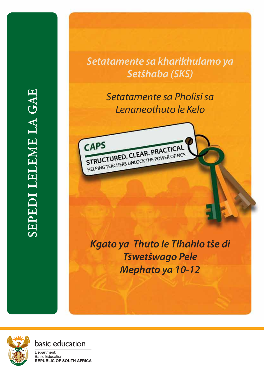**SEPEDI LELEME LA GAE**<br>basic education

*Setatamente sa kharikhulamo ya Setšhaba (SKS)*

> *Setatamente sa Pholisi sa Lenaneothuto le Kelo*



*Kgato ya Thuto le Tlhahlo tše di Tšwetšwago Pele Mephato ya 10-12*



Basic Education Department: **REPUBLIC OF SOUTH AFRICA**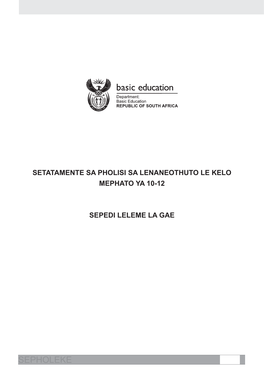

# basic education

Department: **Basic Education REPUBLIC OF SOUTH AFRICA** 

# **SETATAMENTE SA PHOLISI SA LENANEOTHUTO LE KELO MEPHATO YA 10-12**

**SEPEDI LELEME LA GAE**

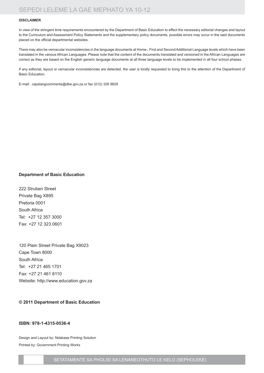#### **DISCLAIMER**

In view of the stringent time requirements encountered by the Department of Basic Education to effect the necessary editorial changes and layout to the Curriculum and Assessment Policy Statements and the supplementary policy documents, possible errors may occur in the said documents placed on the official departmental websites.

There may also be vernacular inconsistencies in the language documents at Home-, First and Second Additional Language levels which have been translated in the various African Languages. Please note that the content of the documents translated and versioned in the African Languages are correct as they are based on the English generic language documents at all three language levels to be implemented in all four school phases.

If any editorial, layout or vernacular inconsistencies are detected, the user is kindly requested to bring this to the attention of the Department of Basic Education.

E-mail: capslangcomments@dbe.gov.za or fax (012) 328 9828

#### **Department of Basic Education**

222 Struben Street Private Bag X895 Pretoria 0001 South Africa Tel: +27 12 357 3000 Fax: +27 12 323 0601

120 Plein Street Private Bag X9023 Cape Town 8000 South Africa Tel: +27 21 465 1701 Fax: +27 21 461 8110 Website: http://www.education.gov.za

### **© 2011 Department of Basic Education**

#### **Isbn: 978-1-4315-0536-4**

Design and Layout by: Ndabase Printing Solution Printed by: Government Printing Works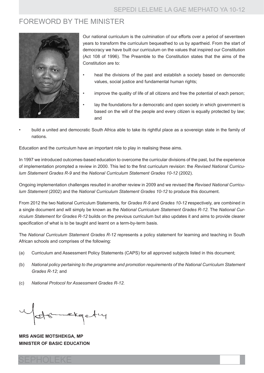## FOREWORD by the minister



Our national curriculum is the culmination of our efforts over a period of seventeen years to transform the curriculum bequeathed to us by apartheid. From the start of democracy we have built our curriculum on the values that inspired our Constitution (Act 108 of 1996). The Preamble to the Constitution states that the aims of the Constitution are to:

- heal the divisions of the past and establish a society based on democratic values, social justice and fundamental human rights;
- improve the quality of life of all citizens and free the potential of each person;
- lay the foundations for a democratic and open society in which government is based on the will of the people and every citizen is equally protected by law; and
- build a united and democratic South Africa able to take its rightful place as a sovereign state in the family of nations.

Education and the curriculum have an important role to play in realising these aims.

In 1997 we introduced outcomes-based education to overcome the curricular divisions of the past, but the experience of implementation prompted a review in 2000. This led to the first curriculum revision: the *Revised National Curriculum Statement Grades R-9* and the *National Curriculum Statement Grades 10-12* (2002).

Ongoing implementation challenges resulted in another review in 2009 and we revised th**e** *Revised National Curriculum Statement* (2002) and the *National Curriculum Statement Grades 10-12* to produce this document.

From 2012 the two National Curriculum Statements, for *Grades R-9* and *Grades 10-12* **r**espectively, are combined in a single document and will simply be known as the *National Curriculum Statement Grades R-12.* The *National Curriculum Statement for Grades R-12* builds on the previous curriculum but also updates it and aims to provide clearer specification of what is to be taught and learnt on a term-by-term basis.

The *National Curriculum Statement Grades R-12* represents a policy statement for learning and teaching in South African schools and comprises of the following:

- (a) Curriculum and Assessment Policy Statements (CAPS) for all approved subjects listed in this document;
- (b) *National policy pertaining to the programme and promotion requirements of the National Curriculum Statement Grades R-12*; and
- (c) *National Protocol for Assessment Grades R-12.*

experty

**MRS ANGIE MOTSHEKGA, MP MINISTER OF BASIC EDUCATION** 

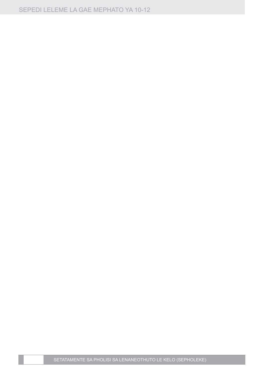SETATAMENTE SA PHOLISI SA LENANEOTHUTO LE KELO (SEPHOLEKE)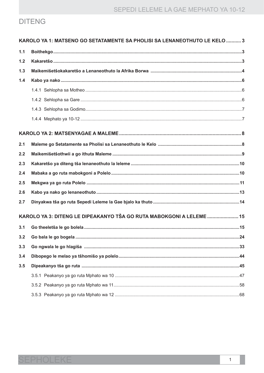# **DITENG**

|       | KAROLO YA 1: MATSENO GO SETATAMENTE SA PHOLISI SA LENANEOTHUTO LE KELO  3 |  |
|-------|---------------------------------------------------------------------------|--|
| 1.1   |                                                                           |  |
| 1.2   |                                                                           |  |
| 1.3   |                                                                           |  |
| $1.4$ |                                                                           |  |
|       |                                                                           |  |
|       |                                                                           |  |
|       |                                                                           |  |
|       |                                                                           |  |
|       |                                                                           |  |
| 2.1   |                                                                           |  |
| 2.2   |                                                                           |  |
| 2.3   |                                                                           |  |
| 2.4   |                                                                           |  |
| 2.5   |                                                                           |  |
| 2.6   |                                                                           |  |
| 2.7   |                                                                           |  |
|       | KAROLO YA 3: DITENG LE DIPEAKANYO TŠA GO RUTA MABOKGONI A LELEME  15      |  |
| 3.1   |                                                                           |  |
| 3.2   |                                                                           |  |
| 3.3   |                                                                           |  |
| 3.4   |                                                                           |  |
| 3.5   |                                                                           |  |
|       |                                                                           |  |
|       |                                                                           |  |
|       |                                                                           |  |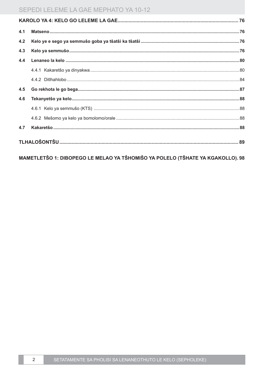| 4.1 |  |  |
|-----|--|--|
| 4.2 |  |  |
| 4.3 |  |  |
| 4.4 |  |  |
|     |  |  |
|     |  |  |
| 4.5 |  |  |
| 4.6 |  |  |
|     |  |  |
|     |  |  |
| 4.7 |  |  |
|     |  |  |

MAMETLETŠO 1: DIBOPEGO LE MELAO YA TŠHOMIŠO YA POLELO (TŠHATE YA KGAKOLLO). 98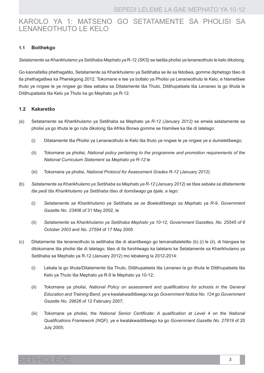## KAROLO ya 1: MATSENO GO SETATAMENTE SA PHOLISI SA LENANEOTHUTO LE KELO

### **1.1 Boithekgo**

*Setatamente sa Kharikhulamo ya Setšhaba Mephato ya* R-12 *(SKS)* se laetša pholisi ya lenaneothuto le kelo dikolong.

Go kaonafatša phethagatšo, Setatamente sa Kharikhulamo ya Setšhaba se ile sa fetošwa, gomme diphetogo tšeo di tla phethagatšwa ka Pherekgong 2012. Tokomane e tee ya botlalo ya Pholisi ya Lenaneothuto le Kelo, e hlametšwe thuto ye nngwe le ye nngwe go tšea sebaka sa Ditatamente tša Thuto, Ditšhupatsela tša Lenaneo la go ithuta le Ditšhupatsela tša Kelo ya Thuto ka go Mephato ya R-12.

### **1.2 Kakaretšo**

- (a) Setatamente sa Kharikhulamo ya Setšhaba sa Mephato ya *R-12 (January 2012)* se emela setatamente sa pholisi ya go ithuta le go ruta dikolong tša Afrika Borwa gomme se hlamilwe ka tše di latelago:
	- (i) Ditatamente tša Pholisi ya Lenaneothuto le Kelo tša thuto ye nngwe le ye nngwe ye e dumeletšwego;
	- (ii) Tokomane ya pholisi, *National policy pertaining to the programme and promotion requirements of the National Curriculum Statement sa Mephato ya R-12* le
	- (iii) Tokomane ya pholisi, *National Protocol for Assessment Grades R-12 (January 2012).*
- (b) *Setatamente sa Kharikhulamo ya Setšhaba sa Mephato ya R-12 (January 2012) se tšea sebaka sa ditatamente tše pedi tša Kharikhulamo ya Setšhaba tšeo di šomišwago ga bjale, e lego:* 
	- (i) *Setatamente sa Kharikhulamo ya Setšhaba se se Boeleditšwego sa Mephato ya R-9, Government Gazette No. 23406 of* 31 May 2002*,* le
	- (ii) *Setatamente sa Kharikhulamo ya Setšhaba Mephato ya 10-12, Government Gazettes, No. 25545 of 6 October 2003* and *No. 27594* of 17 May 2005
- (c) Ditatamente tša lenaneothuto la setšhaba tše di akantšwego go temanatlaleletšo (b) (i) le (ii), di hlangwa ke ditokomane tša pholisi tše di latelago, tšeo di tla forohlwago ka tatelano ke Setatamente sa Kharikhulamo ya Setšhaba sa Mephato ya R-12 (January 2012) mo lebakeng la 2012-2014:
	- (i) Lekala la go ithuta/Ditatamente tša Thuto, Ditšhupatsela tša Lenaneo la go ithuta le Ditšhupatsela tša Kelo ya Thuto tša Mephato ya R-9 le Mephato ya 10-12;
	- (ii) Tokomane ya pholisi, *National Policy on assessment and qualifications for schools in the General Education and Training Band,* ye e kwalakwaditšwego ka go *Government Notice No. 124* go *Government Gazette No. 29626* of 12 February 2007;
	- (iii) Tokomane ya pholisi, the *National Senior Certificate: A qualification at Level 4 on the National Qualifications Framework (NQF)*, ye e kwalakwaditšwego ka go *Government Gazette No. 27819* of 20 July 2005;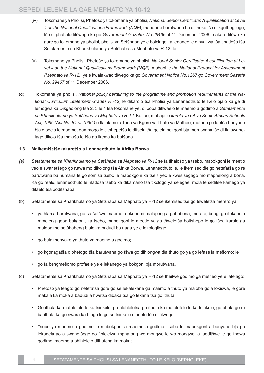- (iv) Tokomane ya Pholisi, Phetošo ya tokomane ya pholisi, *National Senior Certificate*: *A qualification at Level 4 on the National Qualifications Framework (NQF),* mabapi le barutwana ba ditlhoko tše di kgethegilego, tše di phatlaladitšwego ka go *Government Gazette, No.29466* of 11 December 2006, e akareditšwe ka gare ga tokomane ya pholisi, pholisi ya Setšhaba ye e bolelago ka lenaneo le dinyakwa tša tlhatlošo tša Setatamente sa Kharikhulamo ya Setšhaba sa Mephato ya R-12; le
- (v) Tokomane ya Pholisi, Phetošo ya tokomane ya pholisi, *National Senior Certificate*: *A qualification at Level 4 on the National Qualifications Framework (NQF),* mabapi le *the National Protocol for Assessment (Mephato ya R-12)*, ye e kwalakwaditšwego ka go *Government Notice No.1267 go Government Gazette No. 29467* of 11 December 2006.
- (d) Tokomane ya pholisi, *National policy pertaining to the programme and promotion requirements of the National Curriculum Statement Grades R -12,* le dikarolo tša Pholisi ya Lenaneothuto le Kelo bjalo ka ge di lemogwa ka Dikgaolong tša 2, 3 le 4 tša tokomane ye, di bopa ditlwaelo le maemo a godimo a *Setatamente sa Kharikhulamo ya Setšhaba ya Mephato ya R-12;* Ka fao, mabapi le *karolo ya 6A ya South African Schools Act, 1996 (Act No. 84 of 1996,)* e tla hlamela Tona ya Kgoro ya Thuto ya Motheo, motheo go laetša bonyane bja dipoelo le maemo, gammogo le ditshepetšo le ditsela tša go ela bokgoni bja morutwana tše di tla swanelago dikolo tša mmušo le tša go ikema ka botšona.

### **1.3 Maikemišetšokakaretšo a Lenaneothuto la Afrika Borwa**

- *(a) Setatamente sa Kharikhulamo ya Setšhaba sa Mephato ya R-12* se fa tlhalošo ya tsebo, mabokgoni le meetlo yeo e swanetšego go rutwa mo dikolong tša Afrika Borwa. Lenaneothuto le, le ikemišeditše go netefatša go re barutwana ba humana le go šomiša tsebo le mabokgoni ka tsela yeo e kwešišegago mo maphelong a bona. Ka go realo, lenaneothuto le hlatloša tsebo ka dikamano tša tikologo ya selegae, mola le šeditše kamego ya ditaelo tša boditšhaba.
- (b) Setatamente sa Kharikhulamo ya Setšhaba sa Mephato ya R-12 se ikemišeditše go tšweletša merero ya:
	- ya hlama barutwana, go sa šetšwe maemo a ekonomi malapeng a gabobona, morafe, bong, go itekanela mmeleng goba bokgoni, ka tsebo, mabokgoni le meetlo ya go tšweletša boitshepo le go tšea karolo ga maleba mo setšhabeng bjalo ka badudi ba naga ye e lokologilego;
	- go bula menyako ya thuto ya maemo a godimo;
	- go kgonagatša diphetogo tša barutwana go tšwa go dihlongwa tša thuto go ya go lefase la mešomo; le
	- go fa bengmešomo profaele ye e lekanego ya bokgoni bja morutwana.
- (c) Setatamente sa Kharikhulamo ya Setšhaba sa Mephato ya R-12 se theilwe godimo ga metheo ye e latelago:
	- Phetošo ya leago: go netefatša gore go se lekalekane ga maemo a thuto ya maloba go a lokišwa, le gore makala ka moka a badudi a hwetša dibaka tša go lekana tša go ithuta;
	- Go ithuta ka mafolofolo le ka tsinkelo: go hlohleletša go ithuta ka mafolofolo le ka tsinkelo, go phala go re ba ithuta ka go swara ka hlogo le go se tsinkele dinnete tše di filwego;
	- Tsebo ya maemo a godimo le mabokgoni a maemo a godimo: tsebo le mabokgoni a bonyane bja go lekanela ao a swanetšego go fihlelelwa mphatong wo mongwe le wo mongwe, a laeditšwe le go thewa godimo, maemo a phihlelelo dithutong ka moka;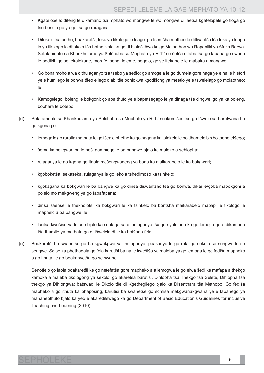- Kgatelopele: diteng le dikamano tša mphato wo mongwe le wo mongwe di laetša kgatelopele go tloga go tše bonolo go ya go tša go raragana;
- Ditokelo tša botho, boakaretši, toka ya tikologo le leago: go tsentšha metheo le ditlwaetšo tša toka ya leago le ya tikologo le ditokelo tša botho bjalo ka ge di hlalošitšwe ka go Molaotheo wa Repabliki ya Afrika Borwa. Setatamente sa Kharikhulamo ya Setšhaba sa Mephato ya R-12 se šetša ditaba tša go fapana go swana le bodiidi, go se lekalekane, morafe, bong, leleme, bogolo, go se itekanele le mabaka a mangwe;
- Go bona mohola wa dithulaganyo tša tsebo ya setšo: go amogela le go dumela gore naga ye e na le histori ye e humilego le bohwa tšeo e lego diabi tše bohlokwa kgodišong ya meetlo ye e tšwelelago go molaotheo; le
- Kamogelego, boleng le bokgoni: go aba thuto ye e bapetšegago le ya dinaga tše dingwe, go ya ka boleng, bophara le botebo.
- (d) Setatamente sa Kharikhulamo ya Setšhaba sa Mephato ya R-12 se ikemišeditše go tšweletša barutwana ba go kgona go:
	- lemoga le go rarolla mathata le go tšea diphetho ka go nagana ka tsinkelo le boitlhamelo bjo bo tseneletšego;
	- šoma ka bokgwari ba le noši gammogo le ba bangwe bjalo ka maloko a sehlopha;
	- rulaganya le go kgona go itaola mešongwaneng ya bona ka maikarabelo le ka bokgwari;
	- kgoboketša, sekaseka, rulaganya le go lekola tshedimošo ka tsinkelo;
	- kgokagana ka bokgwari le ba bangwe ka go diriša diswantšho tša go bonwa, dikai le/goba mabokgoni a polelo mo mekgweng ya go fapafapana;
	- diriša saense le theknolotši ka bokgwari le ka tsinkelo ba bontšha maikarabelo mabapi le tikologo le maphelo a ba bangwe; le
	- laetša kwešišo ya lefase bjalo ka sehlaga sa dithulaganyo tša go nyalelana ka go lemoga gore dikamano tša tharollo ya mathata ga di tšwelele di le ka botšona fela.
- (e) Boakaretši bo swanetše go ba kgwekgwe ya thulaganyo, peakanyo le go ruta ga sekolo se sengwe le se sengwe. Se se ka phethagala ge fela barutiši ba na le kwešišo ya maleba ya go lemoga le go fediša mapheko a go ithuta, le go beakanyetša go se swane.

Senotlelo go laola boakaretši ke go netefatša gore mapheko a a lemogwa le go elwa šedi ke mafapa a thekgo kamoka a maleba tikologong ya sekolo; go akaretša barutiši, Dihlopha tša Thekgo tša Selete, Dihlopha tša thekgo ya Dihlongwa; batswadi le Dikolo tše di Kgethegilego bjalo ka Disenthara tša Methopo. Go fediša mapheko a go ithuta ka phapošing, barutiši ba swanetše go šomiša mekgwanakgwana ye e fapanego ya mananeothuto bjalo ka yeo e akareditšwego ka go Department of Basic Education's Guidelines for inclusive Teaching and Learning (2010).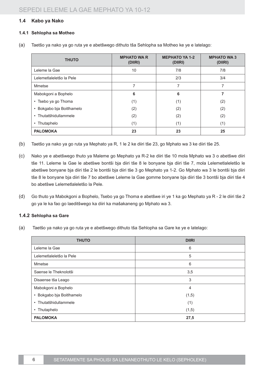### **1.4 Kabo ya Nako**

### **1.4.1 Sehlopha sa Motheo**

| <b>THUTO</b>              | <b>MPHATO WA R</b><br>(DIIRI) | <b>MEPHATO YA 1-2</b><br>(DIIRI) | <b>MPHATO WA3</b><br>(DIIRI) |
|---------------------------|-------------------------------|----------------------------------|------------------------------|
| Leleme la Gae             | 10                            | 7/8                              | 7/8                          |
| Lelemetlaleletšo la Pele  |                               | 2/3                              | 3/4                          |
| Mmetse                    |                               | 7                                | 7                            |
| Mabokgoni a Bophelo       | 6                             | 6                                | 7                            |
| • Tsebo ya go Thoma       | (1)                           | (1)                              | (2)                          |
| • Bokgabo bja Boitlhamelo | (2)                           | (2)                              | (2)                          |
| • Thutatšhidullammele     | (2)                           | (2)                              | (2)                          |
| • Thutaphelo              | (1)                           | (1)                              | (1)                          |
| <b>PALOMOKA</b>           | 23                            | 23                               | 25                           |

(a) Taetšo ya nako ya go ruta ye e abetšwego dithuto tša Sehlopha sa Motheo ke ye e latelago:

- (b) Taetšo ya nako ya go ruta ya Mephato ya R, 1 le 2 ke diiri tše 23, go Mphato wa 3 ke diiri tše 25.
- (c) Nako ye e abetšwego thuto ya Maleme go Mephato ya R-2 ke diiri tše 10 mola Mphato wa 3 o abetšwe diiri tše 11. Leleme la Gae le abetšwe bontši bja diiri tše 8 le bonyane bja diiri tše 7, mola Lelemetlaleletšo le abetšwe bonyane bja diiri tše 2 le bontši bja diiri tše 3 go Mephato ya 1-2. Go Mphato wa 3 le bontši bja diiri tše 8 le bonyane bja diiri tše 7 bo abetšwe Leleme la Gae gomme bonyane bja diiri tše 3 bontši bja diiri tše 4 bo abetšwe Lelemetlaleletšo la Pele.
- (d) Go thuto ya Mabokgoni a Bophelo, Tsebo ya go Thoma e abetšwe iri ye 1 ka go Mephato ya R 2 le diiri tše 2 go ya le ka fao go laeditšwego ka diiri ka mašakaneng go Mphato wa 3.

### **1.4.2 Sehlopha sa Gare**

(a) Taetšo ya nako ya go ruta ye e abetšwego dithuto tša Sehlopha sa Gare ke ye e latelago:

| <b>THUTO</b>              | <b>DIIRI</b> |
|---------------------------|--------------|
| Leleme la Gae             | 6            |
| Lelemetlaleletšo la Pele  | 5            |
| Mmetse                    | 6            |
| Saense le Theknolotši     | 3,5          |
| Disaense tša Leago        | 3            |
| Mabokgoni a Bophelo       | 4            |
| · Bokgabo bja Boitlhamelo | (1,5)        |
| • Thutatšhidullammele     | (1)          |
| • Thutaphelo              | (1,5)        |
| <b>PALOMOKA</b>           | 27,5         |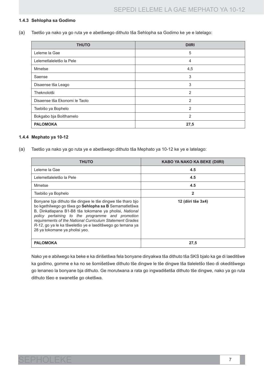### **1.4.3 Sehlopha sa Godimo**

(a) Taetšo ya nako ya go ruta ye e abetšwego dithuto tša Sehlopha sa Godimo ke ye e latelago:

| <b>THUTO</b>                  | <b>DIRI</b>    |
|-------------------------------|----------------|
| Leleme la Gae                 | 5              |
| Lelemetlaleletšo la Pele      | 4              |
| Mmetse                        | 4,5            |
| Saense                        | 3              |
| Disaense tša Leago            | 3              |
| Theknolotši                   | $\overline{2}$ |
| Disaense tša Ekonomi le Taolo | $\overline{2}$ |
| Tsebišo ya Bophelo            | 2              |
| Bokgabo bja Boitlhamelo       | $\overline{2}$ |
| <b>PALOMOKA</b>               | 27,5           |

### **1.4.4 Mephato ya 10-12**

(a) Taetšo ya nako ya go ruta ye e abetšwego dithuto tša Mephato ya 10-12 ke ye e latelago:

| <b>THUTO</b>                                                                                                                                                                                                                                                                                                                                                                                  | KABO YA NAKO KA BEKE (DIIRI) |
|-----------------------------------------------------------------------------------------------------------------------------------------------------------------------------------------------------------------------------------------------------------------------------------------------------------------------------------------------------------------------------------------------|------------------------------|
| Leleme la Gae                                                                                                                                                                                                                                                                                                                                                                                 | 4.5                          |
| Lelemetlaleletšo la Pele                                                                                                                                                                                                                                                                                                                                                                      | 4.5                          |
| Mmetse                                                                                                                                                                                                                                                                                                                                                                                        | 4.5                          |
| Tsebišo ya Bophelo                                                                                                                                                                                                                                                                                                                                                                            | $\overline{2}$               |
| Bonyane bja dithuto tše dingwe le tše dingwe tše tharo bjo<br>bo kgethilwego go tšwa go Sehlopha sa B Semamatletšwa<br>B, Dinkatlapana B1-B8 tša tokomane ya pholisi, National<br>policy pertaining to the programme and promotion<br>requirements of the National Curriculum Statement Grades<br>R-12, go va le ka tšweletšo ye e laeditšwego go temana ya<br>28 ya tokomane ya pholisi yeo. | 12 (diiri tše 3x4)           |
| <b>PALOMOKA</b>                                                                                                                                                                                                                                                                                                                                                                               | 27,5                         |

Nako ye e abilwego ka beke e ka dirišetšwa fela bonyane dinyakwa tša dithuto tša SKS bjalo ka ge di laeditšwe ka godimo, gomme e ka no se šomišetšwe dithuto tše dingwe le tše dingwe tša tlaleletšo tšeo di okeditšwego go lenaneo la bonyane bja dithuto. Ge morutwana a rata go ingwadišetša dithuto tše dingwe, nako ya go ruta dithuto tšeo e swanetše go oketšwa.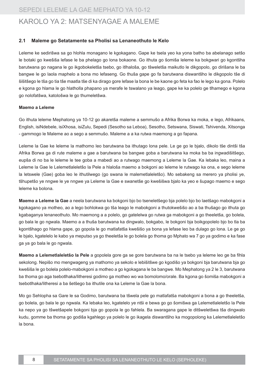### **2.1 Maleme go Setatamente sa Pholisi sa Lenaneothuto le Kelo**

Leleme ke sedirišwa sa go hlohla monagano le kgokagano. Gape ke tsela yeo ka yona batho ba abelanago setšo le botaki go kwešiša lefase le ba phelago go lona bokaone. Go ithuta go šomiša leleme ka bokgwari go kgontšha barutwana go nagana le go ikgobokeletša tsebo, go itlhaloša, go tšweletša maikutlo le dikgopolo, go dirišana le ba bangwe le go laola maphelo a bona mo lefaseng. Go thuša gape go fa barutwana diswantšho le dikgopolo tše di šišitšego le tša go tia tše maatla tše di ka dirago gore lefase la bona le be kaone go feta ka fao le lego ka gona. Polelo e kgona go hlama le go hlatholla phapano ya merafe le tswalano ya leago, gape ke ka polelo ge tlhamego e kgona go nolofatšwa, katološwa le go thumeletšwa.

### **Maemo a Leleme**

Go ithuta leleme Mephatong ya 10-12 go akaretša maleme a semmušo a Afrika Borwa ka moka, e lego, Afrikaans, English, isiNdebele, isiXhosa, isiZulu, Sepedi (Sesotho sa Leboa), Sesotho, Setswana, Siswati, Tshivenda, Xitsonga - gammogo le Maleme ao a sego a semmušo. Maleme a a ka rutwa maemong a go fapana.

Leleme la Gae ke leleme la mathomo leo barutwana ba ithutago lona pele. Le ge go le bjalo, dikolo tše dintši tša Afrika Borwa ga di rute maleme a gae a barutwana ba bangwe goba a barutwana ka moka ba ba ingwadišitšego, eupša di no ba le leleme le tee goba a mabedi ao a rutwago maemong a Leleme la Gae. Ka lebaka leo, maina a Leleme la Gae le Lelemetlaleletšo la Pele a hlaloša maemo a bokgoni ao leleme le rutwago ka ona, e sego leleme la letswele (Gae) goba leo le ithutilwego (go swana le malemetlaleletšo). Mo sebakeng sa merero ya pholisi ye, tšhupetšo ye nngwe le ye nngwe ya Leleme la Gae e swanetše go kwešišwa bjalo ka yeo e šupago maemo e sego leleme ka bolona.

**Maemo a Leleme la Gae** a neela barutwana ka bokgoni bjo bo tseneletšego bja polelo bjo bo laetšago mabokgoni a kgokagano ya motheo, ao a lego bohlokwa go tša leago le mabokgoni a thutokwešišo ao a ba thušago go ithuta go kgabaganya lenaneothuto. Mo maemong a a polelo, go gatelelwa go rutwa ga mabokgoni a go theeletša, go bolela, go bala le go ngwala. Maemo a a thuša barutwana ka dingwalo, bokgabo, le bokgoni bja boikgopolelo bjo bo tla ba kgontšhago go hlama gape, go gopola le go matlafatša kwešišo ya bona ya lefase leo ba dulago go lona. Le ge go le bjalo, kgatelelo le kabo ya meputso ya go theeletša le go bolela go thoma go Mphato wa 7 go ya godimo e ka fase ga ya go bala le go ngwala.

**Maemo a Lelemetlaleletšo la Pele** a gopolela gore ga se gore barutwana ba na le tsebo ya leleme leo ge ba fihla sekolong. Nepišo mo mengwageng ya mathomo ya sekolo e lebišitšwe go kgodišo ya bokgoni bja barutwana bja go kwešiša le go bolela polelo-mabokgoni a motheo a go kgokagana le ba bangwe. Mo Mephatong ya 2 le 3, barutwana ba thoma go aga tsebotlhaka/litheresi godimo ga motheo wo wa bomolomo/orale. Ba kgona go šomiša mabokgoni a tsebotlhaka/litheresi a ba šetšego ba ithutile ona ka Leleme la Gae la bona.

Mo go Sehlopha sa Gare le sa Godimo, barutwana ba tšwela pele go matlafatša mabokgoni a bona a go theeletša, go bolela, go bala le go ngwala. Ka lebaka leo, kgatelelo ye ntši e bewa go go šomišwa ga Lelemetlaleletšo la Pele ka nepo ya go tšwetšapele bokgoni bja go gopola le go fahlela. Ba swaragana gape le ditšweletšwa tša dingwalo kudu, gomme ba thoma go godiša kgahlego ya polelo le go ikagela diswantšho ka mogopolong ka Lelemetlaleletšo la bona.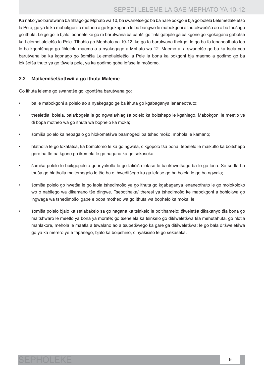Ka nako yeo barutwana ba fihlago go Mphato wa 10, ba swanetše go ba ba na le bokgoni bja go bolela Lelemetlaleletšo la Pele, go ya le ka mabokgoni a motheo a go kgokagana le ba bangwe le mabokgoni a thutokwešišo ao a ba thušago go ithuta. Le ge go le bjalo, bonnete ke go re barutwana ba bantši go fihla gabjale ga ba kgone go kgokagana gabotse ka Lelemetlaleletšo la Pele. Tlhohlo go Mephato ya 10-12, ke go fa barutwana thekgo, le go ba fa lenaneothuto leo le ba kgontšhago go fihlelela maemo a a nyakegago a Mphato wa 12. Maemo a, a swanetše go ba ka tsela yeo barutwana ba ka kgonago go šomiša Lelemetlaleletšo la Pele la bona ka bokgoni bja maemo a godimo go ba lokišetša thuto ya go tšwela pele, ya ka godimo goba lefase la mošomo.

### **2.2 Maikemišetšothwii a go ithuta Maleme**

Go ithuta leleme go swanetše go kgontšha barutwana go:

- ba le mabokgoni a polelo ao a nyakegago ge ba ithuta go kgabaganya lenaneothuto;
- theeletša, bolela, bala/bogela le go ngwala/hlagiša polelo ka boitshepo le kgahlego. Mabokgoni le meetlo ye di bopa motheo wa go ithuta wa bophelo ka moka;
- šomiša polelo ka nepagalo go hlokometšwe baamogedi ba tshedimošo, mohola le kamano;
- hlatholla le go lokafatša, ka bomolomo le ka go ngwala, dikgopolo tša bona, tebelelo le maikutlo ka boitshepo gore ba tle ba kgone go ikemela le go nagana ka go sekaseka;
- šomiša polelo le boikgopolelo go inyakolla le go fatišiša lefase le ba ikhwetšago ba le go lona. Se se tla ba thuša go hlatholla maitemogelo le tše ba di hweditšego ka ga lefase ge ba bolela le ge ba ngwala;
- šomiša polelo go hwetša le go laola tshedimošo ya go ithuta go kgabaganya lenaneothuto le go molokoloko wo o nabilego wa dikamano tše dingwe. Tsebotlhaka/litheresi ya tshedimošo ke mabokgoni a bohlokwa go 'ngwaga wa tshedimošo' gape e bopa motheo wa go ithuta wa bophelo ka moka; le
- šomiša polelo bjalo ka setlabakelo sa go nagana ka tsinkelo le boitlhamelo; tšweletša dikakanyo tša bona go maitshwaro le meetlo ya bona ya morafe; go tsenelela ka tsinkelo go ditšweletšwa tša mehutahuta, go hlotla mahlakore, mehola le maatla a tswalano ao a tsupetšwego ka gare ga ditšweletšwa; le go bala ditšweletšwa go ya ka merero ye e fapanego, bjalo ka boipshino, dinyakišišo le go sekaseka.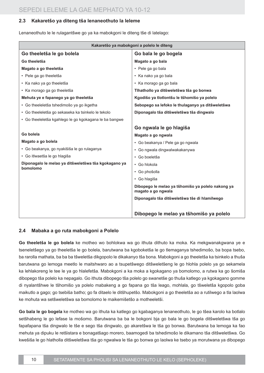#### $2.3$ **2.3 Kakaretšo ya diteng tša lenaneothuto la leleme**

Lenaneothuto le le rulagantšwe go ya ka mabokgoni le diteng tše di latelago:

| Kakaretšo ya mabokgoni a polelo le diteng                        |                                                                         |  |
|------------------------------------------------------------------|-------------------------------------------------------------------------|--|
| Go theeletša le go bolela                                        | Go bala le go bogela                                                    |  |
| Go theeletša                                                     | Magato a go bala                                                        |  |
| Magato a go theeletša                                            | • Pele ga go bala                                                       |  |
| • Pele ga go theeletša                                           | • Ka nako ya go bala                                                    |  |
| • Ka nako ya go theeletša                                        | · Ka morago ga go bala                                                  |  |
| · Ka morago ga go theeletša                                      | Tlhathollo ya ditšweletšwa tša go bonwa                                 |  |
| Mehuta ye e fapanego ya go theeletša                             | Kgodišo ya tlotlontšu le tšhomišo ya polelo                             |  |
| · Go theeleletša tshedimošo ya go ikgetha                        | Sebopego sa lefoko le thulaganyo ya ditšweletšwa                        |  |
| • Go theeleletša go sekaseka ka tsinkelo le tekolo               | Diponagalo tša ditšweletšwa tša dingwalo                                |  |
| · Go theeleletša kgahlego le go kgokagana le ba bangwe           |                                                                         |  |
|                                                                  | Go ngwala le go hlagiša                                                 |  |
| Go bolela                                                        | Magato a go ngwala                                                      |  |
| Magato a go bolela                                               | · Go beakanya / Pele ga go ngwala                                       |  |
| • Go beakanya, go nyakišiša le go rulaganya                      | · Go ngwala dingwalwakakanywa                                           |  |
| · Go itlwaetša le go hlagiša                                     | • Go boeletša                                                           |  |
| Diponagalo le melao ya ditšweletšwa tša kgokagano ya<br>bomolomo | • Go hlokola                                                            |  |
|                                                                  | • Go phošolla                                                           |  |
|                                                                  | • Go hlagiša                                                            |  |
|                                                                  | Dibopego le melao ya tšhomišo ya polelo nakong ya<br>magato a go ngwala |  |
|                                                                  | Diponagalo tša ditšweletšwa tše di hlamilwego                           |  |
|                                                                  |                                                                         |  |
|                                                                  | Dibopego le melao ya tšhomišo ya polelo                                 |  |

### **2.4 Mabaka a go ruta mabokgoni a Polelo**

**Go theeletša le go bolela** ke motheo wo bohlokwa wa go ithuta dithuto ka moka. Ka mekgwanakgwana ye e tseneletšego ya go theeletša le go bolela, barutwana ba kgoboketša le go tlemaganya tshedimošo, ba bopa tsebo, ba rarolla mathata, ba ba ba tšweletša dikgopolo le dikakanyo tša bona. Mabokgoni a go theeletša ka tsinkelo a thuša barutwana go lemoga meetlo le maitshwaro ao a tsupetšwego ditšweletšeng le go hlohla polelo ya go sekamela ka lehlakoreng le tee le ya go hlalefetša. Mabokgoni a ka moka a kgokagano ya bomolomo, a rutwa ka go šomiša dibopego tša polelo ka nepagalo. Go ithuta dibopego tša polelo go swanetše go thuša katlego ya kgokagano gomme di nyalantšhwe le tšhomišo ya polelo mabakeng a go fapana go tša leago, mohlala, go tšweletša kgopolo goba maikutlo a gago; go tsebiša batho; go fa ditaelo le ditšhupetšo. Mabokgoni a go theeletša ao a rutilwego a tla laolwa ke mohuta wa setšweletšwa sa bomolomo le maikemišetšo a motheeletši.

**Go bala le go bogela** ke motheo wa go ithuta ka katlego go kgabaganya lenaneothuto, le go tšea karolo ka botlalo setšhabeng le go lefase la mošomo. Barutwana ba ba le bokgoni bja go bala le go bogela ditšweletšwa tša go fapafapana tša dingwalo le tše e sego tša dingwalo, go akaretšwa le tša go bonwa. Barutwana ba lemoga ka fao mehuta ya dipuku le retšistara e bonagatšago morero, baamogedi ba tshedimošo le dikamano tša ditšweletšwa. Go kwešiša le go hlatholla ditšweletšwa tša go ngwalwa le tša go bonwa go laolwa ke tsebo ya morutwana ya dibopego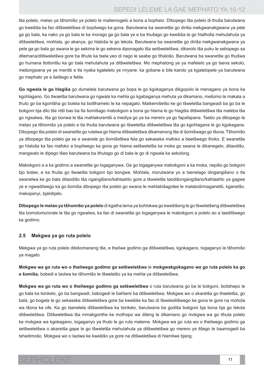tša polelo, melao ya tšhomišo ya polelo le maitemogelo a bona a bophelo. Dibopego tša polelo di thuša barutwana go kwešiša ka fao ditšweletšwa di bopilwego ka gona. Barutwana ba swanetše go diriša mekgwanakgwana ya pele ga go bala, ka nako ya go bala le ka morago ga go bala ye e ba thušago go kwešiša le go hlatholla mehutahuta ya ditšweletšwa, mohlala, go akanya, go hlaloša le go lekola. Barutwana ba swanetše go diriša mekgwanakgwana ya pele ga go bala go swana le go sekima le go sekena diponagalo tša setšweletšwa, dikarolo tša puku le sebopego sa ditemana/ditšweletšwa gore ba ithute ka tsela yeo di nago le seabe go tlhalošo. Barutwana ba swanetše go thušwa go humana tlotlontšu ka go bala mehutahuta ya ditšweletšwa. Mo mephatong ye ya mafelelo ya go tsena sekolo, mešongwana ye ye mentši e tla nyaka kgatelelo ye nnyane: ka gobane e bile karolo ya kgatelopele ya barutwana go mephato ye e šetšego e fetile.

**Go ngwala le go hlagiša** go dumelela barutwana go bopa le go kgokaganya dikgopolo le menagano ya bona ka kgohlagano. Go tlwaetša barutwana go ngwala ka mehla go kgabaganya mehuta ya dikamano, mešomo le makala a thuto go ba kgontšha go bolela ka boitlhamelo le ka nepagalo. Maikemišetšo ke go tšweletša bangwadi ba go ba le bokgoni bja dilo tše ntši bao ba tla šomišago mabokgoni a bona go hlama le go hlagiša ditšweletšwa tša maleba tša go ngwalwa, tša go bonwa le tša mahlakorentši a mediya go ya ka merero ya go fapafapana. Tsebo ya dibopego le melao ya tšhomišo ya polelo e tla thuša barutwana go tšweletša ditšweletšwa tša go kgohlagana le go kgokagana. Dibopego tša polelo di swanetše go rutelwa go hlama ditšweletšwa dikamanong tše di šomišwago go tšona. Tšhomišo ya dibopego tša polelo ga se e swanele go šomišetšwa fela go sekaseka mafoko a beetšwego thoko. E swanetše go hlaloša ka fao mafoko a bopilwego ka gona go hlama setšweletša ka moka go swana le dikanegelo, ditaodišo, mangwalo le dipego tšeo barutwana ba ithutago go di bala le go di ngwala ka sekolong.

Mabokgoni a a ka godimo a swanetše go logaganywa. Ge go logaganywa mabokgoni a ka moka, nepišo go bokgoni bjo botee, e ka thuša go tlwaetša bokgoni bjo bongwe. Mohlala, morutwana yo a tsenelago dingangišano o tla swanelwa ke go bala ditaodišo tša ngangišano/kahlaahlo gore a tšweletše taodišongangišano/kahlaahlo ya gagwe ye e ngwadilwego ka go šomiša dibopego tša polelo go swana le mahlalošagotee le malatodi/maganetši, kganetšo, makopanyi, bjalobjalo.

**Dibopego le melao ya tšhomišo ya polelo** di kgatha tema ya bohlokwa go kwešišeng le go tšweletšeng ditšweletšwa tša bomolomo/orale le tša go ngwalwa, ka fao di swanetše go logaganywa le mabokgoni a polelo ao a laeditšwego ka godimo.

### **2.5 Mekgwa ya go ruta polelo**

Mekgwa ya go ruta polelo ditokomaneng tše, e theilwe godimo ga ditšweletšwa, kgokagano, togaganyo le tšhomišo ya magato.

**Mokgwa wa go ruta wo o theilwego godimo ga setšweletšwa** le **mokgwakgokagano wa go ruta polelo ka go e šomiša,** bobedi e laolwa ke tšhomišo le tšweletšo ya ka mehla ya ditšweletšwa.

**Mokgwa wa go ruta wo o theilwego godimo ga setšweletšwa** o ruta barutwana go ba le bokgoni, boitshepo le go bala ka tsinkelo, go ba bangwadi, babogedi le bahlami ba ditšweletšwa. Mokgwa wo o akaretša go theeletša, go bala, go bogela le go sekaseka ditšweletšwa gore ba kwešiše ka fao di tšweleditšwego ka gona le gore na mohola wa tšona ke ofe. Ka go tsenelela ditšweletšwa ka tsinkelo, barutwana ba godiša bokgoni bja bona bja go lekola ditšweletšwa. Ditšweletšwa tša mmakgonthe ke mothopo wa diteng le dikamano go mokgwa wa go ithuta polelo ka mokgwa wa kgokagano, togaganyo ya thuto le go ruta maleme. Mokgwa wa go ruta wo o theilwego godimo ga setšweletšwa o akaretša gape le go tšweletša mehutahuta ya ditšweletšwa go merero ye itšego le baamogedi ba tshedimošo. Mokgwa wo o laolwa ke kwešišo ya gore na ditšweletšwa di hlamilwe bjang.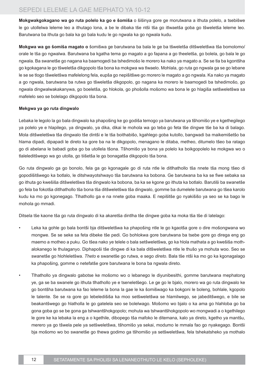**Mokgwakgokagano wa go ruta polelo ka go e šomiša** o šišinya gore ge morutwana a ithuta polelo, a tsebišwe le go utollelwa leleme leo a ithutago lona, a be le dibaka tše ntši tša go itlwaetša goba go tšweletša leleme leo. Barutwana ba ithuta go bala ka go bala kudu le go ngwala ka go ngwala kudu.

**Mokgwa wa go šomiša magato o** šomišwa ge barutwana ba bala le ge ba tšweletša ditšweletšwa tša bomolomo/ orale le tša go ngwalwa. Barutwana ba kgatha tema go magato a go fapana a go theeletša, go bolela, go bala le go ngwala. Ba swanetše go nagana ka baamogedi ba tshedimošo le morero ka nako ya magato a. Se se tla ba kgontšha go kgokagana le go tšweletša dikgopolo tša bona ka mokgwa wa tlwaelo. Mohlala, go ruta go ngwala ga se go lebane le se se tlogo tšweletšwa mafelelong fela, eupša go nepišitšwe go morero le magato a go ngwala. Ka nako ya magato a go ngwala, barutwana ba rutwa go tšweletša dikgopolo, go nagana ka morero le baamogedi ba tshedimošo, go ngwala dingwalwakakanywa, go boeletša, go hlokola, go phošolla mošomo wa bona le go hlagiša setšweletšwa sa mafelelo seo se bolelago dikgopolo tša bona.

### **Mekgwa ya go ruta dingwalo**

Lebaka le legolo la go bala dingwalo ka phapošing ke go godiša temogo ya barutwana ya tšhomišo ye e kgethegilego ya polelo ye e hlapilego, ya dingwalo, ya dika, dikai le mohola wa go teba go feta tše dingwe tše ba ka di balago. Mola ditšweletšwa tša dingwalo tše dintši e le tša boithabišo, kgahlego goba kutollo, bangwadi ba maikemišetšo ba hlama dipadi, dipapadi le direto ka gore ba na le dikgopolo, menagano le ditaba, metheo, ditumelo tšeo ba ratago go di abelana le babadi goba go ba utollela tšona. Tšhomišo ya bona ya polelo ka boikgopolelo ke mokgwa wo o tlaleleditšwego wa go utolla, go tiišetša le go bonagatša dikgopolo tša bona.

Go ruta dingwalo ga go bonolo, fela ga go kgonagale go di ruta ntle le ditlhathollo tša nnete tša mong tšeo di gopodišitšwego ka botlalo, le ditshwayotshwayo tša barutwana ka bobona. Ge barutwana ba ka se fiwe sebaka sa go ithuta go kwešiša ditšweletšwa tša dingwalo ka bobona, ba ka se kgone go ithuta ka botlalo. Barutiši ba swanetše go fela ba fokotša ditlhathollo tša bona tša ditšweletšwa tša dingwalo, gomme ba dumelele barutwana go tšea karolo kudu ka mo go kgonegago. Tlhathollo ga e na nnete goba maaka. E nepišitše go nyakišišo ya seo se ka bago le mohola go mmadi.

Ditsela tše kaone tša go ruta dingwalo di ka akaretša dintlha tše dingwe goba ka moka tša tše di latelago:

- Leka ka gohle go bala bontši bja ditšweletšwa ka phapošing ntle le go kgaotša gore o dire mošongwana wo mongwe. Se se seke sa feta dibeke tše pedi. Go bohlokwa gore barutwana ba tsebe gore go direga eng go maemo a motheo a puku. Go tšea nako ye telele o bala setšweletšwa, go ka hlola mathata a go kwešiša mothalokanego le thulaganyo. Diphapoši tše dingwe di ka bala ditšweletšwa ntle le thušo ya mohuta woo. Seo se swanetše go hlohleletšwa. *Theto* e swanetše go rutwa, e sego *direto*. Bala tše ntši ka mo go ka kgonagalago ka phapošing, gomme o netefatše gore barutwana le bona ba ngwala direto.
- Tlhathollo ya dingwalo gabotse ke mošomo wo o lebanego le diyunibesithi, gomme barutwana mephatong ye, ga se ba swanele go ithuta tlhathollo ye e tseneletšego. Le ge go le bjalo, morero wa go ruta dingwalo ke go bontšha barutwana ka fao leleme la bona la gae le ka šomišwago ka bokgoni le boleng, bohlale, kgopolo le talente. Se se ra gore go lebeledišiša ka moo setšweletšwa se hlamilwego, se jabeditšwego, e bile se beakantšwego go hlatholla le go gatelela seo se bolelwago. Mošomo wo bjalo o ka ama go hlahloba go ba gona goba go se be gona ga tshwantšhokgopolo; mohuta wa tshwantšhokgopolo wo mongwadi a o kgethilego le gore ke ka lebaka la eng a o kgethile, dibopego tša mafoko le ditemana, kalo ya direto, kgetho ya mantšu, merero ya go tšwela pele ya setšweletšwa, tšhomišo ya sekai, modumo le mmala fao go nyakegago. Bontši bja mošomo wo bo swanetše go thewa godimo ga tšhomišo ya setšweletšwa, fela tshekatsheko ya mothalo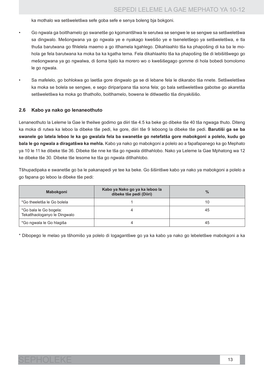ka mothalo wa setšweletšwa sefe goba sefe e senya boleng bja bokgoni.

- Go ngwala ga boitlhamelo go swanetše go kgomantšhwa le serutwa se sengwe le se sengwe sa setšweletšwa sa dingwalo. Mešongwana ya go ngwala ye e nyakago kwešišo ye e tseneletšego ya setšweletšwa, e tla thuša barutwana go fihlelela maemo a go itlhamela kgahlego. Dikahlaahlo tša ka phapošing di ka ba le mohola ge fela barutwana ka moka ba ka kgatha tema. Fela dikahlaahlo tša ka phapošing tše di lebišitšwego go mešongwana ya go ngwalwa, di šoma bjalo ka morero wo o kwešišegago gomme di hola bobedi bomolomo le go ngwala.
- Sa mafelelo, go bohlokwa go laetša gore dingwalo ga se di lebane fela le dikarabo tša nnete. Setšweletšwa ka moka se bolela se sengwe, e sego diriparipana tša sona fela; go bala setšweletšwa gabotse go akaretša setšweletšwa ka moka go tlhathollo, boitlhamelo, bowena le ditlwaetšo tša dinyakišišo.

### **2.6 Kabo ya nako go lenaneothuto**

Lenaneothuto la Leleme la Gae le theilwe godimo ga diiri tše 4.5 ka beke go dibeke tše 40 tša ngwaga thuto. Diteng ka moka di rutwa ka leboo la dibeke tše pedi, ke gore, diiri tše 9 leboong la dibeke tše pedi. **Barutiši ga se ba swanele go latela leboo le ka go gwalala fela ba swanetše go netefatša gore mabokgoni a polelo, kudu go bala le go ngwala a diragatšwa ka mehla.** Kabo ya nako go mabokgoni a polelo ao a fapafapanego ka go Mephato ya 10 le 11 ke dibeke tše 36. Dibeke tše nne ke tša go ngwala ditlhahlobo. Nako ya Leleme la Gae Mphatong wa 12 ke dibeke tše 30. Dibeke tše lesome ke tša go ngwala ditlhahlobo.

Tšhupadipaka e swanetše go ba le pakanapedi ye tee ka beke. Go šišintšwe kabo ya nako ya mabokgoni a polelo a go fapana go leboo la dibeke tše pedi:

| <b>Mabokgoni</b>                                       | Kabo ya Nako go ya ka leboo la<br>dibeke tše pedi (Diiri) | $\frac{0}{0}$ |
|--------------------------------------------------------|-----------------------------------------------------------|---------------|
| *Go theeletša le Go bolela                             |                                                           | 10            |
| *Go bala le Go bogela:<br>Tekatlhaologanyo le Dingwalo |                                                           | 45            |
| *Go ngwala le Go hlagiša                               |                                                           | 45            |

\* Dibopego le melao ya tšhomišo ya polelo di logagantšwe go ya ka kabo ya nako go lebeletšwe mabokgoni a ka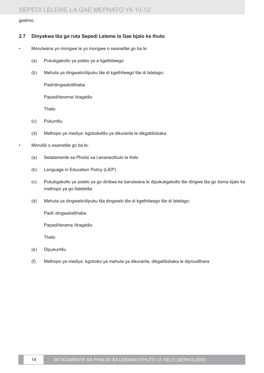godimo.

### **2.7 Dinyakwa tša go ruta Sepedi Leleme la Gae bjalo ka thuto**

- Morutwana yo mongwe le yo mongwe o swanetše go ba le:
	- (a) Pukukgakollo ya polelo ye e kgethilwego
	- (b) Mehuta ya dingwalo/dipuku tše di kgethilwego tše di latelago:

Padi/dingwalotšhaba

Papadi/terama/ tiragatšo

Theto

- (c) Pukuntšu
- (d) Methopo ya mediya: kgoboketšo ya dikuranta le dikgatišobaka
- Morutiši o swanetše go ba le:
	- (a) Setatamente sa Pholisi sa Lenaneothuto le Kelo
	- (b) Language in Education Policy (LiEP)
	- (c) Pukukgakollo ya polelo ya go dirišwa ke barutwana le dipukukgakollo tše dingwe tša go šoma bjalo ka methopo ya go tlaleletša
	- (d) Mehuta ya dingwalo/dipuku tša dingwalo tše di kgethilwego tše di latelago:

Padi/ dingwalotšhaba

Papadi/terama /tiragatšo

Theto

- (e) Dipukuntšu
- (f) Methopo ya mediya: kgoboko ya mehuta ya dikuranta, dikgatišobaka le diproutšhara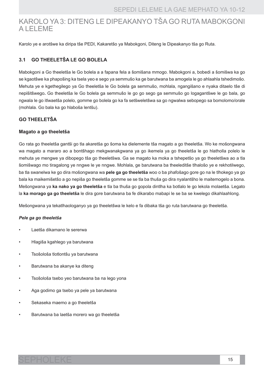## KAROLO ya 3: DITENG LE DIPEAKANYO TŠA GO RUTA MABOKGONI A LELEME

Karolo ye e arotšwe ka diripa tše PEDI, Kakaretšo ya Mabokgoni, Diteng le Dipeakanyo tša go Ruta.

### **3.1 GO THEELETŠA LE GO BOLELA**

Mabokgoni a Go theeletša le Go bolela a a fapana fela a šomišana mmogo. Mabokgoni a, bobedi a šomišwa ka go se kgaotšwe ka phapošing ka tsela yeo e sego ya semmušo ka ge barutwana ba amogela le go ahlaahla tshedimošo. Mehuta ye e kgethegilego ya Go theeletša le Go bolela ga semmušo, mohlala, ngangišano e nyaka ditaelo tše di nepišitšwego**.** Go theeletša le Go bolela ga semmušo le go go sego ga semmušo go logagantšwe le go bala, go ngwala le go itlwaetša polelo, gomme go bolela go ka fa setšweletšwa sa go ngwalwa sebopego sa bomolomo/orale (mohlala. Go bala ka go hlaboša lentšu).

### **GO THEELETŠA**

### **Magato a go theeletša**

Go rata go theeletša gantši go tla akaretša go šoma ka dielemente tša magato a go theeletša. Wo ke mošongwana wa magato a mararo ao a bontšhago mekgwanakgwana ya go ikemela ya go theeletša le go hlatholla polelo le mehuta ye mengwe ya dibopego tša go theeletšwa. Ga se magato ka moka a tshepetšo ya go theeletšwa ao a tla šomišwago mo tiragalong ye nngwe le ye nngwe. Mohlala, ge barutwana ba theeleditše tlhalošo ye e rekhotilwego, ba tla swanelwa ke go dira mošongwana wa **pele ga go theeletša** woo o ba phafošago gore go na le tlhokego ya go bala ka maikemišetšo a go nepiša go theeletša gomme se se tla ba thuša go dira nyalantšho le maitemogelo a bona. Mešongwana ya **ka nako ya go theeletša** e tla ba thuša go gopola dintlha ka botlalo le go lekola molaetša. Legato la **ka morago ga go theeletša** le dira gore barutwana ba fe dikarabo mabapi le se ba se kwelego dikahlaahlong.

Mešongwana ya tekatlhaologanyo ya go theeletšwa le kelo e fa dibaka tša go ruta barutwana go theeletša.

### *Pele ga go theeletša*

- Laetša dikamano le sererwa
- Hlagiša kgahlego ya barutwana
- Tsošološa tlotlontšu ya barutwana
- Barutwana ba akanye ka diteng
- Tsošološa tsebo yeo barutwana ba na lego yona
- Aga godimo ga tsebo ya pele ya barutwana
- Sekaseka maemo a go theeletša
- Barutwana ba laetša morero wa go theeletša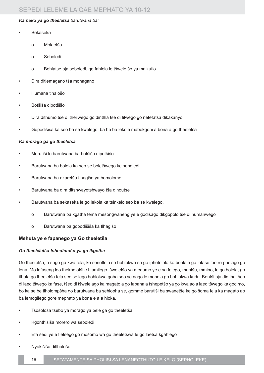### *Ka nako ya go theeletša barutwana ba:*

- Sekaseka
	- o Molaetša
	- o Seboledi
	- o Bohlatse bja seboledi, go fahlela le tšweletšo ya maikutlo
- Dira ditlemagano tša monagano
- Humana tlhalošo
- Botšiša dipotšišo
- Dira dithumo tše di theilwego go dintlha tše di filwego go netefatša dikakanyo
- Gopodišiša ka seo ba se kwelego, ba be ba lekole mabokgoni a bona a go theeletša

### *Ka morago ga go theeletša*

- Morutiši le barutwana ba botšiša dipotšišo
- Barutwana ba bolela ka seo se boletšwego ke seboledi
- Barutwana ba akaretša tlhagišo ya bomolomo
- Barutwana ba dira ditshwayotshwayo tša dinoutse
- Barutwana ba sekaseka le go lekola ka tsinkelo seo ba se kwelego.
	- o Barutwana ba kgatha tema mešongwaneng ye e godišago dikgopolo tše di humanwego
	- o Barutwana ba gopodišiša ka tlhagišo

### **Mehuta ye e fapanego ya Go theeletša**

### *Go theeleletša tshedimošo ya go ikgetha*

Go theeletša, e sego go kwa fela, ke senotlelo se bohlokwa sa go iphetolela ka bohlale go lefase leo re phelago go lona. Mo lefaseng leo theknolotši e hlamilego tšweletšo ya medumo ye e sa felego, mantšu, mmino, le go bolela, go ithuta go theeletša fela seo se lego bohlokwa goba seo se nago le mohola go bohlokwa kudu. Bontši bja dintlha tšeo di laeditšwego ka fase, tšeo di tšwelelago ka magato a go fapana a tshepetšo ya go kwa ao a laeditšwego ka godimo, bo ka se be tlholompšha go barutwana ba sehlopha se, gomme barutiši ba swanetše ke go šoma fela ka magato ao ba lemogilego gore mephato ya bona e a a hloka.

- Tsošološa tsebo ya morago ya pele ga go theeletša
- Kgonthišiša morero wa seboledi
- Efa šedi ye e tletšego go mošomo wa go theeletšwa le go laetša kgahlego
- Nyakišiša ditlhalošo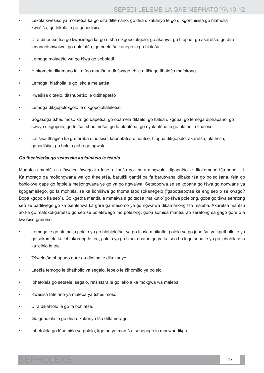- Lekola kwešišo ya molaetša ka go dira ditlemano, go dira dikakanyo le go di kgonthišiša go hlatholla kwešišo, go lekola le go gopodišiša.
- Dira dinoutse tša go kwešišega ka go ntšha dikgopolokgolo, go akanya, go hlopha, go akaretša, go dira lenaneotshwaiwa, go nolofatša, go boeletša kanego le go hlaloša
- Lemoga molaetša wa go tšwa go seboledi
- Hlokomela dikamano le ka fao mantšu a dirišwago ebile a tlišago tlhalošo mafokong
- Lemoga, hlatholla le go lekola melaetša
- Kwešiša ditaelo, ditšhupetšo le ditšhepetšo
- Lemoga dikgopolokgolo le dikgopolotlaleletšo
- Šogašoga tshedimošo ka: go bapetša, go obamela ditaelo, go tlatša dikgoba, go lemoga diphapano, go swaya dikgopolo, go fetiša tshedimošo, go latelantšha, go nyalantšha le go hlatholla tlhalošo
- Latišiša tlhagišo ka go: araba dipotšišo, kaonafatša dinoutse, hlopha dikgopolo, akaretša, hlatholla, gopodišiša, go bolela goba go ngwala

### *Go theeleletša go sekaseka ka tsinkelo le tekolo*

Magato a mantši a a tšweleditšwego ka fase, a thuša go ithuta dingwalo, dipapatšo le ditokomane tša sepolitiki. Ka morago ga mošongwana wa go theeletša, barutiši gantši ba fa barutwana dibaka tša go boledišana, fela go bohlokwa gape go fetolela mešongwana ye go ya go ngwalwa. Setsopolwa se se kopana go tšwa go nonwane ya kgogamašego, go fa mohlala, se ka šomišwa go thoma taodišokanegelo ("gabotsebotse ke eng seo o se kwago? Bopa kgopolo ka seo"). Go kgetha mantšu a mmalwa a go tsoša 'maikutlo' go tšwa polelong, goba go tšwa seretong seo se badilwego go ka tsentšhwa ka gare ga mešomo ya go ngwalwa dikamanong tša maleba. Akaretša mantšu ao ka go mafokokganetšo go seo se boletšwego mo polelong; goba šomiša mantšu ao seretong sa gago gore o a kwešiše gabotse.

- Lemoga le go hlatholla polelo ya go hlohleletša, ya go tsoša maikutlo, polelo ya go jabetša, ya kgethollo le ya go sekamela ka lehlakoreng le tee, polelo ya go hlaola batho go ya ka seo ba lego sona le ya go lebelela dilo ka leihlo le tee.
- Tšweletša phapano gare ga dintlha le dikakanyo.
- Laetša temogo le tlhathollo ya segalo, lebelo le tšhomišo ya polelo.
- Iphetolela go setaele, segalo, retšistara le go lekola ka mokgwa wa maleba.
- Kwešiša tatelano ya maleba ya tshedimošo.
- Dira dikahlolo le go fa bohlatse.
- Go gopolela le go dira dikakanyo tša ditlamorago.
- Iphetolela go tšhomišo ya polelo, kgetho ya mantšu, sebopego le maswaodikga.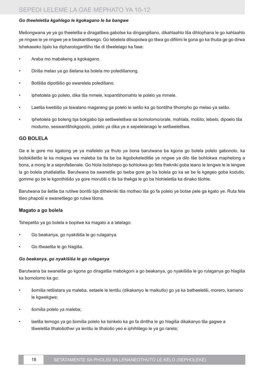### *Go theeleletša kgahlego le kgokagano le ba bangwe*

Mešongwana ye ya go theeletša e diragatšwa gabotse ka dingangišano, dikahlaahlo tša dihlophana le go kahlaahlo ye nngwe le ye nngwe ye e beakantšwego. Go lebelela ditsopolwa go tšwa go difilimi le gona go ka thuša ge go dirwa tshekaseko bjalo ka dipharologantšho tše di tšwelelago ka fase:

- Araba mo mabakeng a kgokagano.
- Diriša melao ya go šielana ka bolela mo poledišanong.
- Botšiša dipotšišo go swarelela poledišano.
- Iphetolela go polelo, dika tša mmele, kopantšhomahlo le polelo ya mmele.
- Laetša kwešišo ya tswalano magareng ga polelo le setšo ka go bontšha tlhompho go melao ya setšo.
- Iphetolela go boleng bja bokgabo bja setšweletšwa sa bomolomo/orale, mohlala, mošito, lebelo, dipoelo tša modumo, seswantšhokgopolo, polelo ya dika ye e sepelelanago le setšweletšwa.

### **GO BOLELA**

Ge e le gore mo kgatong ye ya mafelelo ya thuto ya bona barutwana ba kgona go bolela polelo gabonolo, ka boitokišetšo le ka mokgwa wa maleba ba tla be ba ikgobokeleditše ye nngwe ya dilo tše bohlokwa maphelong a bona, a mong le a seprofešenale. Go hlola boitshepo go bohlokwa go feta thekniki goba leano le lengwe le le lengwe la go bolela phatlalatša. Barutwana ba swanetše go tseba gore ge ba bolela go ka se be le kgegeo goba kodutlo, gomme go be le kgonthišišo ya gore morutiši o tla ba thekga le go ba hlohleletša ka dinako tšohle.

Barutwana ba šetše ba rutilwe bontši bja dithekniki tša motheo tša go fa polelo ye botse pele ga kgato ye. Ruta fela tšeo phapoši e swanetšego go rutwa tšona.

### **Magato a go bolela**

Tshepetšo ya go bolela e bopilwe ka magato a a latelago:

- Go beakanya, go nyakišiša le go rulaganya.
- Go itlwaetša le go hlagiša.

### *Go beakanya, go nyakišiša le go rulaganya*

Barutwana ba swanetše go kgona go diragatša mabokgoni a go beakanya, go nyakišiša le go rulaganya go hlagiša ka bomolomo ka go:

- šomiša retšistara ya maleba, setaele le lentšu (dikakanyo le maikutlo) go ya ka batheeletši, morero, kamano le kgwekgwe;
- šomiša polelo va maleba:
- laetša temogo ya go šomiša polelo ka tsinkelo ka go fa dintlha le go hlagiša dikakanyo tša gagwe a tšweletša tlhalošothwi ya lentšu le tlhalošo yeo e iphihlilego le ya go rarela;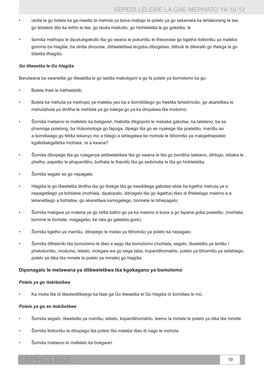- utolla le go bolela ka ga meetlo le mehola ya bona mabapi le polelo ya go sekamela ka lehlakoreng le tee, go lebelela dilo ka leihlo le tee, go tsoša maikutlo, go hlohleletša le go goketša; le
- šomiša methopo le dipukukgakollo tša go swana le pukuntšu le thesorase go kgetha tlotlontšu ya maleba gomme ba hlagiše, ba diriša dinoutse, ditheeletšwa le/goba dibogelwa; dithuši le dikerafo go thekga le go tiišetša tlhagišo.

### *Go itlwaetša le Go hlagiša*

Barutwana ba swanetše go itlwaetša le go laetša mabokgoni a go fa polelo ya bomolomo ka go:

- Bolela thwii le batheeletši;
- Bolela ka mehuta ya methopo ya maleba yeo ba e šomišitšego go hwetša tshedimošo, go akaretšwa le mehutahuta ya dintlha le mehlala ya go balega go ya ka dinyakwa tša mošomo;
- Šomiša matseno le mafelelo ka bokgwari, hlabolla dikgopolo le mabaka gabotse, ka tatelano; ba sa phamoge polelong, ba hlokomologa go fapoga, dipego tša go se nyakege tša poeletšo, mantšu ao a šomišwago go fetiša tekanyo mo a bilego a lahlegelwa ke mohola le tšhomišo ya makgethepolelo kgafetšakgafetša mohlala, re a kwana?
- Šomiša dibopego tša go rulaganya setšweletšwa tša go swana le tša go bontšha tatelano, dihlogo, lebaka le phetho, papetšo le phapantšho, bothata le tharollo tša go sedimoša le tša go hlohleletša;
- Šomiša segalo sa go nepagala;
- Hlagiša le go tšweletša dintlha tša go thekga tša go kwešišega gabotse ebile ba kgetha mehuta ye e nepagetšego ya bohlatse (mohlala, dipalopalo, ditiragalo tša go ikgetha) tšeo di fihlelelago maemo a a lekanetšego a bohlatse, go akaretšwa kamogelego, bonnete le tshepagalo;
- Šomiša mekgwa ya maleba ya go bitša batho go ya ka maemo a bona a go fapana goba poeletšo: (mohlala, bomme le bontate, magagešo; ke rata go gatelela gore);
- Šomiša kgetho ya mantšu, dibopego le melao ya tšhomišo ya polelo ka nepagalo;
- Šomiša dithekniki tša bomolomo le tšeo e sego tša bomolomo (mohlala, segalo, tšweletšo ya lentšu / phetošontšu, modumo, lebelo, mokgwa wa go bega taba, kopantšhomahlo, polelo ya tšhomišo ya sefahlego, polelo ya dika tša mmele le polelo ya mmele) go hlagiša.

### **Diponagalo le melawana ya ditšweletšwa tša kgokagano ya bomolomo**

### *Polelo ya go itokišetšwa*

• Ka moka tše di tšweleditšwego ka fase ga Go itlwaetša le Go hlagiša di šomišwa le mo.

### *Polelo ya go se itokišetšwe*

- Šomiša segalo, tšweletšo ya mantšu, lebelo, kopantšhomahlo, leemo la mmele le polelo ya dika tša mmele.
- Šomiša tlotlontšu le dibopego tša polelo tša maleba tšeo di nago le mohola.
- Šomiša matseno le mafelelo ka bokgwari.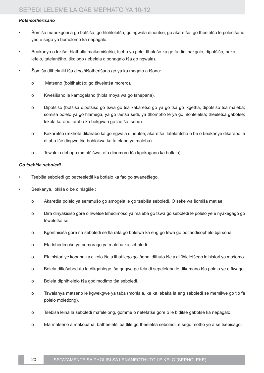### *Potšišotherišano*

- Šomiša mabokgoni a go botšiša, go hlohleletša, go ngwala dinoutse, go akaretša, go theeletša le poledišano yeo e sego ya bomolomo ka nepagalo
- Beakanya o lokiše: hlatholla maikemišetšo, tsebo ya pele, tlhalošo ka go fa dintlhakgolo, dipotšišo, nako, lefelo, tatelantšho, tikologo (lebelela diponagalo tša go ngwala).
- Šomiša dithekniki tša dipotšišotherišano go ya ka magato a tšona:
	- o Matseno (boitlhalošo; go tšweletša morero).
	- o Kwešišano le kamogelano (hlola moya wa go tshepana).
	- o Dipotšišo (botšiša dipotšišo go tšwa go tša kakaretšo go ya go tša go ikgetha, dipotšišo tša maleba; šomiša polelo ya go hlamega, ya go laetša šedi, ya tlhompho le ya go hlohleletša; theeletša gabotse; lekola karabo, araba ka bokgwari go laetša tsebo).
	- o Kakaretšo (rekhota dikarabo ka go ngwala dinoutse; akaretša; latelantšha o be o beakanye dikarabo le ditaba tše dingwe tše bohlokwa ka tatelano ya maleba).
	- o Tswalelo (leboga mmotšišwa; efa dinomoro tša kgokagano ka botlalo).

#### *Go tsebiša seboledi*

- Tsebiša seboledi go batheeletši ka botlalo ka fao go swanetšego.
- Beakanya, lokiša o be o hlagiše :
	- o Akaretša polelo ya semmušo go amogela le go tsebiša seboledi. O seke wa šomiša metlae.
	- o Dira dinyakišišo gore o hwetše tshedimošo ya maleba go tšwa go seboledi le polelo ye e nyakegago go tšweletša se.
	- o Kgonthišiša gore na seboledi se tla rata go bolelwa ka eng go tšwa go boitaodišophelo bja sona.
	- o Efa tshedimošo ya bomorago ya maleba ka seboledi.
	- o Efa histori ye kopana ka dikolo tše a ithutilego go tšona, dithuto tše a di fihleletšego le histori ya mošomo.
	- o Bolela ditlošabodutu le dikgahlego tša gagwe ge fela di sepelelana le dikamano tša polelo ye e fiwago.
	- o Bolela diphihlelelo tša godimodimo tša seboledi.
	- o Tswalanya matseno le kgwekgwe ya taba (mohlala, ke ka lebaka la eng seboledi se memilwe go tlo fa polelo moletlong).
	- o Tsebiša leina la seboledi mafelelong, gomme o netefatše gore o le biditše gabotse ka nepagalo.
	- o Efa matseno a makopana; batheeletši ba tlile go theeletša seboledi, e sego motho yo a se tsebišago.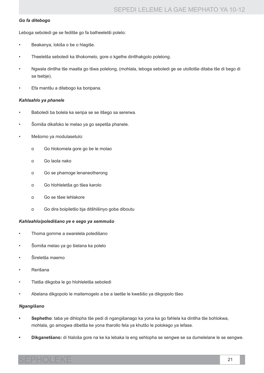### *Go fa ditebogo*

Leboga seboledi ge se feditše go fa batheeletši polelo:

- Beakanya, lokiša o be o hlagiše.
- Theeletša seboledi ka tlhokomelo, gore o kgethe dintlhakgolo polelong.
- Ngwala dintlha tše maatla go tšwa polelong, (mohlala, leboga seboledi ge se utollotše ditaba tše di bego di sa tsebje).
- Efa mantšu a ditebogo ka boripana.

### *Kahlaahlo ya phanele*

- Baboledi ba bolela ka seripa se se itšego sa sererwa.
- Šomiša dikafoko le melao ya go sepetša phanele.
- Mešomo ya modulasetulo:
	- o Go hlokomela gore go be le molao
	- o Go laola nako
	- o Go se phamoge lenaneotherong
	- o Go hlohleletša go tšea karolo
	- o Go se tšee lehlakore
	- o Go dira boipiletšo bja ditšhišinyo goba diboutu

### *Kahlaahlo/poledišano ye e sego ya semmušo*

- Thoma gomme a swarelela poledišano
- Šomiša melao ya go šielana ka polelo
- Šireletša maemo
- Rerišana
- Tlatša dikgoba le go hlohleletša seboledi
- Abelana dikgopolo le maitemogelo a be a laetše le kwešišo ya dikgopolo tšeo

### *Ngangišano*

- **• Sephetho**: taba ye dihlopha tše pedi di ngangišanago ka yona ka go fahlela ka dintlha tše bohlokwa, mohlala, go amogwa dibetša ke yona tharollo fela ya khutšo le polokego ya lefase.
- **• Dikganetšano:** di hlaloša gore na ke ka lebaka la eng sehlopha se sengwe se sa dumelelane le se sengwe.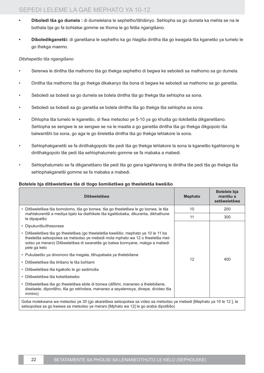- $\bullet$ **• Diboledi tša go dumela :** di dumelelana le sephetho/tšhišinyo. Sehlopha sa go dumela ka mehla se na le bothata bja go fa bohlatse gomme se thoma le go fetša ngangišano.
- **• Diboledikganetši:** di ganetšana le sephetho ka go hlagiša dintlha tša go kwagala tša kganetšo ya tumelo le go thekga maemo.

### *Ditshepetšo tša ngangišano*

- Sererwa le dintlha tša mathomo tša go thekga sephetho di begwa ke seboledi sa mathomo sa go dumela.
- Dintlha tša mathomo tša go thekga dikakanyo tša bona di begwa ke seboledi sa mathomo sa go ganetša.
- Seboledi sa bobedi sa go dumela se bolela dintlha tša go thekga tša sehlopha sa sona.
- Seboledi sa bobedi sa go ganetša se bolela dintlha tša go thekga tša sehlopha sa sona.
- Dihlopha tša tumelo le kganetšo, di fiwa metsotso ye 5-10 ya go khutša go itokišetša dikganetšano. Sehlopha se sengwe le se sengwe se na le maatla a go ganetša dintlha tša go thekga dikgopolo tša balwantšhi ba sona, go aga le go šireletša dintlha tša go thekga lehlakore la sona.
- Sehlophakganetši se fa dintlhakgopolo tše pedi tša go thekga lehlakore la sona la kganetšo kgahlanong le dintlhakgopolo tše pedi tša sehlophatumelo gomme se fa mabaka a mabedi.
- Sehlophatumelo se fa dikganetšano tše pedi tša go gana kgahlanong le dintlha tše pedi tša go thekga tša sehlophakganetši gomme se fa mabaka a mabedi.

### **Botelele bja ditšweletšwa tše di tlogo šomišetšwa go theeleletša kwešišo**

| <b>Ditšweletšwa</b>                                                                                                                                                                                                                                              | <b>Mephato</b> | Botelele bja<br>mantšu a<br>setšweletšwa |
|------------------------------------------------------------------------------------------------------------------------------------------------------------------------------------------------------------------------------------------------------------------|----------------|------------------------------------------|
| • Ditšweletšwa tša bomolomo, tša go bonwa, tša go theeletšwa le go bonwa, le tša                                                                                                                                                                                 | 10             | 200                                      |
| mahlakorentši a mediya bjalo ka diathikele tša kgatišobaka, dikuranta, dikhathune<br>le dipapatšo                                                                                                                                                                | 11             | 300                                      |
| • Dipukuntšu/thesorase                                                                                                                                                                                                                                           |                |                                          |
| • Ditšweletšwa tša go theeletšwa (go theeleletša kwešišo; mephato ya 10 le 11 ba<br>theeletša setsopolwa sa metsotso ye mebedi mola mphato wa 12 o theeletša met-<br>sotso ye meraro) Ditšweletšwa di swanetše go balwa bonnyane, makga a mabedi<br>pele ga kelo |                |                                          |
| • Pukutaetšo ya dinomoro tša megala, tšhupatsela ya thelebišene                                                                                                                                                                                                  |                |                                          |
| • Ditšweletšwa tša tirišano le tša bohlami                                                                                                                                                                                                                       | 12             | 400                                      |
| · Ditšweletšwa tša kgakollo le go sedimoša                                                                                                                                                                                                                       |                |                                          |
| • Ditšweletšwa tša koketšatsebo                                                                                                                                                                                                                                  |                |                                          |
| · Ditšweletšwa tša go theeletšwa ebile di bonwa (difilimi, mananeo a thelebišene,<br>diselaete, dipontšho, tša go rekhotwa, mananeo a seyalemoya, dinepe, divideo tša<br>mmino)                                                                                  |                |                                          |
| Goba molekwana wa metsotso ye 30 (go akaretšwa setsopolwa sa video sa metsotso ye mebedi [Mephato ya 10 le 12 ], le<br>setsopolwa sa go kwewa sa metsotso ye meraro [Mphato wa 12] le go araba dipotšišo)                                                        |                |                                          |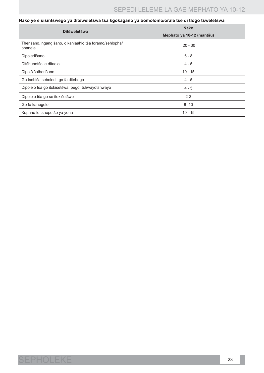### **Nako ye e šišintšwego ya ditšweletšwa tša kgokagano ya bomolomo/orale tše di tlogo tšweletšwa**

| <b>Ditšweletšwa</b>                                                | <b>Nako</b><br>Mephato ya 10-12 (mantšu) |
|--------------------------------------------------------------------|------------------------------------------|
| Therišano, ngangišano, dikahlaahlo tša foramo/sehlopha/<br>phanele | $20 - 30$                                |
| Dipoledišano                                                       | $6 - 8$                                  |
| Ditšhupetšo le ditaelo                                             | $4 - 5$                                  |
| Dipotšišotherišano                                                 | $10 - 15$                                |
| Go tsebiša seboledi, go fa ditebogo                                | $4 - 5$                                  |
| Dipolelo tša go itokišetšwa, pego, tshwayotshwayo                  | $4 - 5$                                  |
| Dipolelo tša go se itokišetšwe                                     | $2 - 3$                                  |
| Go fa kanegelo                                                     | $8 - 10$                                 |
| Kopano le tshepetšo ya yona                                        | $10 - 15$                                |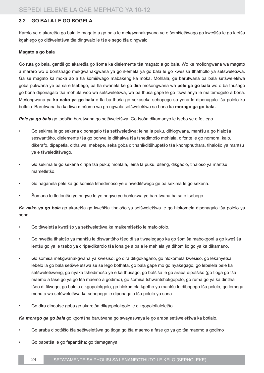#### $3.2$ **3.2 GO BALA LE GO BOGELA**

Karolo ye e akaretša go bala le magato a go bala le mekgwanakgwana ye e šomišetšwago go kwešiša le go laetša kgahlego go ditšweletšwa tša dingwalo le tše e sego tša dingwalo.

### **Magato a go bala**

Go ruta go bala, gantši go akaretša go šoma ka dielemente tša magato a go bala. Wo ke mošongwana wa magato a mararo wo o bontšhago mekgwanakgwana ya go ikemela ya go bala le go kwešiša tlhathollo ya setšweletšwa. Ga se magato ka moka ao a tla šomišwago mabakeng ka moka. Mohlala, ge barutwana ba bala setšweletšwa goba pukwana ye ba sa e tsebego, ba tla swanela ke go dira mošongwana wa **pele ga go bala** wo o ba thušago go bona diponagalo tša mohuta woo wa setšweletšwa, wa ba thuša gape le go itswalanya le maitemogelo a bona. Mešongwana ya **ka nako ya go bala** e tla ba thuša go sekaseka sebopego sa yona le diponagalo tša polelo ka botlalo. Barutwana ba ka fiwa mošomo wa go ngwala setšweletšwa sa bona ka **morago ga go bala.**

*Pele ga go bala* go tsebiša barutwana go setšweletšwa. Go tsoša dikamanyo le tsebo ye e fetilego.

- Go sekima le go sekena diponagalo tša setšweletšwa: leina la puku, dihlogwana, mantšu a go hlaloša seswantšho, dielemente tša go bonwa le dithalwa tša tshedimošo mohlala, difonte le go nomora, kalo, dikerafo, dipapetla, dithalwa, mebepe, seka goba ditlhahli/ditšhupetšo tša khomphuthara, tlhalošo ya mantšu ye e tšweleditšwego.
- Go sekima le go sekena diripa tša puku; mohlala, leina la puku, diteng, dikgaolo, tlhalošo ya mantšu, mametletšo.
- Go naganela pele ka go šomiša tshedimošo ye e hweditšwego ge ba sekima le go sekena.
- Šomana le tlotlontšu ye nngwe le ye nngwe ye bohlokwa ye barutwana ba sa e tsebego.

*Ka nako ya go bala* go akaretša go kwešiša tlhalošo ya setšweletšwa le go hlokomela diponagalo tša polelo ya sona.

- Go tšweletša kwešišo ya setšweletšwa ka maikemišetšo le mafolofolo.
- Go hwetša tlhalošo ya mantšu le diswantšho tšeo di sa tlwaelegago ka go šomiša mabokgoni a go kwešiša lentšu go ya le tsebo ya diripa/dikarolo tša lona ge a bala le mehlala ya tšhomišo go ya ka dikamano.
- Go šomiša mekgwanakgwana ya kwešišo: go dira dikgokagano, go hlokomela kwešišo, go lekanyetša lebelo la go bala setšweletšwa se se lego bothata, go bala gape mo go nyakegago, go lebelela pele ka setšweletšweng, go nyaka tshedimošo ye e ka thušago, go botšiša le go araba dipotšišo (go tloga go tša maemo a fase go ya go tša maemo a godimo), go šomiša tshwantšhokgopolo, go ruma go ya ka dintlha tšeo di filwego, go balela dikgopolokgolo, go hlokomela kgetho ya mantšu le dibopego tša polelo, go lemoga mohuta wa setšweletšwa ka sebopego le diponagalo tša polelo ya sona.
- Go dira dinoutse goba go akaretša dikgopolokgolo le dikgopolotlaleletšo.

*Ka morago ga go bala* go kgontšha barutwana go swayaswaya le go araba setšweletšwa ka botlalo.

- Go araba dipotšišo tša setšweletšwa go tloga go tša maemo a fase go ya go tša maemo a godimo
- Go bapetša le go fapantšha; go tlemaganya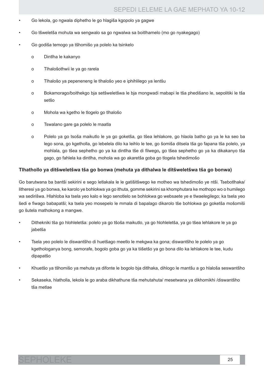- Go lekola, go ngwala diphetho le go hlagiša kgopolo ya gagwe
- Go tšweletša mohuta wa sengwalo sa go ngwalwa sa boitlhamelo (mo go nyakegago)
- Go godiša temogo ya tšhomišo ya polelo ka tsinkelo
	- o Dintlha le kakanyo
	- o Tlhalošothwii le ya go rarela
	- o Tlhalošo ya pepeneneng le tlhalošo yeo e iphihlilego ya lentšu
	- o Bokamorago/boithekgo bja setšweletšwa le bja mongwadi mabapi le tša phedišano le, sepolitiki le tša setšo
	- o Mohola wa kgetho le tlogelo go tlhalošo
	- o Tswalano gare ga polelo le maatla
	- o Polelo ya go tsoša maikutlo le ya go goketša, go tšea lehlakore, go hlaola batho go ya le ka seo ba lego sona, go kgetholla, go lebelela dilo ka leihlo le tee, go šomiša ditsela tša go fapana tša polelo, ya mohlala, go tšea sephetho go ya ka dintlha tše di filwego*,* go tšea sephetho go ya ka dikakanyo tša gago, go fahlela ka dintlha, mohola wa go akaretša goba go tlogela tshedimošo

### **Tlhathollo ya ditšweletšwa tša go bonwa (mehuta ya dithalwa le ditšweletšwa tša go bonwa)**

Go barutwana ba bantši sekirini e sego letlakala le le gatišitšwego ke motheo wa tshedimošo ye ntši. Tsebotlhaka/ litheresi ya go bonwa, ke karolo ye bohlokwa ya go ithuta, gomme sekirini sa khomphutara ke mothopo wo o humilego wa sedirišwa. Hlahloba ka tsela yeo kalo e lego senotlelo se bohlokwa go websaete ye e tlwaelegilego; ka tsela yeo šedi e fiwago babapatši; ka tsela yeo mosepelo le mmala di bapalago dikarolo tše bohlokwa go goketša mošomiši go šutela mathokong a mangwe.

- Dithekniki tša go hlohleletša: polelo ya go tšoša maikutlo, ya go hlohleletša, ya go tšea lehlakore le ya go jabetša
- Tsela yeo polelo le diswantšho di huetšago meetlo le mekgwa ka gona; diswantšho le polelo ya go kgethologanya bong, semorafe, bogolo goba go ya ka tiišetšo ya go bona dilo ka lehlakore le tee, kudu dipapatšo
- Khuetšo ya tšhomišo ya mehuta ya difonte le bogolo bja ditlhaka, dihlogo le mantšu a go hlaloša seswantšho
- Sekaseka, hlatholla, lekola le go araba dikhathune tša mehutahuta/ mesetwana ya dikhomikhi /diswantšho tša metlae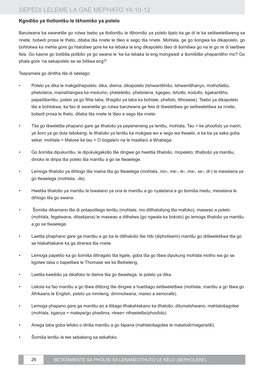### **Kgodišo ya tlotlontšu le tšhomišo ya polelo**

Barutwana ba swanetše go rutwa tsebo ya tlotlontšu le tšhomišo ya polelo bjalo ka ge di le ka setšweletšweng sa nnete, bobedi prosa le theto, ditaba tša nnete le tšeo e sego tša nnete. Mohlala, ge go šongwa ka dikapolelo, go bohlokwa ka mehla gore go hlalošwe gore ke ka lebaka la eng dikapolelo tšeo di šomišwa go na le go re di laetšwe fela. Go kaone go botšiša potšišo ya go swana le 'ke ka lebaka la eng mongwadi a šomišitše phapantšho mo? Go phala gore 'na sekapolelo se se bitšwa eng?'

Tsepamela go dintlha tše di latelago:

- Polelo ya dika le makgethepolelo: dika, diema, dikapolelo (tshwantšhišo, tshwantšhanyo, mothofatšo, phetolaina, mainahlangwa ka medumo, pheteletšo, phetolaina, kgegeo, tshotlo, kodutlo, kgakantšho, papadišantšu, polelo ya go fihla taba, tlhagišo ya taba ka bohlale, phefolo, lithosese). Tsebo ya dikapolelo tše e bohlokwa, ka fao di swanetše go rutwa barutwana ge fela di tšweletšwa go setšweletšwa sa nnete, bobedi prosa le theto, ditaba tša nnete le tšeo e sego tša nnete.
- Tša go tšweletša phapano gare ga tlhalošo ya pepeneneng ya lentšu, mohlala, Tau > ke phoofolo ya mariri, ye šoro ya go dula lešokeng; le tlhalošo ya lentšu ka mokgwa wo e sego wa tlwaelo, e ka ba ya seka goba sekai: mohlala > Malose ke tau > O bogale/o na le maatla/o a tšhabega.
- Go šomiša dipukuntšu, le dipukukgakollo tše dingwe go hwetša tlhalošo, mopeleto, tlhabošo ya mantšu, dinoko le diripa tša polelo tša mantšu a go se tlwaelege.
- Lemoga tlhalošo ya dihlogo tša maina tša go tlwaelega (mohlala, *mo-, me-, le-, ma-, se-, di-*) le meselana ya go tlwaelega (mohlala, *-ile*).
- Hwetša tlhalošo ya mantšu le tswalano ya ona le mantšu a go nyalelana a go šomiša medu, meselana le dihlogo tša go swana.
- Šomiša dikamano tše di potapotilego lentšu (mohlala, mo ditlhalošong tša mafoko), maswao a polelo (mohlala, fegelwana, ditsebjana) le maswao a dithalwa (go ngwala ka bokoto) go lemoga tlhalošo ya mantšu a go se tlwaelege.
- Laetša phaphano gare ga mantšu a go ba le ditlhalošo tše ntši (dipholisemi) mantšu go ditšweletšwa tša go se hlakahlakane ka ga direrwa tša nnete.
- Lemoga papetšo ka go šomiša ditiragalo tša kgale, goba tša go tšwa dipukung mohlala motho wa go se kgolwe taba o bapetšwa le Thomase wa ka Beibeleng,
- Laetša kwešišo ya dikafoko le diema tša go tlwaelega, le polelo ya dika.
- Lekola ka fao mantšu a go tšwa ditšong tše dingwe a huetšago setšweletšwa (mohlala, mantšu a go tšwa go Afrikaans le English, polelo ya mmileng, dimmotwana, mareo a semorafe).
- Lemoga phapano gare ga mantšu ao a tlišago tlhakahlakano ka tlhalošo, ditumatshwano, mahlalošagotee (mohlala, kganya = matepe/go phadima, nkwe= ntheeletše/phoofolo*).*
- Anega taba goba lefoko o diriša mantšu a go fapana (mahlalošagotee le malatodi/maganetši).
- Šomiša lentšu le tee sebakeng sa sekafoko.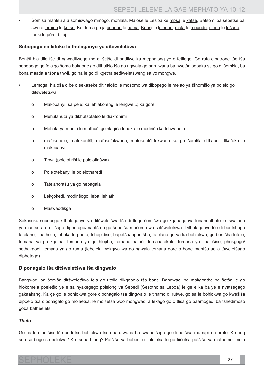• Šomiša mantšu a a šomišwago mmogo, mohlala, Malose le Lesiba ke mpša le katse, Batsomi ba sepetše ba swere lerumo le kotse, Ke duma go ja bogobe le nama, Kgoši le lethebo; mala le mogodu; ntepa le lešago; tonki le père, bj.bj.

### **Sebopego sa lefoko le thulaganyo ya ditšweletšwa**

Bontši bja dilo tše di ngwadilwego mo di šetše di badilwe ka mephatong ye e fetilego. Go ruta dipatrone tše tša sebopego go fela go šoma bokaone go dithutišo tša go ngwala ge barutwana ba hwetša sebaka sa go di šomiša, ba bona maatla a tšona thwii, go na le go di kgetha setšweletšweng sa yo mongwe.

- Lemoga, hlaloša o be o sekaseke ditlhalošo le mošomo wa dibopego le melao ya tšhomišo ya polelo go ditšweletšwa:
	- o Makopanyi: sa pele; ka lehlakoreng le lengwe...; ka gore.
	- o Mehutahuta ya dikhutsofatšo le diakronimi
	- o Mehuta ya madiri le mathuši go hlagiša lebaka le modirišo ka tshwanelo
	- o mafokonolo, mafokontši, mafokofokwana, mafokontši-fokwana ka go šomiša dithabe, dikafoko le makopanyi
	- o Tirwa (polelotiriši le polelotirišwa)
	- o Polelotebanyi le polelotharedi
	- o Tatelanontšu ya go nepagala
	- o Lekgokedi, modirišogo, leba, lehlathi
	- o Maswaodikga

Sekaseka sebopego / thulaganyo ya ditšweletšwa tše di tlogo šomišwa go kgabaganya lenaneothuto le tswalano ya mantšu ao a tlišago diphetogo/mantšu a go šupetša mošomo wa setšweletšwa: Dithulaganyo tše di bontšhago tatelano, tlhathollo, lebaka le pheto, tshepidišo, bapetša/fapantšha, tatelano go ya ka bohlokwa, go bontšha lefelo, temana ya go kgetha, temana ya go hlopha, temanatlhaloši, temanatekolo, temana ya tlhalošišo, phekgogo/ sethakgodi, temana ya go ruma (lebelela mokgwa wa go ngwala temana gore o bone mantšu ao a tšweletšago diphetogo).

### **Diponagalo tša ditšweletšwa tša dingwalo**

Bangwadi ba šomiša ditšweletšwa fela go utolla dikgopolo tša bona. Bangwadi ba makgonthe ba šetša le go hlokomela poeletšo ye e sa nyakegego polelong ya Sepedi (Sesotho sa Leboa) le ge e ka ba ye e nyatšegago gakaakang. Ka ge go le bohlokwa gore diponagalo tša dingwalo le tlhamo di rutwe, go sa le bohlokwa go kwešiša dipoelo tša diponagalo go molaetša, le molaetša woo mongwadi a lekago go o tliša go baamogedi ba tshedimošo goba batheeletši.

### *Theto*

Go na le dipotšišo tše pedi tše bohlokwa tšeo barutwana ba swanetšego go di botšiša mabapi le sereto: Ke eng seo se bego se bolelwa? Ke tseba bjang? Potšišo ya bobedi e tlaleletša le go tiišetša potšišo ya mathomo; mola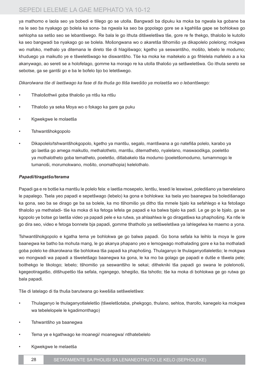ya mathomo e laola seo ya bobedi e tlilego go se utolla. Bangwadi ba dipuku ka moka ba ngwala ka gobane ba na le seo ba nyakago go bolela ka sona- ba ngwala ka seo ba gopolago gore se a kgahliša gape se bohlokwa go sehlopha sa setšo seo se lebantšwego. Re bala le go ithuta ditšweletšwa tše, gore re fe thekgo, tlhalošo le kutollo ka seo bangwadi ba nyakago go se bolela. Mošongwana wo o akaretša tšhomišo ya dikapolelo polelong; mokgwa wo mafoko, methalo ya ditemana le direto tše di hlagišwago; kgetho ya seswantšho, mošito, lebelo le modumo; khuduego ya maikutlo ye e tšweletšwago ke diswantšho. Tše ka moka ke maitekelo a go fihlelela mafelelo a a ka akanywago, ao sereti se a holofelago, gomme ka morago re ka utolla tlhalošo ya setšweletšwa. Go ithuta sereto se sebotse, ga se gantši go e ba le bofelo bjo bo letetšwego.

*Dikarolwana tše di laetšwago ka fase di tla thuša go tliša kwešišo ya molaetša wo o lebantšwego:*

- Tlhalošothwii goba tlhalošo ya ntšu ka ntšu
- Tlhalošo ya seka Moya wo o fokago ka gare ga puku
- Kgwekgwe le molaetša
- Tshwantšhokgopolo
- Dikapolelo/tshwantšhokgopolo, kgetho ya mantšu, segalo, mantšwana a go natefiša polelo, karabo ya go laetša go amega maikutlo, methalotheto, mantšu, ditematheto, nyalelano, maswaodikga, poeletšo ya mothalotheto goba tematheto, poeletšo, ditlabakelo tša modumo (poeletšomodumo, tumammogo le tumanoši, morumokwano, mošito, onomathopia) kelelothalo.

### *Papadi/tiragatšo/terama*

Papadi ga e re botše ka mantšu le polelo fela: e laetša mosepelo, lentšu, lesedi le leswiswi, poledišano ya tsenelelano le papalego. Tsela yeo papadi e sepetšwago (lebelo) ka gona e bohlokwa: ka tsela yeo baanegwa ba boledišanago ka gona, seo ba se dirago ge ba sa bolele, ka mo tšhomišo ya ditho tša mmele bjalo ka sefahlego e ka fetošago tlhalošo ya methaladi- tše ka moka di ka fetoga lefela ge papadi e ka balwa bjalo ka padi. Le ge go le bjalo, ga se kgopolo ye botse go laetša video ya papadi pele e ka rutwa, ya ahlaahlwa le go diragatšwa ka phaphošing. Ka ntle le go dira seo, video e fetoga bonnete bja papadi, gomme tlhathollo ya setšweletšwa ya lahlegelwa ke maemo a yona.

Tshwantšhokgopolo e kgatha tema ye bohlokwa ge go balwa papadi. Go bona sefala ka leihlo la moya le gore baanegwa ke batho ba mohuta mang, le go akanya phapano yeo e lemogwago mothalading gore e ka ba mothaladi goba polelo ke dikarolwana tše bohlokwa tša papadi ka phaphošing. Thulaganyo le thulaganyotlaleletšo; le mokgwa wo mongwadi wa papadi a tšweletšago baanegwa ka gona, le ka mo ba golago ge papadi e dutše e tšwela pele; boithekgo le tikologo; lebelo; tšhomišo ya seswantšho le sekai; dithekniki tša papadi go swana le polelonoši, kgegeotiragatšo, ditšhupetšo tša sefala, ngangego, tshegišo, tša tshotlo; tše ka moka di bohlokwa ge go rutwa go bala papadi.

Tše di latelago di tla thuša barutwana go kwešiša setšweletšwa:

- Thulaganyo le thulaganyotlaleletšo (tšweletšotaba, phekgogo, thulano, sehloa, tharollo, kanegelo ka mokgwa wa tebelelopele le kgadimonthago)
- Tshwantšho ya baanegwa
- Tema ye e kgathwago ke moanegi/ moanegwa/ ntlhatebelelo
- Kgwekgwe le melaetša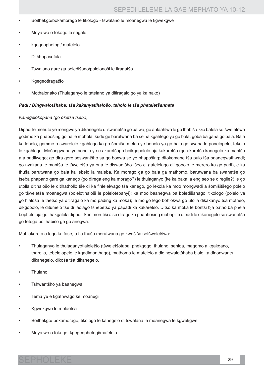- Boithekgo/bokamorago le tikologo tswalano le moanegwa le kgwekgwe
- Moya wo o fokago le segalo
- kgegeophetogi/ mafelelo
- Ditšhupasefala
- Tswalano gare ga poledišano/polelonoši le tiragatšo
- Kgegeotiragatšo
- Mothalonako (Thulaganyo le tatelano ya ditiragalo go ya ka nako)

#### *Padi / Dingwalotšhaba: tša kakanyatlhalošo, tsholo le tša pheteletšannete*

#### *Kanegelokopana (go oketša tsebo)*

Dipadi le mehuta ye mengwe ya dikanegelo di swanetše go balwa, go ahlaahlwa le go thabiša. Go balela setšweletšwa godimo ka phapošing go na le mohola, kudu ge barutwana ba se na kgahlego ya go bala, goba ba gana go bala. Bala ka lebelo, gomme o swarelele kgahlego ka go šomiša melao ye bonolo ya go bala go swana le ponelopele, tekolo le kgahlego. Mešongwana ye bonolo ye e akaretšago boikgopolelo bja kakaretšo (go akaretša kanegelo ka mantšu a a badilwego; go dira gore seswantšho sa go bonwa se ye phapošing; ditokomane tša pulo tša baanegwathwadi; go nyakana le mantšu le tšweletšo ya ona le diswantšho tšeo di gatelelago dikgopolo le merero ka go padi), e ka thuša barutwana go bala ka lebelo la maleba. Ka morago ga go bala ga mathomo, barutwana ba swanetše go tseba phapano gare ga kanego (go direga eng ka morago?) le thulaganyo (ke ka baka la eng seo se diregile?) le go utolla ditlhalošo le ditlhathollo tše di ka fihlelelwago tša kanego, go lekola ka moo mongwadi a šomišitšego polelo go tšweletša moanegwa (polelotlhaloši le polelotebanyi); ka moo baanegwa ba boledišanago; tikologo (polelo ya go hlaloša le taetšo ya ditiragalo ka mo pading ka moka); le mo go lego bohlokwa go utolla dikakanyo tša motheo, dikgopolo, le ditumelo tše di laolago tshepetšo ya papadi ka kakaretšo. Ditšo ka moka le bontši bja batho ba phela bophelo bja go thakgalela dipadi. Seo morutiši a se dirago ka phaphošing mabapi le dipadi le dikanegelo se swanetše go fetoga boithabišo ge go anegwa.

Mahlakore a a lego ka fase, a tla thuša morutwana go kwešiša setšweletšwa:

- Thulaganyo le thulaganyotlaleletšo (tšweletšotaba, phekgogo, thulano, sehloa, magomo a kgakgano, tharollo, tebelelopele le kgadimonthago), mathomo le mafelelo a didingwalotšhaba bjalo ka dinonwane/ dikanegelo, dikoša tša dikanegelo.
- Thulano
- Tshwantšho ya baanegwa
- Tema ye e kgathwago ke moanegi
- Kgwekgwe le melaetša
- Boithekgo/ bokamorago, tikologo le kanegelo di tswalana le moanegwa le kgwekgwe
- Moya wo o fokago, kgegeophetogi/mafelelo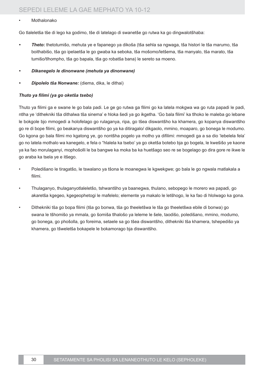#### . • Mothalonako

Go tlaleletša tše di lego ka godimo, tše di latelago di swanetše go rutwa ka go dingwalotšhaba:

- *• Theto***:** thetotumišo, mehuta ye e fapanego ya dikoša (tša sehla sa ngwaga, tša histori le tša marumo, tša boithabišo, tša go ipelaetša le go gwaba ka seboka, tša mošomo/letšema, tša manyalo, tša marato, tša tumišo/tlhompho, tša go bapala, tša go robatša bana) le sereto sa moeno.
- *• Dikanegelo le dinonwane (mehuta ya dinonwane)*
- *• Dipolelo tša Nonwane:* (diema, dika, le dithai)

### *Thuto ya filimi (ya go oketša tsebo)*

Thuto ya filimi ga e swane le go bala padi. Le ge go rutwa ga filimi go ka latela mokgwa wa go ruta papadi le padi, ntlha ye 'dithekniki tša dithalwa tša sinema' e hloka šedi ya go ikgetha. 'Go bala filimi' ka tlhoko le maleba go lebane le bokgole bjo mmogedi a holofelago go rulaganya, ripa, go tšea diswantšho ka khamera, go kopanya diswantšho go re di bope filimi, go beakanya diswantšho go ya ka ditiragalo/ dikgaolo, mmino, moaparo, go bonega le modumo. Go kgona go bala filimi mo kgatong ye, go nontšha pogelo ya motho ya difilimi: mmogedi ga a sa dio 'lebelela fela' go no latela mothalo wa kanegelo, e fela o "hlalela ka tsebo' ya go oketša botebo bja go bogela, le kwešišo ye kaone ya ka fao morulaganyi, mophošolli le ba bangwe ka moka ba ka huetšago seo re se bogelago go dira gore re ikwe le go araba ka tsela ye e itšego.

- Poledišano le tiragatšo, le tswalano ya tšona le moanegwa le kgwekgwe; go bala le go ngwala matlakala a filimi.
- Thulaganyo, thulaganyotlaleletšo, tshwantšho ya baanegwa, thulano, sebopego le morero wa papadi, go akaretša kgegeo, kgegeophetogi le mafelelo; elemente ya makalo le letšhogo, le ka fao di hlolwago ka gona.
- Dithekniki tša go bopa filimi (tša go bonwa, tša go theeletšwa le tša go theeletšwa ebile di bonwa) go swana le tšhomišo ya mmala, go šomiša tlhalošo ya leleme le šele, taodišo, poledišano, mmino, modumo, go bonega, go phošolla, go foreima, setaele sa go tšea diswantšho, dithekniki tša khamera, tshepedišo ya khamera, go tšweletša bokapele le bokamorago bja diswantšho.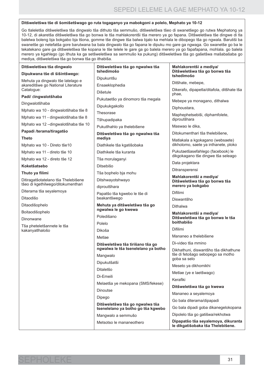#### **Ditšweletšwa tše di šomišetšwago go ruta togaganyo ya mabokgoni a polelo, Mephato ya 10-12**

Go tlaleletša ditšweletšwa tša dingwalo tša dithuto tša semmušo, ditšweletšwa tšeo di swanetšego go rutwa Mephatong ya 10-12, di akaretša ditšweletšwa tša go bonwa le tša mahlakorentši tša merero ya go fapana. Ditšweletšwa tše dingwe di tla balelwa boleng bja bokgabo bja tšona, gomme tše dingwe tša balwa bjalo ka mehlala le dibopego tša go ngwala. Barutiši ba swanetše go netefatša gore barutwana ba bala dingwalo tša go fapana le dipuku mo gare ga ngwaga. Go swanetše go ba le tekatekano gare ga ditšweletšwa tše kopana le tše telele le gare ga go balela merero ya go fapafapana, mohlala. go balela merero ya kgahlego (go ithuta ka ga setšweletšwa sa semmušo ka pukung) ditšweletšwa tša go gašetšwa mašabašaba go mediya, ditšweletšwa tša go bonwa tša go ithabiša.

| Ditšweletšwa tša dingwalo                                                 | Ditšweletšwa tša go ngwalwa tša                                         | Mahlakorentši a mediya/<br>Ditšweletšwa tša go bonwa tša<br>tshedimošo    |  |
|---------------------------------------------------------------------------|-------------------------------------------------------------------------|---------------------------------------------------------------------------|--|
| Dipukwana tše di šišintšwego:                                             | tshedimošo                                                              |                                                                           |  |
| Mehuta ya dingwalo tše latelago e                                         | Dipukuntšu                                                              | Ditšhate, mebepe,                                                         |  |
| akareditšwe go National Literature<br>Catalogue:                          | Ensaeklophedia                                                          | Dikerafo, dipapetla/ditafola, ditšhate tša                                |  |
| Padi/ dingwalotšhaba                                                      | <b>Dišetule</b>                                                         | phae,                                                                     |  |
| Dingwalotšhaba                                                            | Pukutaetšo ya dinomoro tša megala                                       | Mebepe ya monagano, dithalwa                                              |  |
| Mphato wa 10 - dingwalotšhaba tše 8                                       | Dipukukgakollo                                                          | Diphoustara,                                                              |  |
| Mphato wa 11 - dingwalotšhaba tše 8                                       | Thesorase                                                               | Maphephetsebiši, diphamfolete,                                            |  |
|                                                                           | Tšhupadipaka                                                            | diproutšhara                                                              |  |
| Mphato wa 12-dingwalotšhaba tše 10                                        | Pukutlhahlo ya thelebišene                                              | Maswao le dika,                                                           |  |
| Papadi /terama/tiragatšo                                                  | Ditšweletšwa tša go ngwalwa tša<br>mediya                               | Ditokumenthari tša thelebišene,                                           |  |
| Theto                                                                     |                                                                         | Matlakala a kgokagano (websaete)                                          |  |
| Mphato wa 10 - Direto tše10                                               | Diathikele tša kgatišobaka                                              | dikholomo, saete ya inthanete, ploko<br>Pukutaetšasefahlego (facebook) le |  |
|                                                                           | Diathikele tša kuranta<br>Mphato wa 11 - direto tše 10                  |                                                                           |  |
| Mphato wa 12 - direto tše 12<br>Tša morulaganyi                           |                                                                         | dikgokagano tše dingwe tša seleago<br>Data projektara                     |  |
| Koketšatsebo                                                              | Ditsebišo                                                               | Ditransperensi                                                            |  |
| Thuto ya filimi                                                           | Tša bophelo bja mohu                                                    | Mahlakorentši a mediya/                                                   |  |
| Ditiragatšotatelano tša Thelebišene<br>tšeo di kgethilwego/ditokumenthari | Ditshwayotshwayo                                                        | Ditšweletšwa tša go bonwa tša                                             |  |
| Diterama tša seyalemoya                                                   | diproutšhara                                                            | merero ya bokgabo                                                         |  |
| Ditaodišo                                                                 | Papatšo tša kgwebo le tše di<br>beakantšwego                            | Difilimi                                                                  |  |
|                                                                           |                                                                         | Diswantšho                                                                |  |
| Ditaodišophelo                                                            | Mehuta ya ditšweletšwa tša go<br>ngwalwa le go kwewa<br>Poledišano      | Dithalwa                                                                  |  |
| Boitaodišophelo                                                           |                                                                         | Mahlakorentši a mediya/<br>Ditšweletšwa tša go bonwa le tša               |  |
| Dinonwane                                                                 | Polelo                                                                  | boithabišo                                                                |  |
| Tša pheteletšannete le tša<br>kakanyatlhalošo                             | Dikoša                                                                  | Difilimi                                                                  |  |
|                                                                           | Metlae                                                                  | Mananeo a thelebišene                                                     |  |
|                                                                           | Ditšweletšwa tša tirišano tša go<br>ngwalwa le tša tsenelelano ya botho | Di-video tša mmino                                                        |  |
|                                                                           |                                                                         | Dikhathuni, diswantšho tša dikhathune                                     |  |
|                                                                           | Mangwalo                                                                | tše di fetošago sebopego sa motho<br>goba sa selo                         |  |
|                                                                           | Dipukutšatši                                                            | Meseto ya dikhomikhi                                                      |  |
|                                                                           | Ditaletšo                                                               | Metlae (ye e laetšwago)                                                   |  |
|                                                                           | Di-Emeili                                                               | Kerafiki                                                                  |  |
|                                                                           | Melaetša ye mekopana (SMS/fekese)                                       | Ditšweletšwa tša go kwewa                                                 |  |
|                                                                           | <b>Dinoutse</b>                                                         | Mananeo a seyalemoya                                                      |  |
|                                                                           | Dipego                                                                  | Go bala diterama/dipapadi                                                 |  |
|                                                                           | Ditšweletšwa tša go ngwalwa tša                                         |                                                                           |  |
|                                                                           | tsenelelano ya botho go tša kgwebo                                      | Go bala dipadi goba dikanegelokopana                                      |  |
|                                                                           | Mangwalo a semmušo                                                      | Dipolelo tša go gatišwa/rekhotwa                                          |  |
|                                                                           | Metsotso le mananeothero                                                | Dipapatšo tša seyalemoya, dikuranta<br>le dikgatišobaka tša Thelebišene.  |  |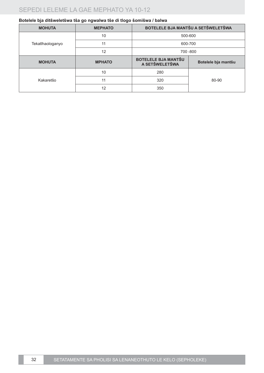#### **Botelele bja ditšweletšwa tša go ngwalwa tše di tlogo šomišwa / balwa**

| <b>MOHUTA</b>    | <b>MEPHATO</b> |                                              | BOTELELE BJA MANTŠU A SETŠWELETŠWA |
|------------------|----------------|----------------------------------------------|------------------------------------|
|                  | 10             |                                              | 500-600                            |
| Tekatlhaologanyo | 11             |                                              | 600-700                            |
|                  | 12             |                                              | 700 - 800                          |
| <b>MOHUTA</b>    | <b>MPHATO</b>  | <b>BOTELELE BJA MANTŠU</b><br>A SETŠWELETŠWA | Botelele bja mantšu                |
|                  | 10             | 280                                          |                                    |
| Kakaretšo        | 11             | 320                                          | 80-90                              |
|                  | 12             | 350                                          |                                    |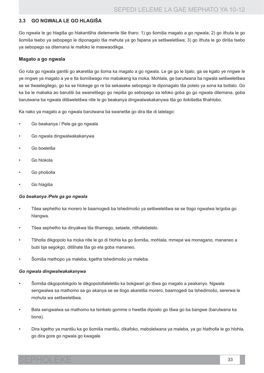### **3.3 GO NGWALA LE GO HLAGIŠA**

Go ngwala le go hlagiša go hlakantšha dielemente tše tharo: 1) go šomiša magato a go ngwala; 2) go ithuta le go šomiša tsebo ya sebopego le diponagalo tša mehuta ya go fapana ya setšweletšwa; 3) go ithuta le go diriša tsebo ya sebopego sa ditemana le mafoko le maswaodikga.

#### **Magato a go ngwala**

Go ruta go ngwala gantši go akaretša go šoma ka magato a go ngwala. Le ge go le bjalo, ga se kgato ye nngwe le ye nngwe ya magato a ye e tla šomišwago mo mabakeng ka moka. Mohlala, ge barutwana ba ngwala setšweletšwa se se tlwaelegilego, go ka se hlokege go re ba sekaseke sebopego le diponagalo tša polelo ya sona ka botlalo. Go ka ba le mabaka ao barutiši ba swanetšego go nepiša go sebopego sa lefoko goba go go ngwala ditemana, goba barutwana ba ngwala ditšweletšwa ntle le go beakanya dingwalwakakanywa tša go itokišetša tlhahlobo.

Ka nako ya magato a go ngwala barutwana ba swanetše go dira tše di latelago:

- Go beakanya / Pele ga go ngwala
- Go ngwala dingwalwakakanywa
- Go boeletša
- Go hlokola
- Go phošolla
- Go hlagiša

#### *Go beakanya /Pele ga go ngwala*

- Tšea sephetho ka morero le baamogedi ba tshedimošo ya setšweletšwa se se tlogo ngwalwa le/goba go hlangwa.
- Tšea sephetho ka dinyakwa tša tlhamego, setaele, ntlhatebelelo.
- Tšholla dikgopolo ka moka ntle le go di hlohla ka go šomiša, mohlala, mmepe wa monagano, mananeo a bubi bja segokgo, ditšhate tša go ela goba mananeo.
- Šomiša methopo ya maleba, kgetha tshedimošo ya maleba.

#### *Go ngwala dingwalwakakanywa*

- Šomiša dikgopolokgolo le dikgopolotlaleletšo ka bokgwari go tšwa go magato a peakanyo. Ngwala sengwalwa sa mathomo sa go akanya se se tlogo akaretša morero, baamogedi ba tshedimošo, sererwa le mohuta wa setšweletšwa.
- Bala sengwalwa sa mathomo ka tsinkelo gomme o hwetše dipoelo go tšwa go ba bangwe (barutwana ka bona).
- Dira kgetho ya mantšu ka go šomiša mantšu, dikafoko, mebolelwana ya maleba, ya go hlatholla le go hlohla, go dira gore go ngwala go kwagale.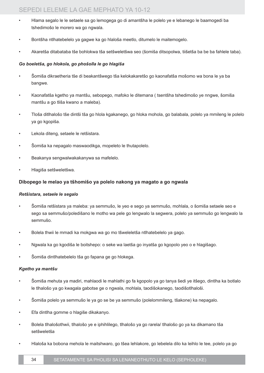- . • Hlama segalo le le setaele sa go lemogega go di amantšha le polelo ye e lebanego le baamogedi ba tshedimošo le morero wa go ngwala.
- Bontšha ntlhatebelelo ya gagwe ka go hlaloša meetlo, ditumelo le maitemogelo.
- Akaretša ditabataba tše bohlokwa tša setšweletšwa seo (šomiša ditsopolwa, tiišetša ba be ba fahlele taba).

#### *Go boeletša, go hlokola, go phošolla le go hlagiša*

- Šomiša dikraetheria tše di beakantšwego tša kelokakaretšo go kaonafatša mošomo wa bona le ya ba bangwe.
- Kaonafatša kgetho ya mantšu, sebopego, mafoko le ditemana ( tsentšha tshedimošo ye nngwe, šomiša mantšu a go tliša kwano a maleba).
- Tloša ditlhalošo tše dintši tša go hlola kgakanego, go hloka mohola, go balabala, polelo ya mmileng le polelo ya go kgopiša.
- Lekola diteng, setaele le retšistara.
- Šomiša ka nepagalo maswaodikga, mopeleto le thutapolelo.
- Beakanya sengwalwakakanywa sa mafelelo.
- Hlagiša setšweletšwa.

#### **Dibopego le melao ya tšhomišo ya polelo nakong ya magato a go ngwala**

#### *Retšistara, setaele le segalo*

- Šomiša retšistara ya maleba: ya semmušo, le yeo e sego ya semmušo, mohlala, o šomiša setaele seo e sego sa semmušo/poledišano le motho wa pele go lengwalo la segwera, polelo ya semmušo go lengwalo la semmušo.
- Bolela thwii le mmadi ka mokgwa wa go mo tšweleletša ntlhatebelelo ya gago.
- Ngwala ka go kgodiša le boitshepo: o seke wa laetša go inyatša go kgopolo yeo o e hlagišago.
- Šomiša dintlhatebelelo tša go fapana ge go hlokega.

#### *Kgetho ya mantšu*

- Šomiša mehuta ya madiri, mahlaodi le mahlathi go fa kgopolo ya go tanya šedi ye itšego, dintlha ka botlalo le tlhalošo ya go kwagala gabotse ge o ngwala, mohlala, taodišokanego, taodišotlhaloši.
- Šomiša polelo ya semmušo le ya go se be ya semmušo (polelommileng, tšakone) ka nepagalo.
- Efa dintlha gomme o hlagiše dikakanyo.
- Bolela tlhalošothwii, tlhalošo ye e iphihlilego, tlhalošo ya go rarela/ tlhalošo go ya ka dikamano tša setšweletša
- Hlaloša ka bobona mehola le maitshwaro, go tšea lehlakore, go lebelela dilo ka leihlo le tee, polelo ya go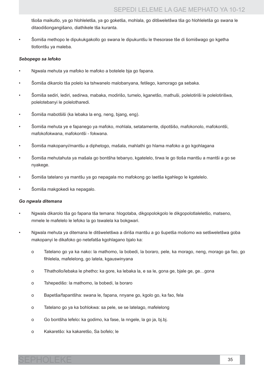tšoša maikutlo, ya go hlohleletša, ya go goketša, mohlala, go ditšweletšwa tša go hlohleletša go swana le ditaodišongangišano, diathikele tša kuranta.

• Šomiša methopo le dipukukgakollo go swana le dipukuntšu le thesorase tše di šomišwago go kgetha tlotlontšu ya maleba.

#### *Sebopego sa lefoko*

- Ngwala mehuta ya mafoko le mafoko a botelele bja go fapana.
- Šomiša dikarolo tša polelo ka tshwanelo malobanyana, fetilego, kamorago ga sebaka.
- Šomiša sediri, lediri, sedirwa, mabaka, modirišo, tumelo, kganetšo, mathuši, polelotiriši le polelotirišwa, polelotebanyi le polelotharedi.
- Šomiša mabotšiši (ka lebaka la eng, neng, bjang, eng).
- Šomiša mehuta ye e fapanego ya mafoko, mohlala, setatamente, dipotšišo, mafokonolo, mafokontši, mafokofokwana, mafokontši - fokwana.
- Šomiša makopanyi/mantšu a diphetogo, mašala, mahlathi go hlama mafoko a go kgohlagana
- Šomiša mehutahuta ya mašala go bontšha tebanyo, kgatelelo, tirwa le go tloša mantšu a mantši a go se nyakege.
- Šomiša tatelano ya mantšu ya go nepagala mo mafokong go laetša kgahlego le kgatelelo.
- Šomiša makgokedi ka nepagalo.

#### *Go ngwala ditemana*

- Ngwala dikarolo tša go fapana tša temana: hlogotaba, dikgopolokgolo le dikgopolotlaleletšo, matseno, mmele le mafelelo le lefoko la go tswalela ka bokgwari.
- Ngwala mehuta ya ditemana le ditšweletšwa a diriša mantšu a go šupetša mošomo wa setšweletšwa goba makopanyi le dikafoko go netefatša kgohlagano bjalo ka:
	- o Tatelano go ya ka nako**:** la mathomo, la bobedi, la boraro, pele, ka morago, neng, morago ga fao, go fihlelela, mafelelong, go latela, kgauswinyana
	- o Tlhathollo/lebaka le phetho**:** ka gore, ka lebaka la, e sa le, gona ge, bjale ge, ge…gona
	- o Tshepedišo: la mathomo, la bobedi, la boraro
	- o Bapetša/fapantšha: swana le, fapana, nnyane go, kgolo go, ka fao, fela
	- o Tatelano go ya ka bohlokwa: sa pele, se se latelago, mafelelong
	- o Go bontšha lefelo**:** ka godimo, ka fase, la nngele, la go ja, bj.bj.
	- o Kakaretšo: ka kakaretšo, Sa bofelo; le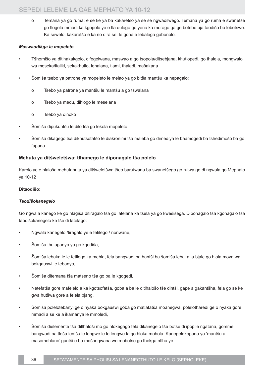o Temana ya go ruma: e se ke ya ba kakaretšo ya se se ngwadilwego. Temana ya go ruma e swanetše go tlogela mmadi ka kgopolo ye e tla dulago go yena ka morago ga ge botebo bja taodišo bo lebetšwe. Ka sewelo, kakaretšo e ka no dira se, le gona e lebalega gabonolo.

#### *Maswaodikga le mopeleto*

- Tšhomišo ya ditlhakakgolo, difegelwana, maswao a go tsopola/ditsebjana, khutlopedi, go thalela, mongwalo wa moseka/italiki, sekakhutlo, lenalana, tlami, thaladi, mašakana
- Šomiša tsebo ya patrone ya mopeleto le melao ya go bitša mantšu ka nepagalo:
	- o Tsebo ya patrone ya mantšu le mantšu a go tswalana
	- o Tsebo ya medu, dihlogo le meselana
	- o Tsebo ya dinoko
- Šomiša dipukuntšu le dilo tša go lekola mopeleto
- Šomiša dikagego tša dikhutsofatšo le diakronimi tša maleba go dimediya le baamogedi ba tshedimošo ba go fapana

#### **Mehuta ya ditšweletšwa: tlhamego le diponagalo tša polelo**

Karolo ye e hlaloša mehutahuta ya ditšweletšwa tšeo barutwana ba swanetšego go rutwa go di ngwala go Mephato ya 10-12

#### **Ditaodišo:**

#### *Taodišokanegelo*

Go ngwala kanego ke go hlagiša ditiragalo tša go latelana ka tsela ya go kwešišega. Diponagalo tša kgonagalo tša taodišokanegelo ke tše di latelago:

- Ngwala kanegelo /tiragalo ye e fetilego / nonwane,
- Šomiša thulaganyo ya go kgodiša,
- Šomiša lebaka le le fetilego ka mehla, fela bangwadi ba bantši ba šomiša lebaka la bjale go hlola moya wa bokgauswi le tebanyo,
- Šomiša ditemana tša matseno tša go ba le kgogedi,
- Netefatša gore mafelelo a ka kgotsofatša, goba a ba le ditlhalošo tše dintši, gape a gakantšha, fela go se ke gwa hutšwa gore a felela bjang,
- Šomiša polelotebanyi ge o nyaka bokgauswi goba go matlafatša moanegwa, polelotharedi ge o nyaka gore mmadi a se ke a ikamanya le mmoledi,
- Šomiša dielemente tša ditlhaloši mo go hlokegago fela dikanegelo tše botse di ipopile ngatana, gomme bangwadi ba tloša lentšu le lengwe le le lengwe la go hloka mohola. Kanegelokopana ya 'mantšu a masomehlano' gantši e ba mošongwana wo mobotse go thekga ntlha ye.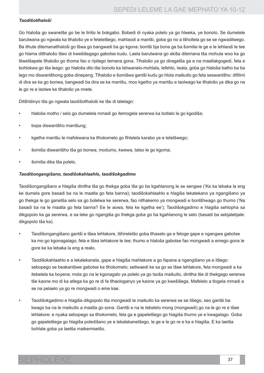#### *Taodišotlhaloši*

Go hlaloša go swanetše go be le tirišo le bokgabo. Bobedi di nyaka polelo ya go hlweka, ye bonolo. Se dumelele barutwana go ngwala ka tlhalošo ye e feteletšego, mahlaodi a mantši, goba go no a tšhollela go se se ngwadilwego. Ba ithute ditemanatlhaloši go tšwa go bangwadi ba go kgona: bontši bja bona ga ba šomiše le ge e le lehlaodi le tee go hlama ditlhalošo tšeo di kwešišegago gabotse kudu. Laela barutwana go ekiša ditemana tša mohuta woo ka go tšwetšapele tlhalošo go thoma fao o ripilego temana gona. Tlhalošo ya go diragatša ga e na maatlakgogedi, fela e bohlokwa go tša leago: go hlaloša dilo tše bonolo ka tshwanelo-mohlala, lefehlo, lwala, goba go hlaloša batho ba ba lego mo diswantšhong goba dinepeng. Tlhalošo e šomišwa gantši kudu go hlola maikutlo go feta seswantšho: difilimi di dira se ka go bonwa, bangwadi ba dira se ka mantšu, moo kgetho ya mantšu e laolwago ke tlhalošo ya dika go na le go re e laolwe ke tlhalošo ya nnete.

Ditšhišinyo tša go ngwala taodišotlhaloši ke tše di latelago:

- hlaloša motho / selo go dumelela mmadi go itemogela sererwa ka botlalo le go kgodiša;
- bopa diswantšho mantšung;
- kgetha mantšu le mafokwana ka tlhokomelo go fihlelela karabo ye e letetšwego;
- šomiša diswantšho tša go bonwa, modumo, kwewa, tatso le go kgoma;
- šomiša dika tša polelo.

#### *Taodišongangišano, taodišokahlaahlo, taodišokgadimo*

Taodišongangišano e hlagiša dintlha tša go thekga goba tša go ba kgahlanong le se sengwe ('Ke ka lebaka la eng ke dumela gore basadi ba na le maatla go feta banna); taodišokahlaahlo e hlagiša tekatekano ya ngangišano ya go thekga le go ganetša selo sa go bolelwa ke sererwa, fao ntlhakemo ya mongwadi e bontšhwago go thumo ('Na basadi ba na le maatla go feta banna? Ee le aowa, fela ke kgetha ee'); Taodišokgadimo e hlagiša sehlopha sa dikgopolo ka ga sererwa, e sa leke go ngangiša go thekga goba go ba kgahlanong le selo (basadi ba sebjalebjale: dikgopolo tša ka).

- Taodišongangišano gantši e tšea lehlakore, tšhireletšo goba tlhaselo ga e fetoge gape e ngangwa gabotse ka mo go kgonagalago, fela e tšea lehlakore le tee; thumo e hlaloša gabotse fao mongwadi a emego gona le gore ke ka lebaka la eng a realo.
- Taodišokahlaahlo e a lekalekanela, gape e hlagiša mahlakore a go fapana a ngangišano ye e itšego: sebopego se beakantšwe gabotse ka tlhokomelo; setlwaedi ke sa go se tšee lehlakore, fela mongwadi a ka itebelela ka boyena; mola go na le kgonagalo ya polelo ya go tsoša maikutlo, dintlha tše di thekgago sererwa tše kaone mo di ka atlega ka go re di fa tlhaologanyo ye kaone ya go kwešišega. Mafelelo a tlogela mmadi a se na pelaelo ya go re mongwadi o eme kae.
- Taodišokgadimo e hlagiša dikgopolo tša mongwadi le maikutlo ka sererwa se se itšego, seo gantši ba kwago ba na le maikutlo a maatla go sona. Gantši e na le tebelelo mong (mongwadi) go na le go re e tšee lehlakore: e nyaka sebopego sa tlhokomelo, fela ga e gapeletšego go hlagiša thumo ye e kwagalago. Goba go gapeletšega go hlagiša poledišano ye e lekalekanetšego, le ge e le go re e ka e hlagiša. E ka laetša bohlale goba ya laetša maikemisetšo.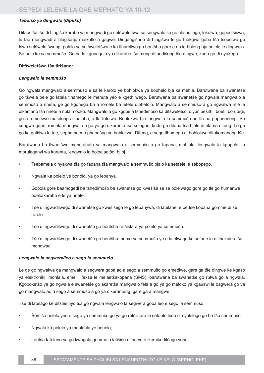#### *Taodišo ya dingwalo (dipuku)*

Ditaodišo tše di hlagiša karabo ya mongwadi go setšweletšwa sa sengwalo sa go hlathollega, lekolwa, gopodišišwa, le fao mongwadi a hlagišago maikutlo a gagwe. Dingangišano di hlagišwa le go thekgwa goba tša tsopolwa go tšwa setšweletšweng; polelo ya setšweletšwa e ka tlharollwa go bontšha gore e na le boleng bja polelo le dingwalo. Setaele ke sa semmušo. Go na le kgonagalo ya dikarabo tša mong ditaodišong tše dingwe, kudu ge di nyakega.

#### **Ditšweletšwa tša tirišano:**

#### *Lengwalo la semmušo*

Go ngwala mangwalo a semmušo e sa le karolo ye bohlokwa ya bophelo bja ka mehla. Barutwana ba swanetše go tšwela pele go latela tlhamego le mehuta yeo e kgethilwego. Barutwana ba swanetše go ngwala mangwalo a semmušo a nnete, ge go kgonega ba a romele ba letele diphetolo. Mangwalo a semmušo a go ngwalwa ntle le dikamano tša nnete a nola mooko. Mangwalo a go kgopela tshedimošo ka ditšweletšo, diyunibesithi, boeti, borutegi, ge a rometšwe mafelong a maleba, a tla fetolwa. Bohlokwa bja lengwalo la semmušo bo tla ba pepeneneng. Se sengwe gape, romela mangwalo a go ya go dikuranta tša selegae, kudu ge ditaba tša bjale di hlama diteng. Le ge go ka gatišwa le tee, sephetho mo phapošng se bohlokwa. Diteng, e sego tlhamego di bohlokwa ditokomaneng tše.

Barutwana ba tlwaetšwe mehutahuta ya mangwalo a semmušo a go fapana, mohlala, lengwalo la kgopelo, la morulaganyi wa kuranta, lengwalo la boipelaetšo, bj.bj.

- Tsepamela dinyakwa tša go fapana tša mangwalo a semmušo bjalo ka setaele le sebopego.
- Ngwala ka polelo ye bonolo, ya go lebanya.
- Gopola gore baamogedi ba tshedimošo ba swanetše go kwešiša se se bolelwago gore go tle go humanwe poelo/karabo e le ya nnete.
- Tše di ngwadilwego di swanetše go kwešišega le go lebanywa, di latelane, e be tše kopana gomme di se rarele.
- Tše di ngwadilwego di swanetše go bontšha retšistara ya polelo ya semmušo.
- Tše di ngwadilwego di swanetše go bontšha thumo ya semmušo ye e latelwago ke sefane le ditlhakaina tša mongwadi.

#### *Lengwalo la segwera/leo e sego la semmušo*

Le ge go ngwalwa ga mangwalo a segwera goba ao a sego a semmušo go emetšwe, gare ga tše dingwe ke kgašo ya elektroniki, mohlala, emeili, fekse le melaetšakopana (SMS), barutwana ba swanetše go rutwa go a ngwala. Kgoboketšo ya go ngwala e swanetše go akaretša mangwalo fela a go ya go meloko ya kgauswi le bagwera go ya go mangwalo ao a sego a semmušo a go ya dikuranteng, gare ga a mangwe.

Tše di latelago ke ditšhišinyo tša go ngwala lengwalo la segwera goba leo e sego la semmušo:

- Šomiša polelo yeo e sego ya semmušo go ya go retšistara le setaele tšeo di nyakilego go ba tša semmušo;
- Ngwala ka polelo ya mahlahla ye bonolo;
- Laetša tatelano ya go kwagala gomme o latišiše ntlha ye o ikemišeditšego yona;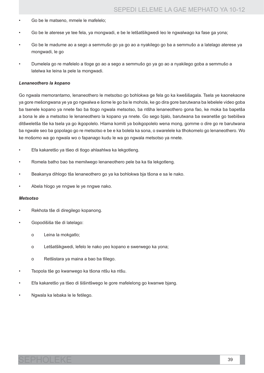- Go be le matseno, mmele le mafelelo;
- Go be le aterese ye tee fela, ya mongwadi, e be le letšatšikgwedi leo le ngwalwago ka fase ga yona;
- Go be le madume ao a sego a semmušo go ya go ao a nyakilego go ba a semmušo a a latelago aterese ya mongwadi, le go
- Dumelela go re mafelelo a tloge go ao a sego a semmušo go ya go ao a nyakilego goba a semmušo a latelwa ke leina la pele la mongwadi.

#### *Lenaneothero la kopano*

Go ngwala memorantamo, lenaneothero le metsotso go bohlokwa ge fela go ka kwešišagala. Tsela ye kaonekaone ya gore mešongwana ye ya go ngwalwa e šome le go ba le mohola, ke go dira gore barutwana ba lebelele video goba ba tsenele kopano ya nnete fao ba tlogo ngwala metsotso, ba ntšha lenaneothero gona fao, ke moka ba bapetša a bona le ale a metsotso le lenaneothero la kopano ya nnete. Go sego bjalo, barutwana ba swanetše go tsebišwa ditšweletša tše ka tsela ya go ikgopolelo. Hlama komiti ya boikgopolelo wena mong, gomme o dire go re barutwana ba ngwale seo ba gopolago go re metsotso e be e ka bolela ka sona, o swarelele ka tlhokomelo go lenaneothero. Wo ke mošomo wa go ngwala wo o fapanago kudu le wa go ngwala metsotso ya nnete.

- Efa kakaretšo ya tšeo di tlogo ahlaahlwa ka lekgotleng.
- Romela batho bao ba memilwego lenaneothero pele ba ka tla lekgotleng.
- Beakanya dihlogo tša lenaneothero go ya ka bohlokwa bja tšona e sa le nako.
- Abela hlogo ye nngwe le ye nngwe nako.

#### *Metsotso*

- Rekhota tše di diregilego kopanong.
- Gopodišiša tše di latelago:
	- o Leina la mokgatlo;
	- o Letšatšikgwedi, lefelo le nako yeo kopano e swerwego ka yona;
	- o Retšistara ya maina a bao ba tlilego.
- Tsopola tše go kwanwego ka tšona ntšu ka ntšu.
- Efa kakaretšo ya tšeo di šišintšwego le gore mafelelong go kwanwe bjang.
- Ngwala ka lebaka le le fetilego.

# SEPHOLEKE 39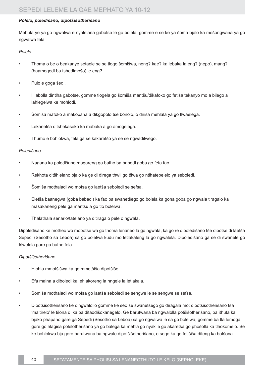#### *Polelo, poledišano, dipotšišotherišano*

Mehuta ye ya go ngwalwa e nyalelana gabotse le go bolela, gomme e se ke ya šoma bjalo ka mešongwana ya go ngwalwa fela.

#### *Polelo*

- Thoma o be o beakanye setaele se se tlogo šomišwa, neng? kae? ka lebaka la eng? (nepo), mang? (baamogedi ba tshedimošo) le eng?
- Pulo e goga šedi.
- Hlabolla dintlha gabotse, gomme tlogela go šomiša mantšu/dikafoko go fetiša tekanyo mo a bilego a lahlegelwa ke mohlodi.
- Šomiša mafoko a makopana a dikgopolo tše bonolo, o diriša mehlala ya go tlwaelega.
- Lekanetša ditshekaseko ka mabaka a go amogelega.
- Thumo e bohlokwa, fela ga se kakaretšo ya se se ngwadilwego.

#### *Poledišano*

- Nagana ka poledišano magareng ga batho ba babedi goba go feta fao.
- Rekhota ditšhielano bjalo ka ge di direga thwii go tšwa go ntlhatebelelo ya seboledi.
- Šomiša mothaladi wo mofsa go laetša seboledi se sefsa.
- Eletša baanegwa (goba babadi) ka fao ba swanetšego go bolela ka gona goba go ngwala tiragalo ka mašakaneng pele ga mantšu a go tlo bolelwa.
- Thalathala senario/tatelano ya ditiragalo pele o ngwala.

Dipoledišano ke motheo wo mobotse wa go thoma lenaneo la go ngwala, ka go re dipoledišano tše dibotse di laetša Sepedi (Sesotho sa Leboa) sa go bolelwa kudu mo letlakaleng la go ngwalela. Dipoledišano ga se di swanele go tšwelela gare ga batho fela.

#### *Dipotšišotherišano*

- Hlohla mmotšišwa ka go mmotšiša dipotšišo.
- Efa maina a diboledi ka lehlakoreng la nngele la letlakala.
- Šomiša mothaladi wo mofsa go laetša seboledi se sengwe le se sengwe se sefsa.
- Dipotšišotherišano ke dingwalollo gomme ke seo se swanetšego go diragala mo: dipotšišotherišano tša 'maitirelo' le tšona di ka ba ditaodišokanegelo. Ge barutwana ba ngwalolla potšišotherišano, ba ithuta ka bjako phapano gare ga Sepedi (Sesotho sa Leboa) sa go ngwalwa le sa go bolelwa, gomme ba tla lemoga gore go hlagiša polelotherišano ya go balega ka mehla go nyakile go akaretša go phošolla ka tlhokomelo. Se ke bohlokwa bja gore barutwana ba ngwale dipotšišotherišano, e sego ka go fetišiša diteng ka botšona.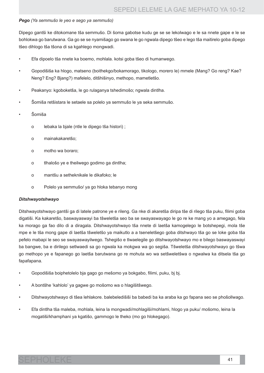#### *Pego (Ya semmušo le yeo e sego ya semmušo)*

Dipego gantši ke ditokomane tša semmušo. Di šoma gabotse kudu ge se se lekolwago e le sa nnete gape e le se bohlokwa go barutwana. Ga go se se nyamišago go swana le go ngwala dipego tšeo e lego tša maitirelo goba dipego tšeo dihlogo tša tšona di sa kgahlego mongwadi.

- Efa dipoelo tša nnete ka boemo, mohlala. kotsi goba tšeo di humanwego.
- Gopodišiša ka hlogo, matseno (boithekgo/bokamorago, tikologo, morero le) mmele (Mang? Go reng? Kae? Neng? Eng? Bjang?) mafelelo, ditšhišinyo, methopo, mametletšo.
- Peakanyo: kgoboketša, le go rulaganya tshedimošo; ngwala dintlha.
- Šomiša retšistara le setaele sa polelo ya semmušo le ya seka semmušo.
- Šomiša
	- o lebaka la bjale (ntle le dipego tša histori) ;
	- o mainakakaretšo;
	- o motho wa boraro;
	- o tlhalošo ye e theilwego godimo ga dintlha;
	- o mantšu a setheknikale le dikafoko; le
	- o Polelo ya semmušo/ ya go hloka tebanyo mong

#### *Ditshwayotshwayo*

Ditshwayotshwayo gantši ga di latele patrone ye e rileng. Ga nke di akaretša diripa tše di rilego tša puku, filimi goba digatiši. Ka kakaretšo, baswayaswayi ba tšweletša seo ba se swayaswayago le go re ke mang yo a amegago, fela ka morago ga fao dilo di a diragala. Ditshwayotshwayo tša nnete di laetša kamogelego le botshepegi, mola tše mpe e le tša mong gape di laetša tšweletšo ya maikutlo a a tseneletšego goba ditshwayo tša go se loke goba tša pefelo mabapi le seo se swayaswayilwego. Tshegišo e tlwaelegile go ditshwayotshwayo mo e bilego baswayaswayi ba bangwe, ba e dirilego setlwaedi sa go ngwala ka mokgwa wa go segiša. Tšweletša ditshwayotshwayo go tšwa go methopo ye e fapanego go laetša barutwana go re mohuta wo wa setšweletšwa o ngwalwa ka ditsela tša go fapafapana.

- Gopodišiša boiphetolelo bja gago go mešomo ya bokgabo, filimi, puku, bj bj.
- A bontšhe 'kahlolo' ya gagwe go mošomo wa o hlagišitšwego.
- Ditshwayotshwayo di tšea lehlakore. balebeledišiši ba babedi ba ka araba ka go fapana seo se phošollwago.
- Efa dintlha tša maleba, mohlala, leina la mongwadi/mohlagiši/mohlami, hlogo ya puku/ mošomo, leina la mogatiši/khamphani ya kgatišo, gammogo le theko (mo go hlokegago).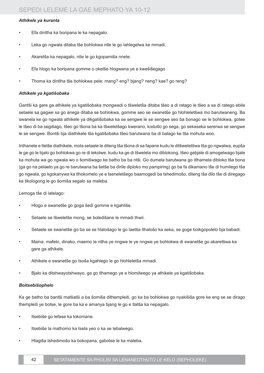#### *Athikele ya kuranta*

- Efa dintlha ka boripana le ka nepagalo.
- Leka go ngwala ditaba tše bohlokwa ntle le go lahlegelwa ke mmadi.
- Akaretša ka nepagalo, ntle le go kgopamiša nnete.
- Efa hlogo ka boripana gomme o oketše hlogwana ye e kwešišegago
- Thoma ka dintlha tše bohlokwa pele: mang? eng? bjang? neng? kae? go reng?

#### *Athikele ya kgatišobaka*

Gantši ka gare ga athikele ya kgatišobaka mongwadi o tšweletša ditaba tšeo a di ratago le tšeo a sa di ratego ebile setaele sa gagwe sa go anega ditaba se bohlokwa, gomme seo se swanetše go hlohleletšwa mo barutwaneng. Ba swanela ke go ngwala athikele ya dikgatišobaka ka se sengwe le se sengwe seo ba bonago se le bohlokwa, gotee le tšeo di ba segišago, tšeo go tšona ba ka tšweletšago kwerano, kodutlo go sega, go sekaseka sererwa se sengwe le se sengwe. Bontši bja diathikele tša kgatišobaka tšeo barutwana ba di balago ke tša mohuta woo.

Inthanete e tletše diathikele, mola setaele le diteng tša tšona di sa fapane kudu le ditšweletšwa tša go ngwalwa, eupša le ge go le bjalo go bohlokwa go re di lekolwe, kudu ka ge di tšwelela mo diblokong, tšeo gabjale di amogelwago bjale ka mohuta wa go ngwala wo o šomišwago ke batho ba ba ntši. Go dumela barutwana go itlhamela dibloko tša bona (ga go na pelaelo ya go re barutwana ba šetše ba dirile diploko mo pampiring) go ba fa dikamano tše di humilego tša go ngwala, go kgokanywa ka tlhokomelo ye e tseneletšego baamogedi ba tshedimošo, diteng tša dilo tše di diregago ka tikologong le go šomiša segalo sa maleba.

Lemoga tše di latelago:

- Hlogo e swanetše go goga šedi gomme e kgahliše.
- Setaele se tšweletše mong, se boledišane le mmadi thwii.
- Setaele se swanetše go ba se se hlalošago le go laetša tlhalošo ka seka, se goge boikgopolelo bja babadi.
- Maina, mafelo, dinako, maemo le ntlha ye nngwe le ye nngwe ye bohlokwa di swanetše go akaretšwa ka gare ga athikele.
- Athikele e swanetše go tsoša kgahlego le go hlohleletša mmadi.
- Bjalo ka ditshwayotshwayo, ga go tlhamego ye e hlomilwego ya athikele ya kgatišobaka.

#### *Boitsebišophelo*

Ka ge batho ba bantši matšatši a ba šomiša dithempleiti, go ka ba bohlokwa go nyakišiša gore ke eng se se dirago thempleiti ye botse, le gore ba ka e amanya bjang le go e tlatša ka nepagalo.

- Itsebiše go lefase ka tokomane.
- Itsebiše la mathomo ka tsela yeo o ka se lebalwego.
- Hlagiša tshedimošo ka bokopana, gabotse le ka maleba.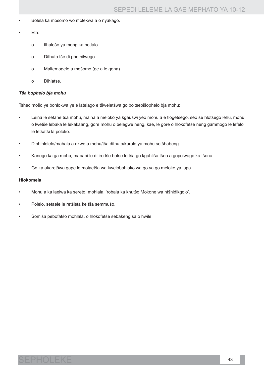- Bolela ka mošomo wo molekwa a o nyakago.
- Efa:
	- o tlhalošo ya mong ka botlalo.
	- o Dithuto tše di phethilwego.
	- o Maitemogelo a mošomo (ge a le gona).
	- o Dihlatse.

#### *Tša bophelo bja mohu*

Tshedimošo ye bohlokwa ye e latelago e tšweletšwa go boitsebišophelo bja mohu:

- Leina le sefane tša mohu, maina a meloko ya kgauswi yeo mohu a e tlogetšego, seo se hlotšego lehu, mohu o lwetše lebaka le lekakaang, gore mohu o belegwe neng, kae, le gore o hlokofetše neng gammogo le lefelo le letšatši la poloko.
- Diphihlelelo/mabala a nkwe a mohu/tša dithuto/karolo ya mohu setšhabeng.
- Kanego ka ga mohu, mabapi le ditiro tše botse le tša go kgahliša tšeo a gopolwago ka tšona.
- Go ka akaretšwa gape le molaetša wa kwelobohloko wa go ya go meloko ya lapa.

#### **Hlokomela**

- Mohu a ka laelwa ka sereto, mohlala, 'robala ka khutšo Mokone wa ntšhidikgolo'.
- Polelo, setaele le retšista ke tša semmušo.
- Šomiša pebofatšo mohlala. o hlokofetše sebakeng sa o hwile.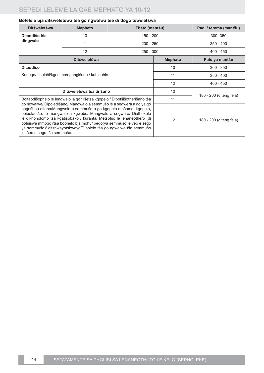#### **Botelele bja ditšweletšwa tša go ngwalwa tše di tlogo tšweletšwa**

| <b>Ditšweletšwa</b>                                                                                                                                                                                                                                                                                                                                                                                                                                                                                                                              | <b>Mephato</b>      | Theto (mantšu)    |                         | Padi / terama (mantšu)  |
|--------------------------------------------------------------------------------------------------------------------------------------------------------------------------------------------------------------------------------------------------------------------------------------------------------------------------------------------------------------------------------------------------------------------------------------------------------------------------------------------------------------------------------------------------|---------------------|-------------------|-------------------------|-------------------------|
| Ditaodišo tša                                                                                                                                                                                                                                                                                                                                                                                                                                                                                                                                    | 10                  | $150 - 200$       |                         | 300 - 350               |
| dingwalo                                                                                                                                                                                                                                                                                                                                                                                                                                                                                                                                         | 11                  | 200 - 250         |                         | $350 - 400$             |
|                                                                                                                                                                                                                                                                                                                                                                                                                                                                                                                                                  | 12                  | $250 - 300$       |                         | $400 - 450$             |
|                                                                                                                                                                                                                                                                                                                                                                                                                                                                                                                                                  | <b>Ditšweletšwa</b> |                   | <b>Mephato</b>          | Palo ya mantšu          |
| <b>Ditaodišo</b>                                                                                                                                                                                                                                                                                                                                                                                                                                                                                                                                 |                     |                   | 10                      | $300 - 350$             |
| Kanego/ tlhaloši/kgadimo/ngangišano / kahlaahlo                                                                                                                                                                                                                                                                                                                                                                                                                                                                                                  |                     |                   | 11                      | $350 - 400$             |
|                                                                                                                                                                                                                                                                                                                                                                                                                                                                                                                                                  |                     |                   | $12 \overline{ }$       | $400 - 450$             |
| Ditšweletšwa tša tirišano                                                                                                                                                                                                                                                                                                                                                                                                                                                                                                                        |                     |                   | 10 <sup>1</sup>         |                         |
|                                                                                                                                                                                                                                                                                                                                                                                                                                                                                                                                                  |                     |                   | 11                      | 180 - 200 (diteng fela) |
| Boitaodišophelo le lengwalo la go tiišetša kgopelo / Dipotšišotherišano tša<br>go ngwalwa/Dipoledišano/Mangwalo a semmušo le a segwera a go ya go<br>bagaši ba ditaba/Mangwalo a semmušo a go kgopela mošomo, kgopelo,<br>boipelaetšo, le mangwalo a kgwebo/ Mangwalo a segwera/ Diathekele<br>le dikhoholomo tša kgatišobako / kuranta/ Metsotso le lenaneothero (di<br>botšišwa mmogo)/tša bophelo bja mohu/ pego(ya semmušo le yeo e sego<br>ya semmušo)/ ditshwayotshwayo/Dipolelo tša go ngwalwa tša semmušo<br>le tšeo e sego tša semmušo. |                     | $12 \overline{ }$ | 180 - 200 (diteng fela) |                         |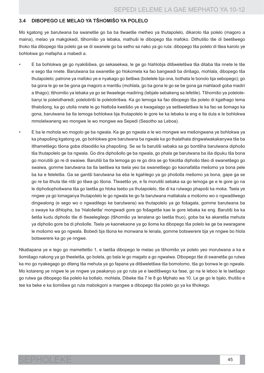### **3.4 DIBOPEGO LE MELAO YA TŠHOMIŠO YA POLELO**

Mo kgatong ye barutwana ba swanetše go ba ba tlwaetše metheo ya thutapolelo, dikarolo tša polelo (magoro a maina), melao ya makgokedi, tšhomišo ya lebaka, mathuši le dibopego tša mafoko. Dithutišo tše di beetšwego thoko tša dibopego tša polelo ga se di swanele go ba setho sa nako ya go ruta: dibopego tša polelo di tšea karolo ye bohlokwa go mafapha a mabedi a.

- E ba bohlokwa ge go nyakišišwa, go sekasekwa, le ge go hlahlobja ditšweletšwa tša ditaba tša nnete le tše e sego tša nnete. Barutwana ba swanetše go hlokomela ka fao bangwadi ba dirišago, mohlala, dibopego tša thutapolelo; patrone ya mafoko ye e nyakago go šetšwa (botelele bja ona, bothata le bonolo bja sebopego); go ba gona le go se be gona ga magoro a mantšu (mohlala, go ba gona le go se be gona ga mahlaodi goba madiri a tlhago); tšhomišo ya lebaka ya go se tlwaelege madiring (lebjale sebakeng sa lefetile). Tšhomišo ya polelotebanyi le polelotharedi; polelotiriši le polelotirišwa. Ka go lemoga ka fao dibopego tša polelo di kgathago tema tlhalošong, ka go utolla nnete le go hlatloša kwešišo ye e kwagalago ya setšweletšwa le ka fao se šomago ka gona, barutwana ba tla lemoga bohlokwa bja thutapolelo le gore ke ka lebaka la eng e tla dula e le bohlokwa mmolelwaneng wo mongwe le wo mongwe wa Sepedi (Sesotho sa Leboa).
- E ba le mohola wo mogolo ge ba ngwala. Ka ge go ngwala e le wo mongwe wa mešongwana ye bohlokwa ya ka phapošing kgatong ye, go bohlokwa gore barutwana ba ngwale ka go thalathala dingwalwakakanywa tše ba itlhametšego tšona goba ditaodišo ka phapošing. Se se fa barutiši sebaka sa go bontšha barutwana diphošo tša thutapolelo ge ba ngwala. Go dira diphošollo ge ba ngwala, go phala ge barutwana ba iša dipuku tša bona go morutiši go re di swaiwe. Barutiši ba tla lemoga go re go dira se go fokotša diphošo tšeo di swanetšego go swaiwa, gomme barutwana ba tla laetšwa ka tsela yeo ba swanetšego go kaonafatša mešomo ya bona pele ba ka e feleletša. Ga se gantši barutwana ba eba le kgahlego ya go phošolla mešomo ya bona, gape ga se go re ba ithuta tše ntši go tšwa go tšona. Tlwaetšo ye, e fa morutiši sebaka sa go lemoga ge e le gore go na le diphošophošwana tša go laetša go hloka tsebo ya thutapolelo, tše di ka rutwago phapoši ka moka. Tsela ye nngwe ya go lomaganya thutapolelo le go ngwala ke go fa barutwana matlakala a mošomo wo o ngwadilwego dingwalong (e sego wo o ngwadilego ke barutwana) wa thutapolelo ya go fošagala, gomme barutwana ba o swaye ka dihlopha, ba 'hlalošetše' mongwadi gore go fošagetše kae le gore lebaka ke eng. Barutiši ba ka šetša kudu diphošo tše di tlwaelegilego (tšhomišo ya lenalana go laetša thuo), goba ba ka akaretša mehuta ya diphošo gore ba di phošolle. Tsela ye kaonekaone ya go šoma ka dibopego tša polelo ke ge ba swaragane le mošomo wa go ngwala. Bobedi bja tšona ke monwana le lenala, gomme botswerere bja ye nngwe bo hlola botswerere ka go ye nngwe.

Nkatlapana ye e lego go mametletšo 1, e laetša dibopego le melao ya tšhomišo ya polelo yeo morutwana a ka e šomišago nakong ya go theeletša, go bolela, go bala le go magato a go ngwalwa. Dibopego tše di swanetše go rutwa ka mo go nyakegago go diteng tša mehuta ya go fapana ya ditšweletšwa tša bomolomo, tša go bonwa le go ngwala. Mo kotareng ye nngwe le ye nngwe ya peakanyo ya go ruta ye e laeditšwego ka fase, go na le leboo le le laetšago go rutwa ga dibopego tša polelo ka botlalo, mohlala, Dibeke tša 7 le 8 go Mphato wa 10. Le ge go le bjalo, thutišo e tee ka beke e ka šomišwa go ruta mabokgoni a mangwe a dibopego tša polelo go ya ka tlhokego.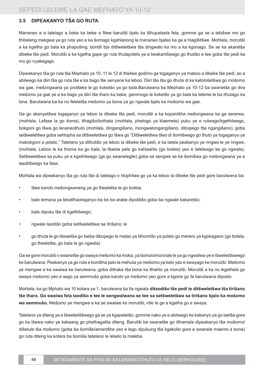### **3.5 DIPEAKANYO TŠA GO RUTA**

Mananeo a a latelago a beke ka beke a filwe barutiši bjalo ka tšhupatsela fela, gomme ga se a lebišwe mo go thibeleng mekgwa ya go ruta yeo e ka šomago kgahlanong le mananeo bjaleo ka ge a hlagišitšwe. Mohlala, morutiši a ka kgetha go bala ka phapošing, bontši bja ditšweletšwa tša dingwalo ka mo a ka kgonago. Se se ka akaretša dibeke tše pedi. Morutiši a ka kgetha gape go ruta thutapolelo ye e beakantšwego go thutišo e tee goba tše pedi ka mo go nyakegago.

Dipeakanyo tša go ruta tša Mephato ya 10, 11 le 12 di theilwe godimo ga togaganyo ya maboo a dibeke tše pedi, ao a abilwego ka diiri tša go ruta tše e ka bago tše senyane ka leboo. Diiri tše tša go ithuta di ka katološetšwa go mošomo wa gae, mešongwana ya protšeke le go koketšo ya go bala.Barutwana ba Mephato ya 10-12 ba swanetše go dira mešomo ya gae ye e ka bago ya diiri tše tharo ka beke, gammogo le koketšo ya go bala ka leleme le ba ithutago ka lona. Barutwana ba ka no feleletša mešomo ya bona ya go ngwala bjalo ka mošomo wa gae.

Ge go akanyetšwa togaganyo ya leboo la dibeke tše pedi, morutiši a ka kopantšha mešongwana ka ga sererwa, (mohlala, Lefase la go šoma), tlhagišo/bothata (mohlala, phetogo ya klaemete) puku ye e rutwago/kgethilwego, bokgoni go tšwa go lenaneothuto (mohlala, dingangišano, mongwalongangišano, dibopego tša ngangišano), goba setšweletšwa goba sehlopha sa ditšweletšwa go tšwa go "Ditšweletšwa tšeo di šomišwago go thuto ya togaganyo ya mabokgoni a polelo." Tatelano ya dithutišo ya leboo la dibeke tše pedi, e ka latela peakanyo ye nngwe le ye nngwe, (mohlala. Leboo le ka thoma ka go bala, la tšwela pele go kahlaahlo (go bolela) yeo e latelwago ke go ngwala). Setšweletšwa sa puku ye e kgethilwego (ge go swanelegile) goba se sengwe se ka šomišwa go mešongwana ye e laeditšwego ka fase.

Mohlala wa dipeakanyo tša go ruta tše di latelago o hlophilwe go ya ka leboo la dibeke tše pedi gore barutwana ba:

- tšee karolo mešongwaneng ya go theeletša le go bolela;
- bale temana ya tekatlhaologanyo ba be ba arabe dipotšišo goba ba ngwale kakaretšo;
- bale dipuku tše di kgethilwego;
- ngwale taodišo goba setšweletšwa sa tirišano; le
- go ithuta le go itlwaetša go tseba dibopego le melao ya tšhomišo ya polelo go merero ya kgokagano (go bolela, go theeletša, go bala le go ngwala)

Ga se gore morutiši o swanetše go swaya mešomo ka moka, ya bomolomo/orale le ya go ngwalwa ye e tšweleditswego ke barutwana. Peakanyo ya go ruta e bontšha palo le mehuta ya mešomo ya kelo yeo e swayago ke morutiši. Mešomo ye mengwe e ka swaiwa ke barutwana, goba dithaka tša bona ka tlhahlo ya morutiši. Morutiši a ka no ikgethela go swaya mešomo yeo e sego ya semmušo goba karolo ya mešomo yeo gore a kgone go fa barutwana dipoelo.

Mohlala, ka go Mphato wa 10 kotara ya 1, barutwana ba tla ngwala **ditaodišo tše pedi le ditšweletšwa tša tirišano tše tharo. Go swaiwa fela taodišo e tee le sengwalwana se tee sa setšweletšwa sa tirišano bjalo ka mošomo wa semmušo.** Mešomo ye mengwe e ka se swaiwe ke morutiši, ntle le ge a kgetha go e swaya.

Tatelano ya diteng ye e tšweleditšwego ga se ya kgapeletšo, gomme nako ye e abilwego ke kakanyo ya go laetša gore go ka tšewa nako ye kakaang go phethagatša diteng. Barutiši ba swanetše go itlhamela dipeakanyo tša mošomo/ dišetule tša mošomo (goba ba šomiše/amantšhe yeo e lego dipukung tša kgakollo gore e swanele maemo a bona) go ruta diteng ka kotara ba šomiša tatelano le lebelo la maleba.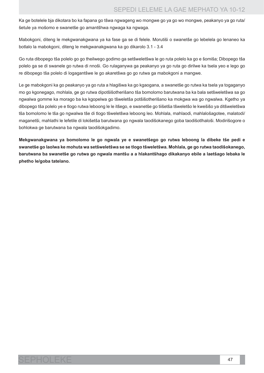Ka ge botelele bja dikotara bo ka fapana go tšwa ngwageng wo mongwe go ya go wo mongwe, peakanyo ya go ruta/ šetule ya mošomo e swanetše go amantšhwa ngwaga ka ngwaga.

Mabokgoni, diteng le mekgwanakgwana ya ka fase ga se di felele. Morutiši o swanetše go lebelela go lenaneo ka botlalo la mabokgoni, diteng le mekgwanakgwana ka go dikarolo 3.1 - 3.4

Go ruta dibopego tša polelo go go theilwego godimo ga setšweletšwa le go ruta polelo ka go e šomiša; Dibopego tša polelo ga se di swanele go rutwa di nnoši. Go rulaganywa ga peakanyo ya go ruta go dirilwe ka tsela yeo e lego go re dibopego tša polelo di logagantšwe le go akaretšwa go go rutwa ga mabokgoni a mangwe.

Le ge mabokgoni ka go peakanyo ya go ruta a hlagišwa ka go kgaogana, a swanetše go rutwa ka tsela ya togaganyo mo go kgonegago, mohlala, ge go rutwa dipotšišotherišano tša bomolomo barutwana ba ka bala setšweletšwa sa go ngwalwa gomme ka morago ba ka kgopelwa go tšweletša potšišotherišano ka mokgwa wa go ngwalwa. Kgetho ya dibopego tša polelo ye e tlogo rutwa leboong le le itšego, e swanetše go tiišetša tšweletšo le kwešišo ya ditšweletšwa tša bomolomo le tša go ngwalwa tše di tlogo tšweletšwa leboong leo. Mohlala, mahlaodi, mahlalošagotee, malatodi/ maganetši, mahlathi le lefetile di lokišetša barutwana go ngwala taodišokanego goba taodišotlhaloši. Modirišogore o bohlokwa ge barutwana ba ngwala taodišokgadimo.

**Mekgwanakgwana ya bomolomo le go ngwala ye e swanetšego go rutwa leboong la dibeke tše pedi e swanetše go laolwa ke mohuta wa setšweletšwa se se tlogo tšweletšwa. Mohlala, ge go rutwa taodišokanego, barutwana ba swanetše go rutwa go ngwala mantšu a a hlakantšhago dikakanyo ebile a laetšago lebaka le phetho le/goba tatelano.**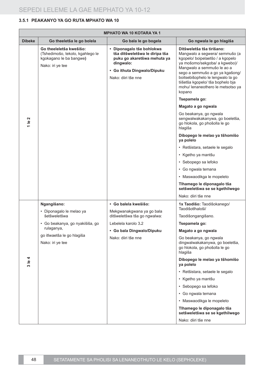### **3.5.1 PEAKANYO YA GO RUTA MPHATO WA 10**

|                     | <b>MPHATO WA 10 KOTARA YA 1</b>                                                                            |                                                                                                                                                               |                                                                                                                                                                                                                                                                                                                            |  |  |
|---------------------|------------------------------------------------------------------------------------------------------------|---------------------------------------------------------------------------------------------------------------------------------------------------------------|----------------------------------------------------------------------------------------------------------------------------------------------------------------------------------------------------------------------------------------------------------------------------------------------------------------------------|--|--|
| <b>Dibeke</b>       | Go theeletša le go bolela                                                                                  | Go bala le go bogela                                                                                                                                          | Go ngwala le go hlagiša                                                                                                                                                                                                                                                                                                    |  |  |
|                     | Go theeleletša kwešišo:<br>(Tshedimošo, tekolo, kgahlego le<br>kgokagano le ba bangwe)<br>Nako: iri ye tee | · Diponagalo tše bohlokwa<br>tša ditšweletšwa le diripa tša<br>puku go akaretšwa mehuta ya<br>dingwalo:<br>• Go ithuta Dingwalo/Dipuku<br>Nako: diiri tše nne | Ditšweletša tša tirišano:<br>Mangwalo a segwera/ semmušo (a<br>kgopelo/ boipelaetšo / a kgopelo<br>ya mošomo/sekgoba/ a kgwebo)/<br>Mangwalo a semmušo le ao a<br>sego a semmušo a go ya kgašong/<br>boitsebišophelo le lengwalo la go<br>tiišetša kgopelo/ tša bophelo bja<br>mohu/ lenaneothero le metsotso ya<br>kopano |  |  |
|                     |                                                                                                            |                                                                                                                                                               | Tsepamela go:                                                                                                                                                                                                                                                                                                              |  |  |
|                     |                                                                                                            |                                                                                                                                                               | Magato a go ngwala                                                                                                                                                                                                                                                                                                         |  |  |
| $1$ le $2$          |                                                                                                            |                                                                                                                                                               | Go beakanya, go ngwala<br>sengwalwakakanywa, go boeletša,<br>go hlokola, go phošolla le go<br>hlagiša                                                                                                                                                                                                                      |  |  |
|                     |                                                                                                            |                                                                                                                                                               | Dibopego le melao ya tšhomišo<br>ya polelo                                                                                                                                                                                                                                                                                 |  |  |
|                     |                                                                                                            |                                                                                                                                                               | • Retšistara, setaele le segalo                                                                                                                                                                                                                                                                                            |  |  |
|                     |                                                                                                            |                                                                                                                                                               | • Kgetho ya mantšu                                                                                                                                                                                                                                                                                                         |  |  |
|                     |                                                                                                            |                                                                                                                                                               | · Sebopego sa lefoko                                                                                                                                                                                                                                                                                                       |  |  |
|                     |                                                                                                            |                                                                                                                                                               | • Go ngwala temana                                                                                                                                                                                                                                                                                                         |  |  |
|                     |                                                                                                            |                                                                                                                                                               | · Maswaodikga le mopeleto                                                                                                                                                                                                                                                                                                  |  |  |
|                     |                                                                                                            |                                                                                                                                                               | Tlhamego le diponagalo tša<br>setšweletšwa se se kgethilwego                                                                                                                                                                                                                                                               |  |  |
|                     |                                                                                                            |                                                                                                                                                               | Nako: diiri tše nne                                                                                                                                                                                                                                                                                                        |  |  |
|                     | Ngangišano:<br>· Diponagalo le melao ya                                                                    | • Go balela kwešišo:<br>Mekgwanakgwana ya go bala                                                                                                             | 1x Taodišo: Taodišokanego/<br>Taodišotlhaloši/                                                                                                                                                                                                                                                                             |  |  |
|                     | šetšweletšwa                                                                                               | ditšweletšwa tša go ngwalwa:                                                                                                                                  | Taodišongangišano.                                                                                                                                                                                                                                                                                                         |  |  |
|                     | · Go beakanya, go nyakišiša, go                                                                            | Lebelela karolo 3.2                                                                                                                                           | Tsepamela go:                                                                                                                                                                                                                                                                                                              |  |  |
|                     | rulaganya,<br>go itlwaetša le go hlagiša                                                                   | • Go bala Dingwalo/Dipuku                                                                                                                                     | Magato a go ngwala                                                                                                                                                                                                                                                                                                         |  |  |
|                     | Nako: iri ye tee                                                                                           | Nako: diiri tše nne                                                                                                                                           | Go beakanya, go ngwala<br>dingwalwakakanywa, go boeletša,<br>go hlokola, go phošolla le go<br>hlagiša                                                                                                                                                                                                                      |  |  |
| $\overline{6}$<br>က |                                                                                                            |                                                                                                                                                               | Dibopego le melao ya tšhomišo<br>ya polelo                                                                                                                                                                                                                                                                                 |  |  |
|                     |                                                                                                            |                                                                                                                                                               | · Retšistara, setaele le segalo                                                                                                                                                                                                                                                                                            |  |  |
|                     |                                                                                                            |                                                                                                                                                               | • Kgetho ya mantšu                                                                                                                                                                                                                                                                                                         |  |  |
|                     |                                                                                                            |                                                                                                                                                               | • Sebopego sa lefoko                                                                                                                                                                                                                                                                                                       |  |  |
|                     |                                                                                                            |                                                                                                                                                               | • Go ngwala temana                                                                                                                                                                                                                                                                                                         |  |  |
|                     |                                                                                                            |                                                                                                                                                               | · Maswaodikga le mopeleto                                                                                                                                                                                                                                                                                                  |  |  |
|                     |                                                                                                            |                                                                                                                                                               | Tihamego le diponagalo tša<br>setšweletšwa se se kgethilwego                                                                                                                                                                                                                                                               |  |  |
|                     |                                                                                                            |                                                                                                                                                               | Nako: diiri tše nne                                                                                                                                                                                                                                                                                                        |  |  |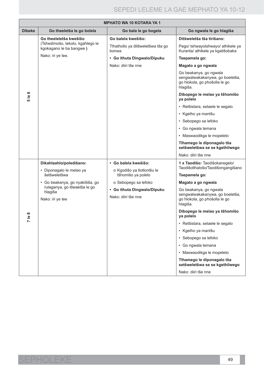|               | <b>MPHATO WA 10 KOTARA YA 1</b>                                  |                                                    |                                                                                                        |  |  |
|---------------|------------------------------------------------------------------|----------------------------------------------------|--------------------------------------------------------------------------------------------------------|--|--|
| <b>Dibeke</b> | Go theeletša le go bolela                                        | Go bala le go bogela                               | Go ngwala le go hlagiša                                                                                |  |  |
|               | Go theeleletša kwešišo                                           | Go balela kwešišo:                                 | Ditšweletša tša tirišano:                                                                              |  |  |
|               | (Tshedimošo, tekolo, kgahlego le<br>kgokagano le ba bangwe)      | Tlhathollo ya ditšweletšwa tša go<br>bonwa         | Pego/ tshwayotshwayo/ athikele ya<br>Kuranta/ athikele ya kgatišobaka                                  |  |  |
|               | Nako: iri ye tee.                                                | • Go ithuta Dingwalo/Dipuku                        | Tsepamela go:                                                                                          |  |  |
|               |                                                                  | Nako: diiri tše nne                                | Magato a go ngwala                                                                                     |  |  |
|               |                                                                  |                                                    | Go beakanya, go ngwala<br>sengwalwakakanywa, go boeletša,<br>go hlokola, go phošolla le go<br>hlagiša. |  |  |
| $5 \mid e 6$  |                                                                  |                                                    | Dibopego le melao ya tšhomišo<br>ya polelo                                                             |  |  |
|               |                                                                  |                                                    | • Retšistara, setaele le segalo                                                                        |  |  |
|               |                                                                  |                                                    | • Kgetho ya mantšu                                                                                     |  |  |
|               |                                                                  |                                                    | · Sebopego sa lefoko                                                                                   |  |  |
|               |                                                                  |                                                    | • Go ngwala temana                                                                                     |  |  |
|               |                                                                  |                                                    | · Maswaodikga le mopeleto                                                                              |  |  |
|               |                                                                  |                                                    | Tlhamego le diponagalo tša<br>setšweletšwa se se kgethilwego                                           |  |  |
|               |                                                                  |                                                    | Nako: diiri tše nne                                                                                    |  |  |
|               | Dikahlaahlo/poledišano:                                          | · Go balela kwešišo:                               | 1 x Taodišo: Taodišokanegelo/                                                                          |  |  |
|               | · Diponagalo le melao ya                                         | o Kgodišo ya tlotlontšu le                         | Taodišotlhalošo/Taodišongangišano                                                                      |  |  |
|               | šetšweletšwa                                                     | tšhomišo ya polelo                                 | Tsepamela go:                                                                                          |  |  |
|               | · Go beakanya, go nyakišiša, go<br>rulaganya, go itlwaetša le go | o Sebopego sa lefoko                               | Magato a go ngwala                                                                                     |  |  |
|               | hlagiša                                                          | • Go ithuta Dingwalo/Dipuku<br>Nako: diiri tše nne | Go beakanya, go ngwala<br>sengwalwakakanywa, go boeletša,                                              |  |  |
|               | Nako: iri ye tee                                                 |                                                    | go hlokola, go phošolla le go<br>hlagiša.                                                              |  |  |
| ထ<br>₾        |                                                                  |                                                    | Dibopego le melao ya tšhomišo<br>ya polelo                                                             |  |  |
| r             |                                                                  |                                                    | · Retšistara, setaele le segalo                                                                        |  |  |
|               |                                                                  |                                                    | · Kgetho ya mantšu                                                                                     |  |  |
|               |                                                                  |                                                    | · Sebopego sa lefoko                                                                                   |  |  |
|               |                                                                  |                                                    | • Go ngwala temana                                                                                     |  |  |
|               |                                                                  |                                                    | · Maswaodikga le mopeleto                                                                              |  |  |
|               |                                                                  |                                                    | Tlhamego le diponagalo tša<br>setšweletšwa se se kgethilwego                                           |  |  |
|               |                                                                  |                                                    | Nako: diiri tše nne                                                                                    |  |  |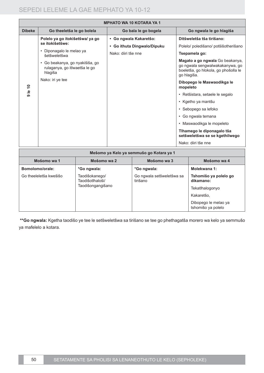| <b>MPHATO WA 10 KOTARA YA 1</b> |                                                                             |                             |                                                                                                                           |  |
|---------------------------------|-----------------------------------------------------------------------------|-----------------------------|---------------------------------------------------------------------------------------------------------------------------|--|
| <b>Dibeke</b>                   | Go theeletša le go bolela                                                   | Go bala le go bogela        | Go ngwala le go hlagiša                                                                                                   |  |
|                                 | Polelo ya go itokišetšwa/ ya go                                             | • Go ngwala Kakaretšo:      | Ditšweletša tša tirišano:                                                                                                 |  |
|                                 | se itokišetšwe:                                                             | • Go ithuta Dingwalo/Dipuku | Polelo/ poledišano/ potšišotherišano                                                                                      |  |
|                                 | · Diponagalo le melao ya<br>šetšweletšwa                                    | Nako: diiri tše nne         | Tsepamela go:                                                                                                             |  |
|                                 | · Go beakanya, go nyakišiša, go<br>rulaganya, go itlwaetša le go<br>hlagiša |                             | Magato a go ngwala Go beakanya,<br>go ngwala sengwalwakakanywa, go<br>boeletša, go hlokola, go phošolla le<br>go hlagiša. |  |
| $\overline{\phantom{0}}$        | Nako: iri ye tee                                                            |                             | Dibopego le Maswaodikga le<br>mopeleto                                                                                    |  |
| $\frac{1}{9}$ le                |                                                                             |                             | • Retšistara, setaele le segalo                                                                                           |  |
|                                 |                                                                             |                             | • Kgetho ya mantšu                                                                                                        |  |
|                                 |                                                                             |                             | • Sebopego sa lefoko                                                                                                      |  |
|                                 |                                                                             |                             | • Go ngwala temana                                                                                                        |  |
|                                 |                                                                             |                             | · Maswaodikga le mopeleto                                                                                                 |  |
|                                 |                                                                             |                             | Tlhamego le diponagalo tša<br>setšweletšwa se se kgethilwego                                                              |  |
|                                 |                                                                             |                             | Nako: diiri tše nne                                                                                                       |  |

| Mešomo ya Kelo ya semmušo go Kotara ya 1 |                                    |                                       |                                            |
|------------------------------------------|------------------------------------|---------------------------------------|--------------------------------------------|
| Mošomo wa 1                              | Mošomo wa 2                        | Mošomo wa 3                           | Mošomo wa 4                                |
| Bomolomo/orale:                          | *Go ngwala:                        | *Go ngwala:                           | Molekwana 1:                               |
| Go theeleletša kwešišo                   | Taodišokanego/<br>Taodišotlhaloši/ | Go ngwala setšweletšwa sa<br>tirišano | Tshomišo ya polelo go<br>dikamano:         |
|                                          | Taodišongangišano                  |                                       | Tekatlhalogonyo                            |
|                                          |                                    |                                       | Kakaretšo.                                 |
|                                          |                                    |                                       | Dibopego le melao ya<br>tshomišo ya polelo |

 **\*\*Go ngwala:** Kgetha taodišo ye tee le setšweletšwa sa tirišano se tee go phethagatša morero wa kelo ya semmušo ya mafelelo a kotara.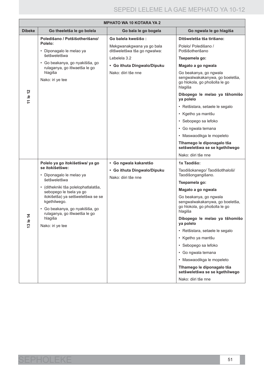|                          | <b>MPHATO WA 10 KOTARA YA 2</b>                                                                                       |                                                           |                                                                                                       |  |
|--------------------------|-----------------------------------------------------------------------------------------------------------------------|-----------------------------------------------------------|-------------------------------------------------------------------------------------------------------|--|
| <b>Dibeke</b>            | Go theeletša le go bolela                                                                                             | Go bala le go bogela                                      | Go ngwala le go hlagiša                                                                               |  |
|                          | Poledišano / Potšišotherišano/                                                                                        | Go balela kwešišo:                                        | Ditšweletša tša tirišano:                                                                             |  |
|                          | Polelo:<br>· Diponagalo le melao ya                                                                                   | Mekgwanakgwana ya go bala<br>ditšweletšwa tša go ngwalwa: | Polelo/Poledišano /<br>Potšišotherišano                                                               |  |
|                          | šetšweletšwa                                                                                                          | Lebelela 3.2                                              | Tsepamela go:                                                                                         |  |
|                          | · Go beakanya, go nyakišiša, go<br>rulaganya, go itlwaetša le go                                                      | • Go ithuta Dingwalo/Dipuku                               | Magato a go ngwala                                                                                    |  |
|                          | hlagiša<br>Nako: iri ye tee                                                                                           | Nako: diiri tše nne                                       | Go beakanya, go ngwala<br>sengwalwakakanywa, go boeletša,<br>go hlokola, go phošolla le go<br>hlagiša |  |
| 11 le 12                 |                                                                                                                       |                                                           | Dibopego le melao ya tšhomišo<br>ya polelo                                                            |  |
|                          |                                                                                                                       |                                                           | • Retšistara, setaele le segalo                                                                       |  |
|                          |                                                                                                                       |                                                           | • Kgetho ya mantšu                                                                                    |  |
|                          |                                                                                                                       |                                                           | · Sebopego sa lefoko                                                                                  |  |
|                          |                                                                                                                       |                                                           | • Go ngwala temana                                                                                    |  |
|                          |                                                                                                                       |                                                           | · Maswaodikga le mopeleto                                                                             |  |
|                          |                                                                                                                       |                                                           | Tlhamego le diponagalo tša<br>setšweletšwa se se kgethilwego                                          |  |
|                          |                                                                                                                       |                                                           | Nako: diiri tše nne                                                                                   |  |
|                          | Polelo ya go itokišetšwa/ ya go                                                                                       | · Go ngwala kakaretšo                                     | 1x Taodišo:                                                                                           |  |
|                          | se itokišetšwe:<br>• Diponagalo le melao ya                                                                           | • Go ithuta Dingwalo/Dipuku<br>Nako: diiri tše nne        | Taodišokanego/ Taodišotlhaloši/<br>Taodišongangišano.                                                 |  |
|                          | šetšweletšwa                                                                                                          |                                                           | Tsepamela go:                                                                                         |  |
|                          | · (dithekniki tša polelophatlalatša,<br>sebopego le tsela ya go                                                       |                                                           | Magato a go ngwala                                                                                    |  |
|                          | itokišetša) ya setšweletšwa se se<br>kgethilwego.<br>· Go beakanya, go nyakišiša, go<br>rulaganya, go itlwaetša le go |                                                           | Go beakanya, go ngwala<br>sengwalwakakanywa, go boeletša,<br>go hlokola, go phošolla le go<br>hlagiša |  |
| $\overline{4}$<br>≗<br>S | hlagiša<br>Nako: iri ye tee                                                                                           |                                                           | Dibopego le melao ya tšhomišo<br>ya polelo                                                            |  |
|                          |                                                                                                                       |                                                           | · Retšistara, setaele le segalo                                                                       |  |
|                          |                                                                                                                       |                                                           | • Kgetho ya mantšu                                                                                    |  |
|                          |                                                                                                                       |                                                           | · Sebopego sa lefoko                                                                                  |  |
|                          |                                                                                                                       |                                                           | • Go ngwala temana                                                                                    |  |
|                          |                                                                                                                       |                                                           | · Maswaodikga le mopeleto                                                                             |  |
|                          |                                                                                                                       |                                                           | Tlhamego le diponagalo tša<br>setšweletšwa se se kgethilwego                                          |  |
|                          |                                                                                                                       |                                                           | Nako: diiri tše nne                                                                                   |  |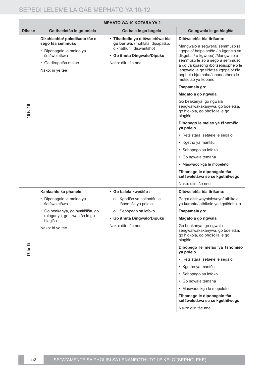|               | <b>MPHATO WA 10 KOTARA YA 2</b>                                                                           |                                                                                                                 |                                                                                                                                                                                                                                                                                     |  |
|---------------|-----------------------------------------------------------------------------------------------------------|-----------------------------------------------------------------------------------------------------------------|-------------------------------------------------------------------------------------------------------------------------------------------------------------------------------------------------------------------------------------------------------------------------------------|--|
| <b>Dibeke</b> | Go theeletša le go bolela                                                                                 | Go bala le go bogela                                                                                            | Go ngwala le go hlagiša                                                                                                                                                                                                                                                             |  |
|               | Dikahlaahlo/ poledišano tše e                                                                             | · Tlhathollo ya ditšweletšwa tša                                                                                | Ditšweletša tša tirišano:                                                                                                                                                                                                                                                           |  |
|               | sego tša semmušo:<br>· Diponagalo le melao ya<br>šetšweletšwa<br>· Go diragatša melao<br>Nako: iri ye tee | go bonwa. (mohlala: dipapatšo,<br>dikhathuni, diswantšho)<br>• Go ithuta Dingwalo/Dipuku<br>Nako: diiri tše nne | Mangwalo a segwera/ semmušo (a<br>kgopelo/ boipelaetšo / a kgopelo ya<br>dikgoba / a kgwebo) /Mangwalo a<br>semmušo le ao a sego a semmušo<br>a go ya kgašong /boitsebišophelo le<br>lengwalo la go tiišetša kgopelo/ tša<br>bophelo bja mohu/lenaneothero le<br>metsotso ya kopano |  |
|               |                                                                                                           |                                                                                                                 | Tsepamela go:                                                                                                                                                                                                                                                                       |  |
|               |                                                                                                           |                                                                                                                 | Magato a go ngwala                                                                                                                                                                                                                                                                  |  |
| 15 le 16      |                                                                                                           |                                                                                                                 | Go beakanya, go ngwala<br>sengwalwakakanywa, go boeletša,<br>go hlokola, go phošolla le go<br>hlagiša                                                                                                                                                                               |  |
|               |                                                                                                           |                                                                                                                 | Dibopego le melao ya tšhomišo<br>ya polelo                                                                                                                                                                                                                                          |  |
|               |                                                                                                           |                                                                                                                 | · Retšistara, setaele le segalo                                                                                                                                                                                                                                                     |  |
|               |                                                                                                           |                                                                                                                 | • Kgetho ya mantšu                                                                                                                                                                                                                                                                  |  |
|               |                                                                                                           |                                                                                                                 | · Sebopego sa lefoko                                                                                                                                                                                                                                                                |  |
|               |                                                                                                           |                                                                                                                 | • Go ngwala temana                                                                                                                                                                                                                                                                  |  |
|               |                                                                                                           |                                                                                                                 | · Maswaodikga le mopeleto                                                                                                                                                                                                                                                           |  |
|               |                                                                                                           |                                                                                                                 | Tlhamego le diponagalo tša<br>setšweletšwa se se kgethilwego                                                                                                                                                                                                                        |  |
|               |                                                                                                           |                                                                                                                 | Nako: diiri tše nne                                                                                                                                                                                                                                                                 |  |
|               | Kahlaahlo ka phanele:                                                                                     | · Go balela kwešišo:                                                                                            | Ditšweletša tša tirišano:                                                                                                                                                                                                                                                           |  |
|               | • Diponagalo le melao ya<br>šetšweletšwa                                                                  | Kgodišo ya tlotlontšu le<br>$\circ$<br>tšhomišo ya polelo:                                                      | Pego/ ditshwayotshwayo/ athikele<br>ya kuranta/ athikele ya kgatišobaka                                                                                                                                                                                                             |  |
|               | · Go beakanya, go nyakišiša, go                                                                           | Sebopego sa lefoko<br>0                                                                                         | Tsepamela go:                                                                                                                                                                                                                                                                       |  |
|               | rulaganya, go itlwaetša le go<br>hlagiša                                                                  | • Go ithuta Dingwalo/Dipuku                                                                                     | Magato a go ngwala                                                                                                                                                                                                                                                                  |  |
|               | Nako: iri ye tee                                                                                          | Nako: diiri tše nne                                                                                             | Go beakanya, go ngwala<br>sengwalwakakanywa, go boeletša,<br>go hlokola, go phošolla le go<br>hlagiša                                                                                                                                                                               |  |
| $17$ le $18$  |                                                                                                           |                                                                                                                 | Dibopego le melao ya tšhomišo<br>ya polelo                                                                                                                                                                                                                                          |  |
|               |                                                                                                           |                                                                                                                 | · Retšistara, setaele le segalo                                                                                                                                                                                                                                                     |  |
|               |                                                                                                           |                                                                                                                 | • Kgetho ya mantšu                                                                                                                                                                                                                                                                  |  |
|               |                                                                                                           |                                                                                                                 | • Sebopego sa lefoko                                                                                                                                                                                                                                                                |  |
|               |                                                                                                           |                                                                                                                 | • Go ngwala temana                                                                                                                                                                                                                                                                  |  |
|               |                                                                                                           |                                                                                                                 | · Maswaodikga le mopeleto                                                                                                                                                                                                                                                           |  |
|               |                                                                                                           |                                                                                                                 | Tihamego le diponagalo tša<br>setšweletšwa se se kgethilwego                                                                                                                                                                                                                        |  |
|               |                                                                                                           |                                                                                                                 | Nako: diiri tše nne                                                                                                                                                                                                                                                                 |  |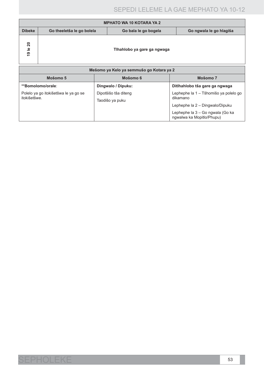| <b>MPHATO WA 10 KOTARA YA 2</b>              |                           |                             |                         |  |
|----------------------------------------------|---------------------------|-----------------------------|-------------------------|--|
| <b>Dibeke</b>                                | Go theeletša le go bolela | Go bala le go bogela        | Go ngwala le go hlagiša |  |
| $\overline{20}$<br>$\mathbf{Q}$<br><u>စု</u> |                           | Tihahlobo ya gare ga ngwaga |                         |  |
|                                              |                           |                             |                         |  |

| Mešomo ya Kelo ya semmušo go Kotara ya 2             |                                         |                                                               |  |
|------------------------------------------------------|-----------------------------------------|---------------------------------------------------------------|--|
| Mošomo 5                                             | Mošomo 6                                | Mošomo 7                                                      |  |
| **Bomolomo/orale:                                    | Dingwalo / Dipuku:                      | Ditlhahlobo tša gare ga ngwaga                                |  |
| Polelo ya go itokišetšwa le ya go se<br>itokišetšwe. | Dipotšišo tša diteng<br>Taodišo ya puku | Lephephe la 1 - Tšhomišo ya polelo go<br>dikamano             |  |
|                                                      |                                         | Lephephe la 2 – Dingwalo/Dipuku                               |  |
|                                                      |                                         | Lephephe la 3 – Go ngwala (Go ka<br>ngwalwa ka Mopitlo/Phupu) |  |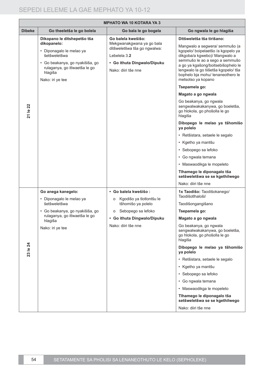|               | <b>MPHATO WA 10 KOTARA YA 3</b>                                                                                                                                                           |                                                                                                                                                              |                                                                                                                                                                                                                                                                                                                                                                                                                                                                                                                                                                                                                                                                                                                 |  |
|---------------|-------------------------------------------------------------------------------------------------------------------------------------------------------------------------------------------|--------------------------------------------------------------------------------------------------------------------------------------------------------------|-----------------------------------------------------------------------------------------------------------------------------------------------------------------------------------------------------------------------------------------------------------------------------------------------------------------------------------------------------------------------------------------------------------------------------------------------------------------------------------------------------------------------------------------------------------------------------------------------------------------------------------------------------------------------------------------------------------------|--|
| <b>Dibeke</b> | Go theeletša le go bolela                                                                                                                                                                 | Go bala le go bogela                                                                                                                                         | Go ngwala le go hlagiša                                                                                                                                                                                                                                                                                                                                                                                                                                                                                                                                                                                                                                                                                         |  |
| 21 le 22      | Dikopano le ditshepetšo tša<br>dikopanelo:<br>· Diponagalo le melao ya<br>šetšweletšwa<br>· Go beakanya, go nyakišiša, go<br>rulaganya, go itlwaetša le go<br>hlagiša<br>Nako: iri ye tee | Go balela kwešišo:<br>Mekgwanakgwana ya go bala<br>ditšweletšwa tša go ngwalwa:<br>Lebelela 3.2<br>• Go ithuta Dingwalo/Dipuku<br>Nako: diiri tše nne        | Ditšweletša tša tirišano:<br>Mangwalo a segwera/ semmušo (a<br>kgopelo/ boipelaetšo /a kgopelo ya<br>dikgoba/a kgwebo)/ Mangwalo a<br>semmušo le ao a sego a semmušo<br>a go ya kgašong/boitsebišophelo le<br>lengwalo la go tiišetša kgopelo/ tša<br>bophelo bja mohu/ lenaneothero le<br>metsotso ya kopano<br>Tsepamela go:<br>Magato a go ngwala<br>Go beakanya, go ngwala<br>sengwalwakakanywa, go boeletša,<br>go hlokola, go phošolla le go<br>hlagiša<br>Dibopego le melao ya tšhomišo<br>ya polelo<br>• Retšistara, setaele le segalo<br>• Kgetho ya mantšu<br>· Sebopego sa lefoko<br>• Go ngwala temana<br>· Maswaodikga le mopeleto<br>Tlhamego le diponagalo tša<br>setšweletšwa se se kgethilwego |  |
| 23 le 24      | Go anega kanegelo:<br>· Diponagalo le melao ya<br>šetšweletšwa<br>· Go beakanya, go nyakišiša, go<br>rulaganya, go itlwaetša le go<br>hlagiša<br>Nako: iri ye tee                         | · Go balela kwešišo:<br>Kgodišo ya tlotlontšu le<br>0<br>tšhomišo ya polelo<br>Sebopego sa lefoko<br>0<br>• Go ithuta Dingwalo/Dipuku<br>Nako: diiri tše nne | Nako: diiri tše nne<br>1x Taodišo: Taodišokanego/<br>Taodišotlhaloši/<br>Taodišongangišano<br>Tsepamela go:<br>Magato a go ngwala<br>Go beakanya, go ngwala<br>sengwalwakakanywa, go boeletša,<br>go hlokola, go phošolla le go<br>hlagiša<br>Dibopego le melao ya tšhomišo<br>ya polelo<br>• Retšistara, setaele le segalo<br>• Kgetho ya mantšu<br>• Sebopego sa lefoko<br>• Go ngwala temana<br>· Maswaodikga le mopeleto<br>Tlhamego le diponagalo tša<br>setšweletšwa se se kgethilwego<br>Nako: diiri tše nne                                                                                                                                                                                             |  |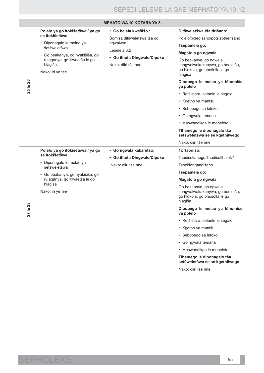|          |                                           | <b>MPHATO WA 10 KOTARA YA 3</b>                    |                                                                                                       |
|----------|-------------------------------------------|----------------------------------------------------|-------------------------------------------------------------------------------------------------------|
|          | Polelo ya go itokišetšwa / ya go          | · Go balela kwešišo:                               | Ditšweletšwa tša tirišano:                                                                            |
|          | se itokišetšwe:                           | Šomiša ditšweletšwa tša go                         | Polelo/poledišano/potšišotherišano                                                                    |
|          | · Diponagalo le melao ya<br>šetšweletšwa  | ngwalwa:                                           | Tsepamela go:                                                                                         |
|          | · Go beakanya, go nyakišiša, go           | Lebelela 3.2                                       | Magato a go ngwala                                                                                    |
|          | rulaganya, go itlwaetša le go<br>hlagiša. | • Go ithuta Dingwalo/Dipuku<br>Nako: diiri tše nne | Go beakanya, go ngwala<br>sengwalwakakanywa, go boeletša,                                             |
|          | Nako: iri ye tee                          |                                                    | go hlokola, go phošolla le go<br>hlagiša                                                              |
| 25 le 26 |                                           |                                                    | Dibopego le melao ya tšhomišo<br>ya polelo                                                            |
|          |                                           |                                                    | • Retšistara, setaele le segalo                                                                       |
|          |                                           |                                                    | • Kgetho ya mantšu                                                                                    |
|          |                                           |                                                    | • Sebopego sa lefoko                                                                                  |
|          |                                           |                                                    | • Go ngwala temana                                                                                    |
|          |                                           |                                                    | · Maswaodikga le mopeleto                                                                             |
|          |                                           |                                                    | Tihamego le diponagalo tša<br>setšweletšwa se se kgethilwego                                          |
|          |                                           |                                                    | Nako: diiri tše nne                                                                                   |
|          |                                           |                                                    |                                                                                                       |
|          | Polelo ya go itokišetšwa / ya go          | · Go ngwala kakaretšo:                             | 1x Taodišo:                                                                                           |
|          | se itokišetšwe.                           | • Go ithuta Dingwalo/Dipuku                        | Taodišokanego/Taodišotlhaloši/                                                                        |
|          | · Diponagalo le melao ya<br>šetšweletšwa  | Nako: diiri tše nne                                | Taodišongangišano                                                                                     |
|          | · Go beakanya, go nyakišiša, go           |                                                    | Tsepamela go:                                                                                         |
|          | rulaganya, go itlwaetša le go             |                                                    | Magato a go ngwala                                                                                    |
|          | hlagiša<br>Nako: iri ye tee               |                                                    | Go beakanya, go ngwala<br>sengwalwakakanywa, go boeletša,<br>go hlokola, go phošolla le go<br>hlagiša |
| 27 le 28 |                                           |                                                    | Dibopego le melao ya tšhomišo<br>ya polelo                                                            |
|          |                                           |                                                    | · Retšistara, setaele le segalo                                                                       |
|          |                                           |                                                    | • Kgetho ya mantšu                                                                                    |
|          |                                           |                                                    | · Sebopego sa lefoko                                                                                  |
|          |                                           |                                                    | • Go ngwala temana                                                                                    |
|          |                                           |                                                    | · Maswaodikga le mopeleto                                                                             |
|          |                                           |                                                    | Tlhamego le diponagalo tša<br>setšweletšwa se se kgethilwego                                          |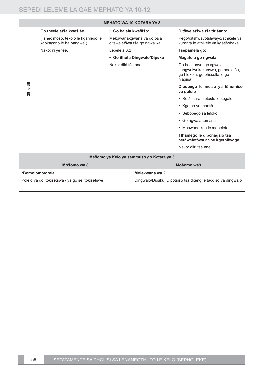Polelo ya go itokišetšwa / ya go se itokišetšwe

| <b>MPHATO WA 10 KOTARA YA 3</b> |                                                               |                                                    |                                                                                                       |                                                                         |
|---------------------------------|---------------------------------------------------------------|----------------------------------------------------|-------------------------------------------------------------------------------------------------------|-------------------------------------------------------------------------|
|                                 | Go theeleletša kwešišo:                                       | · Go balela kwešišo:                               |                                                                                                       | Ditšweletšwa tša tirišano:                                              |
|                                 | (Tshedimošo, tekolo le kgahlego le<br>kgokagano le ba bangwe) |                                                    | Mekgwanakgwana ya go bala<br>ditšweletšwa tša go ngwalwa:                                             | Pego/ditshwayotshwayo/athikele ya<br>kuranta le athikele ya kgatišobaka |
|                                 | Nako: iri ye tee.                                             | Lebelela 3.2                                       |                                                                                                       | Tsepamela go:                                                           |
|                                 |                                                               |                                                    |                                                                                                       | Magato a go ngwala                                                      |
|                                 |                                                               | • Go ithuta Dingwalo/Dipuku<br>Nako: diiri tše nne | Go beakanya, go ngwala<br>sengwalwakakanywa, go boeletša,<br>go hlokola, go phošolla le go<br>hlagiša |                                                                         |
| 29 le 30                        |                                                               |                                                    |                                                                                                       | Dibopego le melao ya tšhomišo<br>ya polelo                              |
|                                 |                                                               |                                                    |                                                                                                       | • Retšistara, setaele le segalo                                         |
|                                 |                                                               |                                                    |                                                                                                       | • Kgetho ya mantšu                                                      |
|                                 |                                                               |                                                    |                                                                                                       | • Sebopego sa lefoko                                                    |
|                                 |                                                               |                                                    |                                                                                                       | • Go ngwala temana                                                      |
|                                 |                                                               |                                                    |                                                                                                       | · Maswaodikga le mopeleto                                               |
|                                 |                                                               |                                                    |                                                                                                       | Tlhamego le diponagalo tša<br>setšweletšwa se se kgethilwego            |
|                                 |                                                               |                                                    |                                                                                                       | Nako: diiri tše nne                                                     |
|                                 | Mešomo ya Kelo ya semmušo go Kotara ya 3                      |                                                    |                                                                                                       |                                                                         |
|                                 | Mošomo wa 8                                                   |                                                    |                                                                                                       | Mošomo wa9                                                              |
| *Bomolomo/orale:                |                                                               | Molekwana wa 2:                                    |                                                                                                       |                                                                         |

Dingwalo/Dipuku: Dipotšišo tša diteng le taodišo ya dingwalo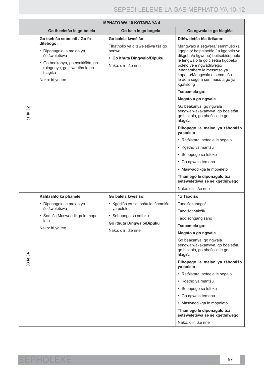|                                                                                                                                                                               | <b>MPHATO WA 10 KOTARA YA 4</b>                                                                                                                          |                                                                                                  |                                                                                                                                                                                                                                                                                          |  |
|-------------------------------------------------------------------------------------------------------------------------------------------------------------------------------|----------------------------------------------------------------------------------------------------------------------------------------------------------|--------------------------------------------------------------------------------------------------|------------------------------------------------------------------------------------------------------------------------------------------------------------------------------------------------------------------------------------------------------------------------------------------|--|
|                                                                                                                                                                               | Go theeletša le go bolela                                                                                                                                | Go bala le go bogela                                                                             | Go ngwala le go hlagiša                                                                                                                                                                                                                                                                  |  |
|                                                                                                                                                                               | Go tsebiša seboledi / Go fa                                                                                                                              | Go balela kwešišo:                                                                               | Ditšweletša tša tirišano:                                                                                                                                                                                                                                                                |  |
|                                                                                                                                                                               | ditebogo:<br>· Diponagalo le melao ya<br>šetšweletšwa<br>· Go beakanya, go nyakišiša, go<br>rulaganya, go itlwaetša le go<br>hlagiša<br>Nako: iri ye tee | Tlhathollo ya ditšweletšwa tša go<br>bonwa<br>• Go ithuta Dingwalo/Dipuku<br>Nako: diiri tše nne | Mangwalo a segwera/ semmušo (a<br>kgopelo/ boipelaetšo / a kgopelo ya<br>dikgoba/a kgwebo) boitsebišophelo<br>le lengwalo la go tiišetša kgopelo/<br>polelo ye e ngwadilwego/<br>lenaneothero le metsotso ya<br>kopano/Mangwalo a semmušo<br>le ao a sego a semmušo a go ya<br>kgatišong |  |
|                                                                                                                                                                               |                                                                                                                                                          |                                                                                                  | Tsepamela go:                                                                                                                                                                                                                                                                            |  |
|                                                                                                                                                                               |                                                                                                                                                          |                                                                                                  | Magato a go ngwala                                                                                                                                                                                                                                                                       |  |
| 31 le 32                                                                                                                                                                      |                                                                                                                                                          |                                                                                                  | Go beakanya, go ngwala<br>sengwalwakakanywa, go boeletša,<br>go hlokola, go phošolla le go<br>hlagiša                                                                                                                                                                                    |  |
|                                                                                                                                                                               |                                                                                                                                                          |                                                                                                  | Dibopego le melao ya tšhomišo<br>ya polelo                                                                                                                                                                                                                                               |  |
|                                                                                                                                                                               |                                                                                                                                                          |                                                                                                  | • Retšistara, setaele le segalo                                                                                                                                                                                                                                                          |  |
|                                                                                                                                                                               |                                                                                                                                                          |                                                                                                  | • Kgetho ya mantšu                                                                                                                                                                                                                                                                       |  |
|                                                                                                                                                                               |                                                                                                                                                          |                                                                                                  | • Sebopego sa lefoko                                                                                                                                                                                                                                                                     |  |
|                                                                                                                                                                               |                                                                                                                                                          |                                                                                                  | • Go ngwala temana                                                                                                                                                                                                                                                                       |  |
|                                                                                                                                                                               |                                                                                                                                                          |                                                                                                  | · Maswaodikga le mopeleto                                                                                                                                                                                                                                                                |  |
|                                                                                                                                                                               |                                                                                                                                                          |                                                                                                  | Tlhamego le diponagalo tša<br>setšweletšwa se se kgethilwego                                                                                                                                                                                                                             |  |
|                                                                                                                                                                               |                                                                                                                                                          |                                                                                                  | Nako: diiri tše nne                                                                                                                                                                                                                                                                      |  |
|                                                                                                                                                                               | Kahlaahlo ka phanele:                                                                                                                                    | Go balela kwešišo:                                                                               | 1x Taodišo                                                                                                                                                                                                                                                                               |  |
| · Diponagalo le melao ya<br>šetšweletšwa<br>ya polelo<br>· Šomiša Maswaodikga le mope-<br>• Sebopego sa sefoko<br>leto<br>Nako: iri ye tee<br>Nako: diiri tše nne<br>33 le 34 | · Kgodišo ya tlotlonšu le tšhomišo                                                                                                                       | Taodišokanego/                                                                                   |                                                                                                                                                                                                                                                                                          |  |
|                                                                                                                                                                               |                                                                                                                                                          | Go ithuta Dingwalo/Dipuku                                                                        |                                                                                                                                                                                                                                                                                          |  |
|                                                                                                                                                                               |                                                                                                                                                          | Taodišotlhaloši/                                                                                 |                                                                                                                                                                                                                                                                                          |  |
|                                                                                                                                                                               |                                                                                                                                                          |                                                                                                  | Taodišongangišano                                                                                                                                                                                                                                                                        |  |
|                                                                                                                                                                               |                                                                                                                                                          |                                                                                                  | Tsepamela go:                                                                                                                                                                                                                                                                            |  |
|                                                                                                                                                                               |                                                                                                                                                          |                                                                                                  | Magato a go ngwala                                                                                                                                                                                                                                                                       |  |
|                                                                                                                                                                               |                                                                                                                                                          |                                                                                                  | Go beakanya, go ngwala<br>sengwalwakakanywa, go boeletša,<br>go hlokola, go phošolla le go<br>hlagiša                                                                                                                                                                                    |  |
|                                                                                                                                                                               |                                                                                                                                                          |                                                                                                  | Dibopego le melao ya tšhomišo<br>ya polelo                                                                                                                                                                                                                                               |  |
|                                                                                                                                                                               |                                                                                                                                                          |                                                                                                  | · Retšistara, setaele le segalo                                                                                                                                                                                                                                                          |  |
|                                                                                                                                                                               |                                                                                                                                                          |                                                                                                  | • Kgetho ya mantšu                                                                                                                                                                                                                                                                       |  |
|                                                                                                                                                                               |                                                                                                                                                          |                                                                                                  | · Sebopego sa lefoko                                                                                                                                                                                                                                                                     |  |
|                                                                                                                                                                               |                                                                                                                                                          |                                                                                                  | • Go ngwala temana                                                                                                                                                                                                                                                                       |  |
|                                                                                                                                                                               |                                                                                                                                                          |                                                                                                  | · Maswaodikga le mopeleto                                                                                                                                                                                                                                                                |  |
|                                                                                                                                                                               |                                                                                                                                                          |                                                                                                  | Tlhamego le diponagalo tša<br>setšweletšwa se se kgethilwego                                                                                                                                                                                                                             |  |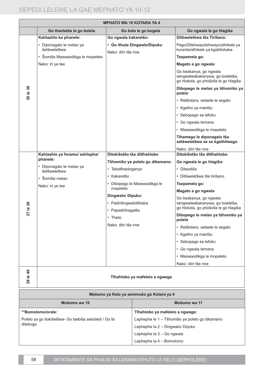| <b>MPHATO WA 10 KOTARA YA 4</b>  |                                            |                                                                                                                                                                                                                                                                                                             |                                                                                                    |
|----------------------------------|--------------------------------------------|-------------------------------------------------------------------------------------------------------------------------------------------------------------------------------------------------------------------------------------------------------------------------------------------------------------|----------------------------------------------------------------------------------------------------|
|                                  | Go theeletša le go bolela                  | Go bala le go bogela                                                                                                                                                                                                                                                                                        | Go ngwala le go hlagiša                                                                            |
|                                  | Kahlaahlo ka phanele:                      | Go ngwala kakaretšo:                                                                                                                                                                                                                                                                                        | Ditšweletšwa tša Tirišano:                                                                         |
|                                  | · Diponagalo le melao ya<br>šetšweletšwa   | • Go ithuta Dingwalo/Dipuku                                                                                                                                                                                                                                                                                 | Pego/Ditshwayotshwayo/athikele ya<br>kuranta/athikele ya kgatišobaka                               |
|                                  | · Šomiša Maswaodikga le mopeleto           |                                                                                                                                                                                                                                                                                                             | Tsepamela go:                                                                                      |
|                                  | Nako: iri ye tee                           |                                                                                                                                                                                                                                                                                                             | Magato a go ngwala                                                                                 |
|                                  |                                            |                                                                                                                                                                                                                                                                                                             | Go beakanya, go ngwala<br>sengwalwakakanywa, go boeletša,<br>go hlokola, go phošolla le go hlagiša |
|                                  |                                            |                                                                                                                                                                                                                                                                                                             | Dibopego le melao ya tšhomišo ya<br>polelo                                                         |
|                                  |                                            |                                                                                                                                                                                                                                                                                                             | • Retšistara, setaele le segalo                                                                    |
|                                  |                                            |                                                                                                                                                                                                                                                                                                             | · Kgetho ya mantšu                                                                                 |
|                                  |                                            |                                                                                                                                                                                                                                                                                                             | • Sebopego sa lefoko                                                                               |
|                                  |                                            |                                                                                                                                                                                                                                                                                                             | • Go ngwala temana                                                                                 |
|                                  |                                            |                                                                                                                                                                                                                                                                                                             | · Maswaodikga le mopeleto                                                                          |
|                                  |                                            |                                                                                                                                                                                                                                                                                                             | Tlhamego le diponagalo tša<br>setšweletšwa se se kgethilwego                                       |
|                                  |                                            |                                                                                                                                                                                                                                                                                                             | Nako: diiri tše nne                                                                                |
|                                  | Kahlaahlo ya foramo/ sehlopha/<br>phanele: |                                                                                                                                                                                                                                                                                                             | Ditokišetšo tša ditlhahlobo                                                                        |
|                                  | Diponagalo le melao ya                     |                                                                                                                                                                                                                                                                                                             | Go ngwala le go hlagiša:                                                                           |
| 35 le 36<br>37 le 38<br>39 le 40 | šetšweletšwa                               |                                                                                                                                                                                                                                                                                                             | • Ditaodišo                                                                                        |
|                                  | Šomiša melao                               |                                                                                                                                                                                                                                                                                                             | · Ditšweletšwa tša tirišano.                                                                       |
|                                  | Nako: iri ye tee                           |                                                                                                                                                                                                                                                                                                             | Tsepamela go:                                                                                      |
|                                  |                                            | Nako: diiri tše nne<br>Ditokišetšo tša ditlhahlobo<br>Tšhomišo ya polelo go dikamano:<br>• Tekatlhaologanyo<br>• Kakaretšo<br>· Dibopego le Maswaodikga le<br>mopeleto<br>Dingwalo/Dipuku:<br>· Padi/dingwalotšhaba<br>• Papadi/tiragatšo<br>Theto<br>Nako: diiri tše nne<br>Tlhahlobo ya mafelelo a ngwaga | Magato a go ngwala                                                                                 |
|                                  |                                            |                                                                                                                                                                                                                                                                                                             | Go beakanya, go ngwala<br>sengwalwakakanywa, go boeletša,                                          |
|                                  |                                            |                                                                                                                                                                                                                                                                                                             | go hlokola, go phošolla le go hlagiša                                                              |
|                                  |                                            |                                                                                                                                                                                                                                                                                                             | Dibopego le melao ya tšhomišo ya<br>polelo                                                         |
|                                  |                                            |                                                                                                                                                                                                                                                                                                             | · Retšistara, setaele le segalo                                                                    |
|                                  |                                            |                                                                                                                                                                                                                                                                                                             | • Kgetho ya mantšu                                                                                 |
|                                  |                                            |                                                                                                                                                                                                                                                                                                             | · Sebopego sa lefoko                                                                               |
|                                  |                                            |                                                                                                                                                                                                                                                                                                             | · Go ngwala temana                                                                                 |
|                                  |                                            |                                                                                                                                                                                                                                                                                                             | · Maswaodikga le mopeleto                                                                          |
|                                  |                                            |                                                                                                                                                                                                                                                                                                             | Nako: diiri tše nne                                                                                |
|                                  |                                            |                                                                                                                                                                                                                                                                                                             |                                                                                                    |

| Mešomo ya Kelo ya semmušo go Kotara ya 4              |                                                |  |  |
|-------------------------------------------------------|------------------------------------------------|--|--|
| Mošomo wa 10                                          | Mošomo wa 11                                   |  |  |
| **Bomolomo/orale:                                     | Tihahlobo ya mafelelo a ngwaga:                |  |  |
| Polelo ya go itokišetšwa- Go tsebiša seboledi / Go fa | Lephephe le 1 – Tšhomišo va polelo go dikamano |  |  |
| ditebogo                                              | Lephephe la 2 - Dingwalo/ Dipuku               |  |  |
|                                                       | Lephephe la 3 - Go ngwala                      |  |  |
|                                                       | Lephephe la 4 - Bomolomo                       |  |  |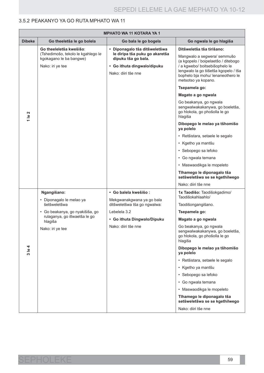### 3.5.2 PEAKANYO YA GO RUTA MPHATO WA 11

| <b>MPHATO WA 11 KOTARA YA 1</b> |                                                                                   |                                                                                                                                   |                                                                                                                                                                                                           |
|---------------------------------|-----------------------------------------------------------------------------------|-----------------------------------------------------------------------------------------------------------------------------------|-----------------------------------------------------------------------------------------------------------------------------------------------------------------------------------------------------------|
| <b>Dibeke</b>                   | Go theeletša le go bolela                                                         | Go bala le go bogela                                                                                                              | Go ngwala le go hlagiša                                                                                                                                                                                   |
|                                 | Go theeleletša kwešišo:                                                           | • Diponagalo tša ditšweletšwa                                                                                                     | Ditšweletša tša tirišano:                                                                                                                                                                                 |
|                                 | (Tshedimošo, tekolo le kgahlego le<br>kgokagano le ba bangwe)<br>Nako: iri ye tee | dipuku tša go bala.<br>• Go ithuta dingwalo/dipuku<br>Nako: diiri tše nne                                                         | Mangwalo a segwera/ semmušo<br>(a kgopelo / boipelaetšo / ditebogo<br>/ a kgwebo/ boitsebišophelo le<br>lengwalo la go tiišetša kgopelo / tša<br>bophelo bja mohu/ lenaneothero le<br>metsotso ya kopano. |
|                                 |                                                                                   |                                                                                                                                   | Tsepamela go:                                                                                                                                                                                             |
|                                 |                                                                                   |                                                                                                                                   | Magato a go ngwala                                                                                                                                                                                        |
| 2<br>$\overline{\bullet}$       |                                                                                   |                                                                                                                                   | Go beakanya, go ngwala<br>sengwalwakakanywa, go boeletša,<br>go hlokola, go phošolla le go<br>hlagiša                                                                                                     |
|                                 |                                                                                   |                                                                                                                                   | Dibopego le melao ya tšhomišo<br>ya polelo                                                                                                                                                                |
|                                 |                                                                                   |                                                                                                                                   | · Retšistara, setaele le segalo                                                                                                                                                                           |
|                                 |                                                                                   |                                                                                                                                   | • Kgetho ya mantšu                                                                                                                                                                                        |
|                                 |                                                                                   |                                                                                                                                   | · Sebopego sa lefoko                                                                                                                                                                                      |
|                                 |                                                                                   |                                                                                                                                   | • Go ngwala temana                                                                                                                                                                                        |
|                                 |                                                                                   |                                                                                                                                   | · Maswaodikga le mopeleto                                                                                                                                                                                 |
|                                 |                                                                                   |                                                                                                                                   | Tlhamego le diponagalo tša<br>setšweletšwa se se kgethilwego                                                                                                                                              |
|                                 |                                                                                   |                                                                                                                                   | Nako: diiri tše nne                                                                                                                                                                                       |
|                                 | Ngangišano:<br>• Diponagalo le melao ya                                           | · Go balela kwešišo:                                                                                                              | 1x Taodišo: Taodišokgadimo/<br>Taodišokahlaahlo/                                                                                                                                                          |
| 4<br>$\overline{\bullet}$<br>ო  | šetšweletšwa                                                                      | ditšweletšwa tša go ngwalwa:                                                                                                      | Taodišongangišano.                                                                                                                                                                                        |
|                                 | · Go beakanya, go nyakišiša, go                                                   | le diripa tša puku go akaretša<br>Mekgwanakgwana ya go bala<br>Lebelela 3.2<br>• Go ithuta Dingwalo/Dipuku<br>Nako: diiri tše nne | Tsepamela go:                                                                                                                                                                                             |
|                                 | rulaganya, go itlwaetša le go<br>hlagiša                                          |                                                                                                                                   | Magato a go ngwala                                                                                                                                                                                        |
|                                 | Nako: iri ye tee                                                                  |                                                                                                                                   | Go beakanya, go ngwala<br>sengwalwakakanywa, go boeletša,<br>go hlokola, go phošolla le go<br>hlagiša                                                                                                     |
|                                 |                                                                                   |                                                                                                                                   | Dibopego le melao ya tšhomišo<br>ya polelo                                                                                                                                                                |
|                                 |                                                                                   |                                                                                                                                   | • Retšistara, setaele le segalo                                                                                                                                                                           |
|                                 |                                                                                   |                                                                                                                                   | • Kgetho ya mantšu                                                                                                                                                                                        |
|                                 |                                                                                   |                                                                                                                                   | · Sebopego sa lefoko                                                                                                                                                                                      |
|                                 |                                                                                   |                                                                                                                                   | • Go ngwala temana                                                                                                                                                                                        |
|                                 |                                                                                   |                                                                                                                                   | · Maswaodikga le mopeleto                                                                                                                                                                                 |
|                                 |                                                                                   |                                                                                                                                   | Tihamego le diponagalo tša<br>setšweletšwa se se kgethilwego                                                                                                                                              |
|                                 |                                                                                   |                                                                                                                                   | Nako: diiri tše nne                                                                                                                                                                                       |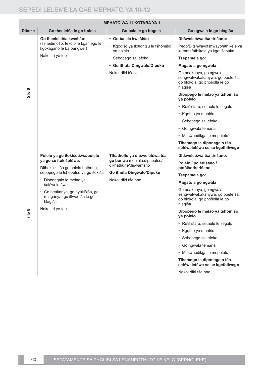|                                   | <b>MPHATO WA 11 KOTARA YA 1</b>                                             |                                                                                                                                            |                                                                                                       |  |
|-----------------------------------|-----------------------------------------------------------------------------|--------------------------------------------------------------------------------------------------------------------------------------------|-------------------------------------------------------------------------------------------------------|--|
| <b>Dibeke</b>                     | Go theeletša le go bolela                                                   | Go bala le go bogela                                                                                                                       | Go ngwala le go hlagiša                                                                               |  |
|                                   | Go theeleletša kwešišo:                                                     | · Go balela kwešišo:                                                                                                                       | Ditšweletšwa tša tirišano:                                                                            |  |
|                                   | (Tshedimošo, tekolo le kgahlego le<br>kgokagano le ba bangwe)               | · Kgodišo ya tlotlontšu le tšhomišo<br>ya polelo                                                                                           | Pego/Ditshwayotshwayo/athikele ya<br>kuranta/athikele ya kgatišobaka                                  |  |
|                                   | Nako: iri ye tee                                                            | · Sebopego sa lefoko                                                                                                                       | Tsepamela go:                                                                                         |  |
|                                   |                                                                             | • Go ithuta Dingwalo/Dipuku                                                                                                                | Magato a go ngwala                                                                                    |  |
|                                   |                                                                             | Nako: diiri tše 4                                                                                                                          | Go beakanya, go ngwala<br>sengwalwakakanywa, go boeletša,<br>go hlokola, go phošolla le go<br>hlagiša |  |
| 5le                               |                                                                             |                                                                                                                                            | Dibopego le melao ya tšhomišo<br>ya polelo                                                            |  |
|                                   |                                                                             |                                                                                                                                            | · Retšistara, setaele le segalo                                                                       |  |
|                                   |                                                                             |                                                                                                                                            | • Kgetho ya mantšu                                                                                    |  |
|                                   |                                                                             |                                                                                                                                            | · Sebopego sa lefoko                                                                                  |  |
|                                   |                                                                             |                                                                                                                                            | • Go ngwala temana                                                                                    |  |
|                                   |                                                                             |                                                                                                                                            | · Maswaodikga le mopeleto                                                                             |  |
|                                   |                                                                             | Tlhathollo ya ditšweletšwa tša<br>go bonwa mohlala.dipapatšo/<br>dikhathune/diswantšho<br>Go ithuta Dingwalo/Dipuku<br>Nako: diiri tše nne | Tlhamego le diponagalo tša<br>setšweletšwa se se kgethilwego                                          |  |
|                                   | Polelo ya go itokišetšwa/polelo                                             |                                                                                                                                            | Ditšweletšwa tša tirišano:                                                                            |  |
| ဖ<br>∞<br>$\overline{\mathbf{0}}$ | ya go se itokišetšwe:<br>Dithekniki tša go bolela bathong,                  |                                                                                                                                            | Polelo / poledišano /<br>potšišotherišano                                                             |  |
|                                   | sebopego le tshepetšo ya go itokiša                                         |                                                                                                                                            | Tsepamela go:                                                                                         |  |
|                                   | • Diponagalo le melao ya<br>šetšweletšwa                                    |                                                                                                                                            | Magato a go ngwala                                                                                    |  |
|                                   | · Go beakanya, go nyakišiša, go<br>rulaganya, go itlwaetša le go<br>hlagiša |                                                                                                                                            | Go beakanya, go ngwala<br>sengwalwakakanywa, go boeletša,<br>go hlokola, go phošolla le go<br>hlagiša |  |
|                                   | Nako: iri ye tee                                                            |                                                                                                                                            | Dibopego le melao ya tšhomišo<br>ya polelo                                                            |  |
|                                   |                                                                             |                                                                                                                                            | · Retšistara, setaele le segalo                                                                       |  |
|                                   |                                                                             |                                                                                                                                            | • Kgetho ya mantšu                                                                                    |  |
|                                   |                                                                             |                                                                                                                                            | · Sebopego sa lefoko                                                                                  |  |
|                                   |                                                                             |                                                                                                                                            | · Go ngwala temana                                                                                    |  |
|                                   |                                                                             |                                                                                                                                            | · Maswaodikga le mopeleto                                                                             |  |
|                                   |                                                                             |                                                                                                                                            | Tlhamego le diponagalo tša<br>setšweletšwa se se kgethilwego                                          |  |
|                                   |                                                                             |                                                                                                                                            | Nako: diiri tše nne                                                                                   |  |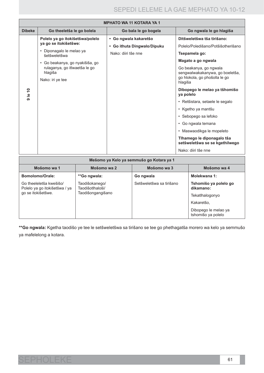| <b>MPHATO WA 11 KOTARA YA 1</b> |                                          |                             |                                                              |
|---------------------------------|------------------------------------------|-----------------------------|--------------------------------------------------------------|
| <b>Dibeke</b>                   | Go theeletša le go bolela                | Go bala le go bogela        | Go ngwala le go hlagiša                                      |
|                                 | Polelo ya go itokišetšwa/polelo          | • Go ngwala kakaretšo       | Ditšweletšwa tša tirišano:                                   |
|                                 | ya go se itokišetšwe:                    | • Go ithuta Dingwalo/Dipuku | Polelo/Poledišano/Potšišotherišano                           |
|                                 | · Diponagalo le melao ya<br>šetšweletšwa | Nako: diiri tše nne         | Tsepamela go:                                                |
|                                 | · Go beakanya, go nyakišiša, go          |                             | Magato a go ngwala                                           |
|                                 | rulaganya, go itlwaetša le go<br>hlagiša |                             | Go beakanya, go ngwala<br>sengwalwakakanywa, go boeletša,    |
|                                 | Nako: iri ye tee                         |                             | go hlokola, go phošolla le go<br>hlagiša                     |
| $\overline{1}$<br>$\frac{6}{9}$ |                                          |                             | Dibopego le melao ya tšhomišo<br>ya polelo                   |
|                                 |                                          |                             | • Retšistara, setaele le segalo                              |
|                                 |                                          |                             | • Kgetho ya mantšu                                           |
|                                 |                                          |                             | • Sebopego sa lefoko                                         |
|                                 |                                          |                             | • Go ngwala temana                                           |
|                                 |                                          |                             | · Maswaodikga le mopeleto                                    |
|                                 |                                          |                             | Tlhamego le diponagalo tša<br>setšweletšwa se se kgethilwego |
|                                 |                                          |                             | Nako: diiri tše nne                                          |

| Mešomo ya Kelo ya semmušo go Kotara ya 1                 |                                    |                          |                                            |
|----------------------------------------------------------|------------------------------------|--------------------------|--------------------------------------------|
| Mošomo wa 1                                              | Mošomo wa 2                        | Mošomo wa 3              | Mošomo wa 4                                |
| Bomolomo/Orale:                                          | **Go ngwala:                       | Go ngwala                | Molekwana 1:                               |
| Go theeleletša kwešišo/<br>Polelo ya go itokišetšwa / ya | Taodišokanego/<br>Taodišotlhaloši/ | Setšweletšwa sa tirišano | Tshomišo ya polelo go<br>dikamano:         |
| go se itokišetšwe.                                       | Taodišongangišano                  |                          | Tekatlhalogonyo                            |
|                                                          |                                    |                          | Kakaretšo.                                 |
|                                                          |                                    |                          | Dibopego le melao ya<br>tshomišo ya polelo |

**\*\*Go ngwala:** Kgetha taodišo ye tee le setšweletšwa sa tirišano se tee go phethagatša morero wa kelo ya semmušo ya mafelelong a kotara.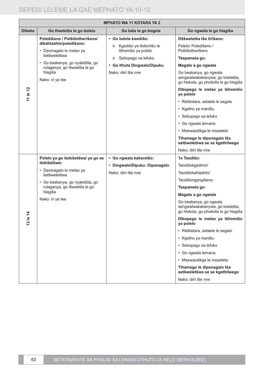|                                | <b>MPHATO WA 11 KOTARA YA 2</b>                                  |                                                                                |                                                                                                    |  |
|--------------------------------|------------------------------------------------------------------|--------------------------------------------------------------------------------|----------------------------------------------------------------------------------------------------|--|
| <b>Dibeke</b>                  | Go theeletša le go bolela                                        | Go bala le go bogela                                                           | Go ngwala le go hlagiša                                                                            |  |
|                                | Poledišano / Potšišotherišano/                                   | · Go balela kwešišo:                                                           | Ditšweletša tša tirišano:                                                                          |  |
| 11 le 12<br>4<br>$\frac{1}{3}$ | dikahlaahlo/poledišano:<br>· Diponagalo le melao ya              | Kgodišo ya tlotlontšu le<br>O<br>tšhomišo ya polelo                            | Polelo/ Poledišano /<br>Potšišotherišano                                                           |  |
|                                | šetšweletšwa                                                     | Sebopego sa lefoko<br>0                                                        | Tsepamela go:                                                                                      |  |
|                                | · Go beakanya, go nyakišiša, go<br>rulaganya, go itlwaetša le go | • Go ithuta Dingwalo/Dipuku                                                    | Magato a go ngwala                                                                                 |  |
|                                | hlagiša<br>Nako: iri ye tee                                      | Nako: diiri tše nne                                                            | Go beakanya, go ngwala<br>sengwalwakakanywa, go boeletša,<br>go hlokola, go phošolla le go hlagiša |  |
|                                |                                                                  |                                                                                | Dibopego le melao ya tšhomišo<br>ya polelo                                                         |  |
|                                |                                                                  |                                                                                | · Retšistara, setaele le segalo                                                                    |  |
|                                |                                                                  |                                                                                | • Kgetho ya mantšu                                                                                 |  |
|                                |                                                                  |                                                                                | • Sebopego sa lefoko                                                                               |  |
|                                |                                                                  |                                                                                | · Go ngwala temana                                                                                 |  |
|                                |                                                                  |                                                                                | · Maswaodikga le mopeleto                                                                          |  |
|                                |                                                                  |                                                                                | Tihamego le diponagalo tša<br>setšweletšwa se se kgethilwego                                       |  |
|                                |                                                                  | · Go ngwala kakaretšo:<br>• Dingwalo/Dipuku: Diponagalo<br>Nako: diiri tše nne | Nako: diiri tše nne                                                                                |  |
|                                | Polelo ya go itokišetšwa/ ya go se                               |                                                                                | 1x Taodišo:                                                                                        |  |
|                                | itokišetšwe:                                                     |                                                                                | Taodišokgadimo/                                                                                    |  |
|                                | · Diponagalo le melao ya<br>šetšweletšwa                         |                                                                                | Taodišokahlaahlo/                                                                                  |  |
|                                | · Go beakanya, go nyakišiša, go                                  |                                                                                | Taodišongangišano.                                                                                 |  |
|                                | rulaganya, go itlwaetša le go<br>hlagiša                         |                                                                                | Tsepamela go:                                                                                      |  |
|                                | Nako: iri ye tee                                                 |                                                                                | Magato a go ngwala                                                                                 |  |
|                                |                                                                  |                                                                                | Go beakanya, go ngwala<br>sengwalwakakanywa, go boeletša,<br>go hlokola, go phošolla le go hlagiša |  |
|                                |                                                                  |                                                                                | Dibopego le melao ya tšhomišo<br>ya polelo                                                         |  |
|                                |                                                                  |                                                                                | · Retšistara, setaele le segalo                                                                    |  |
|                                |                                                                  |                                                                                | • Kgetho ya mantšu                                                                                 |  |
|                                |                                                                  |                                                                                | · Sebopego sa lefoko                                                                               |  |
|                                |                                                                  |                                                                                | · Go ngwala temana                                                                                 |  |
|                                |                                                                  |                                                                                | · Maswaodikga le mopeleto                                                                          |  |
|                                |                                                                  |                                                                                | Tlhamego le diponagalo tša<br>setšweletšwa se se kgethilwego                                       |  |
|                                |                                                                  |                                                                                | Nako: diiri tše nne                                                                                |  |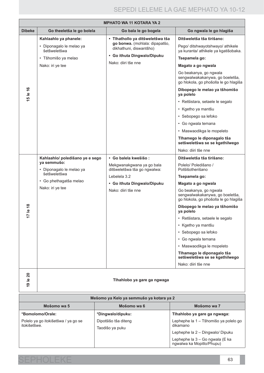|               | <b>MPHATO WA 11 KOTARA YA 2</b>            |                                                           |                                                                                                    |  |
|---------------|--------------------------------------------|-----------------------------------------------------------|----------------------------------------------------------------------------------------------------|--|
| <b>Dibeke</b> | Go theeletša le go bolela                  | Go bala le go bogela                                      | Go ngwala le go hlagiša                                                                            |  |
|               | Kahlaahlo ya phanele:                      | · Tlhathollo ya ditšweletšwa tša                          | Ditšweletša tša tirišano:                                                                          |  |
|               | • Diponagalo le melao ya<br>šetšweletšwa   | go bonwa. (mohlala: dipapatšo,<br>dikhathuni, diswantšho) | Pego/ ditshwayotshwayo/ athikele<br>ya kuranta/ athikele ya kgatišobaka.                           |  |
|               | · Tšhomišo ya melao                        | • Go ithuta Dingwalo/Dipuku                               | Tsepamela go:                                                                                      |  |
|               | Nako: iri ye tee                           | Nako: diiri tše nne                                       | Magato a go ngwala                                                                                 |  |
| 15 le 16      |                                            |                                                           | Go beakanya, go ngwala<br>sengwalwakakanywa, go boeletša,<br>go hlokola, go phošolla le go hlagiša |  |
|               |                                            |                                                           | Dibopego le melao ya tšhomišo<br>ya polelo                                                         |  |
|               |                                            |                                                           | • Retšistara, setaele le segalo                                                                    |  |
|               |                                            |                                                           | • Kgetho ya mantšu                                                                                 |  |
|               |                                            |                                                           | · Sebopego sa lefoko                                                                               |  |
|               |                                            |                                                           | • Go ngwala temana                                                                                 |  |
|               |                                            |                                                           | · Maswaodikga le mopeleto                                                                          |  |
|               |                                            |                                                           | Tlhamego le diponagalo tša<br>setšweletšwa se se kgethilwego                                       |  |
|               |                                            |                                                           | Nako: diiri tše nne                                                                                |  |
|               | Kahlaahlo/ poledišano ye e sego            | • Go balela kwešišo:                                      | Ditšweletša tša tirišano:                                                                          |  |
|               | ya semmušo:<br>• Diponagalo le melao ya    | Mekgwanakgwana ya go bala<br>ditšweletšwa tša go ngwalwa: | Polelo/ Poledišano /<br>Potšišotherišano                                                           |  |
|               | šetšweletšwa                               | Lebelela 3.2                                              | Tsepamela go:                                                                                      |  |
|               | • Go phethagatša melao<br>Nako: iri ye tee | • Go ithuta Dingwalo/Dipuku                               | Magato a go ngwala                                                                                 |  |
|               |                                            | Nako: diiri tše nne                                       | Go beakanya, go ngwala<br>sengwalwakakanywa, go boeletša,<br>go hlokola, go phošolla le go hlagiša |  |
| 17 le 18      |                                            |                                                           | Dibopego le melao ya tšhomišo<br>ya polelo                                                         |  |
|               |                                            |                                                           | • Retšistara, setaele le segalo                                                                    |  |
|               |                                            |                                                           | • Kgetho ya mantšu                                                                                 |  |
|               |                                            |                                                           | · Sebopego sa lefoko                                                                               |  |
|               |                                            |                                                           | • Go ngwala temana                                                                                 |  |
|               |                                            |                                                           | · Maswaodikga le mopeleto                                                                          |  |
|               |                                            |                                                           | Tlhamego le diponagalo tša<br>setšweletšwa se se kgethilwego                                       |  |
|               |                                            |                                                           | Nako: diiri tše nne                                                                                |  |
| 20<br>≗<br>თ  |                                            | Tihahlobo ya gare ga ngwaga                               |                                                                                                    |  |

| Mešomo ya Kelo ya semmušo ya kotara ya 2 |                      |                                                              |  |
|------------------------------------------|----------------------|--------------------------------------------------------------|--|
| Mošomo wa 5<br>Mošomo wa 6               |                      | Mošomo wa 7                                                  |  |
| *Bomolomo/Orale:                         | *Dingwalo/dipuku:    | Tihahlobo ya gare ga ngwaga:                                 |  |
| Polelo ya go itokišetšwa / ya go se      | Dipotšišo tša diteng | Lephephe la 1 – Tšhomišo ya polelo go                        |  |
| itokišetšwe.                             | Taodišo ya puku      | dikamano                                                     |  |
|                                          |                      | Lephephe la 2 – Dingwalo/ Dipuku                             |  |
|                                          |                      | Lephephe la 3 – Go ngwala (E ka<br>ngwalwa ka Mopitlo/Phupu) |  |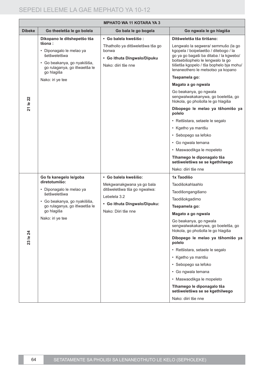| <b>MPHATO WA 11 KOTARA YA 3</b> |                                                                                                                                          |                                                                                                                                  |                                                                                                                                                                                                                                               |
|---------------------------------|------------------------------------------------------------------------------------------------------------------------------------------|----------------------------------------------------------------------------------------------------------------------------------|-----------------------------------------------------------------------------------------------------------------------------------------------------------------------------------------------------------------------------------------------|
| <b>Dibeke</b>                   | Go theeletša le go bolela                                                                                                                | Go bala le go bogela                                                                                                             | Go ngwala le go hlagiša                                                                                                                                                                                                                       |
|                                 | Dikopano le ditshepetšo tša                                                                                                              | · Go balela kwešišo:                                                                                                             | Ditšweletša tša tirišano:                                                                                                                                                                                                                     |
|                                 | tšona:<br>· Diponagalo le melao ya<br>šetšweletšwa<br>· Go beakanya, go nyakišiša,<br>go rulaganya, go itlwaetša le<br>go hlagiša        | Tlhathollo ya ditšweletšwa tša go<br>bonwa<br>• Go ithuta Dingwalo/Dipuku<br>Nako: diiri tše nne                                 | Lengwalo la segwera/ semmušo (la go<br>kgopela / boipelaetšo / ditebogo / la<br>go ya go bagaši ba ditaba / la kgwebo/<br>boitsebišophelo le lengwalo la go<br>tiišetša kgopelo / tša bophelo bja mohu/<br>lenaneothero le metsotso ya kopano |
|                                 | Nako: iri ye tee                                                                                                                         |                                                                                                                                  | Tsepamela go:                                                                                                                                                                                                                                 |
|                                 |                                                                                                                                          |                                                                                                                                  | Magato a go ngwala                                                                                                                                                                                                                            |
| 21 le 22                        |                                                                                                                                          |                                                                                                                                  | Go beakanya, go ngwala<br>sengwalwakakanywa, go boeletša, go<br>hlokola, go phošolla le go hlagiša                                                                                                                                            |
|                                 |                                                                                                                                          |                                                                                                                                  | Dibopego le melao ya tšhomišo ya<br>polelo                                                                                                                                                                                                    |
|                                 |                                                                                                                                          |                                                                                                                                  | • Retšistara, setaele le segalo                                                                                                                                                                                                               |
|                                 |                                                                                                                                          |                                                                                                                                  | • Kgetho ya mantšu                                                                                                                                                                                                                            |
|                                 |                                                                                                                                          |                                                                                                                                  | · Sebopego sa lefoko                                                                                                                                                                                                                          |
|                                 |                                                                                                                                          |                                                                                                                                  | · Go ngwala temana                                                                                                                                                                                                                            |
|                                 |                                                                                                                                          |                                                                                                                                  | · Maswaodikga le mopeleto                                                                                                                                                                                                                     |
|                                 |                                                                                                                                          |                                                                                                                                  | Tlhamego le diponagalo tša<br>setšweletšwa se se kgethilwego                                                                                                                                                                                  |
|                                 |                                                                                                                                          |                                                                                                                                  | Nako: diiri tše nne                                                                                                                                                                                                                           |
|                                 | Go fa kanegelo le/goba                                                                                                                   | · Go balela kwešišo:                                                                                                             | 1x Taodišo                                                                                                                                                                                                                                    |
|                                 | diretotumišo:<br>· Diponagalo le melao ya<br>šetšweletšwa<br>· Go beakanya, go nyakišiša,<br>go rulaganya, go itlwaetša le<br>go hlagiša | Mekgwanakgwana ya go bala<br>ditšweletšwa tša go ngwalwa:<br>Lebelela 3.2<br>• Go ithuta Dingwalo/Dipuku:<br>Nako: Diiri tše nne | Taodišokahlaahlo                                                                                                                                                                                                                              |
|                                 |                                                                                                                                          |                                                                                                                                  | Taodišongangišano                                                                                                                                                                                                                             |
|                                 |                                                                                                                                          |                                                                                                                                  | Taodišokgadimo                                                                                                                                                                                                                                |
|                                 |                                                                                                                                          |                                                                                                                                  | Tsepamela go:                                                                                                                                                                                                                                 |
|                                 | Nako: iri ye tee                                                                                                                         |                                                                                                                                  | Magato a go ngwala                                                                                                                                                                                                                            |
|                                 |                                                                                                                                          |                                                                                                                                  | Go beakanya, go ngwala<br>sengwalwakakanywa, go boeletša, go<br>hlokola, go phošolla le go hlagiša                                                                                                                                            |
| 23 le 24                        |                                                                                                                                          |                                                                                                                                  | Dibopego le melao ya tšhomišo ya<br>polelo                                                                                                                                                                                                    |
|                                 |                                                                                                                                          |                                                                                                                                  | · Retšistara, setaele le segalo                                                                                                                                                                                                               |
|                                 |                                                                                                                                          |                                                                                                                                  | • Kgetho ya mantšu                                                                                                                                                                                                                            |
|                                 |                                                                                                                                          |                                                                                                                                  | · Sebopego sa lefoko                                                                                                                                                                                                                          |
|                                 |                                                                                                                                          |                                                                                                                                  | · Go ngwala temana                                                                                                                                                                                                                            |
|                                 |                                                                                                                                          |                                                                                                                                  | · Maswaodikga le mopeleto                                                                                                                                                                                                                     |
|                                 |                                                                                                                                          |                                                                                                                                  | Tlhamego le diponagalo tša<br>setšweletšwa se se kgethilwego                                                                                                                                                                                  |
|                                 |                                                                                                                                          |                                                                                                                                  | Nako: diiri tše nne                                                                                                                                                                                                                           |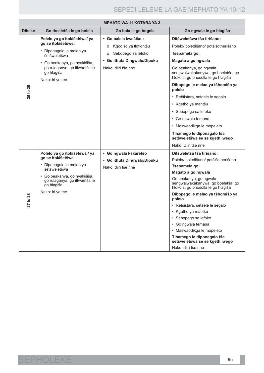| <b>MPHATO WA 11 KOTARA YA 3</b> |                                                                                                 |                             |                                                                                                    |  |  |  |
|---------------------------------|-------------------------------------------------------------------------------------------------|-----------------------------|----------------------------------------------------------------------------------------------------|--|--|--|
| <b>Dibeke</b>                   | Go theeletša le go bolela                                                                       | Go bala le go bogela        | Go ngwala le go hlagiša                                                                            |  |  |  |
| 25 le 26                        | Polelo ya go itokišetšwa/ ya<br>go se itokišetšwe:<br>· Diponagalo le melao ya<br>šetšweletšwa  | • Go balela kwešišo:        | Ditšweletšwa tša tirišano:                                                                         |  |  |  |
|                                 |                                                                                                 | Kgodišo ya tlotlontšu<br>o  | Polelo/ poledišano/ potšišotherišano                                                               |  |  |  |
|                                 |                                                                                                 | Sebopego sa lefoko<br>o     | Tsepamela go:                                                                                      |  |  |  |
|                                 | · Go beakanya, go nyakišiša,<br>go rulaganya, go itlwaetša le<br>go hlagiša<br>Nako: iri ye tee | • Go ithuta Dingwalo/Dipuku | Magato a go ngwala                                                                                 |  |  |  |
|                                 |                                                                                                 | Nako: diiri tše nne         | Go beakanya, go ngwala<br>sengwalwakakanywa, go boeletša, go<br>hlokola, go phošolla le go hlagiša |  |  |  |
|                                 |                                                                                                 |                             | Dibopego le melao ya tšhomišo ya<br>polelo                                                         |  |  |  |
|                                 |                                                                                                 |                             | • Retšistara, setaele le segalo                                                                    |  |  |  |
|                                 |                                                                                                 |                             | • Kgetho ya mantšu                                                                                 |  |  |  |
|                                 |                                                                                                 |                             | · Sebopego sa lefoko                                                                               |  |  |  |
|                                 |                                                                                                 |                             | • Go ngwala temana                                                                                 |  |  |  |
|                                 |                                                                                                 |                             | · Maswaodikga le mopeleto                                                                          |  |  |  |
|                                 |                                                                                                 |                             | Tlhamego le diponagalo tša<br>setšweletšwa se se kgethilwego                                       |  |  |  |
|                                 |                                                                                                 |                             | Nako: Diiri tše nne                                                                                |  |  |  |
| 27 le 28                        | Polelo ya go itokišetšwa / ya<br>go se itokišetšwe<br>· Diponagalo le melao ya<br>šetšweletšwa  | • Go ngwala kakaretšo       | Ditšweletša tša tirišano:                                                                          |  |  |  |
|                                 |                                                                                                 | • Go ithuta Dingwalo/Dipuku | Polelo/ poledišano/ potšišotherišano                                                               |  |  |  |
|                                 |                                                                                                 | Nako: diiri tše nne         | Tsepamela go:                                                                                      |  |  |  |
|                                 | · Go beakanya, go nyakišiša,                                                                    |                             | Magato a go ngwala                                                                                 |  |  |  |
|                                 | go rulaganya, go itlwaetša le<br>go hlagiša                                                     |                             | Go beakanya, go ngwala<br>sengwalwakakanywa, go boeletša, go<br>hlokola, go phošolla le go hlagiša |  |  |  |
|                                 | Nako: iri ye tee                                                                                |                             | Dibopego le melao ya tšhomišo ya<br>polelo                                                         |  |  |  |
|                                 |                                                                                                 |                             | • Retšistara, setaele le segalo                                                                    |  |  |  |
|                                 |                                                                                                 |                             | · Kgetho ya mantšu                                                                                 |  |  |  |
|                                 |                                                                                                 |                             | • Sebopego sa lefoko                                                                               |  |  |  |
|                                 |                                                                                                 |                             | · Go ngwala temana                                                                                 |  |  |  |
|                                 |                                                                                                 |                             | · Maswaodikga le mopeleto                                                                          |  |  |  |
|                                 |                                                                                                 |                             | Tlhamego le diponagalo tša<br>setšweletšwa se se kgethilwego                                       |  |  |  |
|                                 |                                                                                                 |                             | Nako: diiri tše nne                                                                                |  |  |  |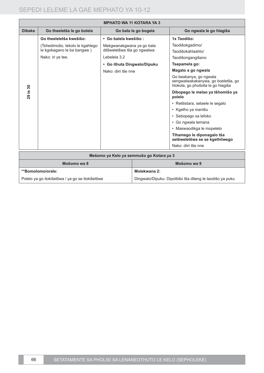| <b>MPHATO WA 11 KOTARA YA 3</b>                 |                                 |                              |                                                          |                                                                                                    |  |  |  |
|-------------------------------------------------|---------------------------------|------------------------------|----------------------------------------------------------|----------------------------------------------------------------------------------------------------|--|--|--|
| <b>Dibeke</b>                                   | Go theeletša le go bolela       |                              | Go bala le go bogela                                     | Go ngwala le go hlagiša                                                                            |  |  |  |
|                                                 | Go theeleletša kwešišo:         | · Go balela kwešišo:         |                                                          | 1x Taodišo:                                                                                        |  |  |  |
|                                                 | (Tshedimošo, tekolo le kgahlego | Mekgwanakgwana ya go bala    |                                                          | Taodišokgadimo/                                                                                    |  |  |  |
|                                                 | le kgokagano le ba bangwe)      | ditšweletšwa tša go ngwalwa: |                                                          | Taodišokahlaahlo/                                                                                  |  |  |  |
|                                                 | Nako: iri ye tee.               | Lebelela 3.2                 |                                                          | Taodišongangišano                                                                                  |  |  |  |
|                                                 |                                 | • Go ithuta Dingwalo/Dipuku  |                                                          | Tsepamela go:                                                                                      |  |  |  |
| 29 le 30                                        |                                 | Nako: diiri tše nne          |                                                          | Magato a go ngwala                                                                                 |  |  |  |
|                                                 |                                 |                              |                                                          | Go beakanya, go ngwala<br>sengwalwakakanywa, go boeletša, go<br>hlokola, go phošolla le go hlagiša |  |  |  |
|                                                 |                                 |                              |                                                          | Dibopego le melao ya tšhomišo ya<br>polelo                                                         |  |  |  |
|                                                 |                                 |                              |                                                          | • Retšistara, setaele le segalo                                                                    |  |  |  |
|                                                 |                                 |                              |                                                          | • Kgetho ya mantšu                                                                                 |  |  |  |
|                                                 |                                 |                              |                                                          | • Sebopego sa lefoko                                                                               |  |  |  |
|                                                 |                                 |                              |                                                          | • Go ngwala temana                                                                                 |  |  |  |
|                                                 |                                 |                              |                                                          | · Maswaodikga le mopeleto                                                                          |  |  |  |
|                                                 |                                 |                              |                                                          | Tihamego le diponagalo tša<br>setšweletšwa se se kgethilwego                                       |  |  |  |
|                                                 |                                 |                              |                                                          | Nako: diiri tše nne                                                                                |  |  |  |
| Mešomo ya Kelo ya semmušo go Kotara ya 3        |                                 |                              |                                                          |                                                                                                    |  |  |  |
| Mošomo wa 8                                     |                                 |                              |                                                          | Mošomo wa 9                                                                                        |  |  |  |
| **Bomolomo/orale:                               |                                 |                              | Molekwana 2:                                             |                                                                                                    |  |  |  |
| Polelo ya go itokišetšwa / ya go se itokišetšwe |                                 |                              | Dingwalo/Dipuku: Dipotšišo tša diteng le taodišo ya puku |                                                                                                    |  |  |  |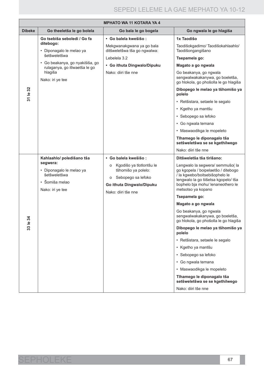| <b>MPHATO WA 11 KOTARA YA 4</b> |                                                                                                                                                                                         |                                                                                                                                                             |                                                                                                                                                                                                                                                                                                                                                                                                                                                                                                                                                                                                                                                                |  |  |  |  |
|---------------------------------|-----------------------------------------------------------------------------------------------------------------------------------------------------------------------------------------|-------------------------------------------------------------------------------------------------------------------------------------------------------------|----------------------------------------------------------------------------------------------------------------------------------------------------------------------------------------------------------------------------------------------------------------------------------------------------------------------------------------------------------------------------------------------------------------------------------------------------------------------------------------------------------------------------------------------------------------------------------------------------------------------------------------------------------------|--|--|--|--|
| <b>Dibeke</b>                   | Go theeletša le go bolela                                                                                                                                                               | Go bala le go bogela                                                                                                                                        | Go ngwala le go hlagiša                                                                                                                                                                                                                                                                                                                                                                                                                                                                                                                                                                                                                                        |  |  |  |  |
| 31 le 32                        | Go tsebiša seboledi / Go fa<br>ditebogo:<br>· Diponagalo le melao ya<br>šetšweletšwa<br>· Go beakanya, go nyakišiša, go<br>rulaganya, go itlwaetša le go<br>hlagiša<br>Nako: iri ye tee | • Go balela kwešišo:<br>Mekgwanakgwana ya go bala<br>ditšweletšwa tša go ngwalwa:<br>Lebelela 3.2<br>• Go ithuta Dingwalo/Dipuku<br>Nako: diiri tše nne     | 1x Taodišo<br>Taodišokgadimo/ Taodišokahlaahlo/<br>Taodišongangišano<br>Tsepamela go:<br>Magato a go ngwala<br>Go beakanya, go ngwala<br>sengwalwakakanywa, go boeletša,<br>go hlokola, go phošolla le go hlagiša<br>Dibopego le melao ya tšhomišo ya<br>polelo<br>· Retšistara, setaele le segalo<br>• Kgetho ya mantšu<br>• Sebopego sa lefoko<br>· Go ngwala temana<br>· Maswaodikga le mopeleto<br>Tlhamego le diponagalo tša<br>setšweletšwa se se kgethilwego<br>Nako: diiri tše nne                                                                                                                                                                     |  |  |  |  |
| 34<br>33 le                     | Kahlaahlo/ poledišano tša<br>segwera:<br>• Diponagalo le melao ya<br>šetšweletšwa<br>• Šomiša melao<br>Nako: iri ye tee                                                                 | · Go balela kwešišo:<br>Kgodišo ya tlotlontšu le<br>o<br>tšhomišo ya polelo:<br>Sebopego sa lefoko<br>O<br>Go ithuta Dingwalo/Dipuku<br>Nako: diiri tše nne | Ditšweletša tša tirišano:<br>Lengwalo la segwera/ semmušo(la<br>go kgopela / boipelaetšo / ditebogo<br>/ la kgwebo/boitsebišophelo le<br>lengwalo la go tiišetsa kgopelo/ tša<br>bophelo bja mohu/ lenaneothero le<br>metsotso ya kopano<br>Tsepamela go:<br>Magato a go ngwala<br>Go beakanya, go ngwala<br>sengwalwakakanywa, go boeletša,<br>go hlokola, go phošolla le go hlagiša<br>Dibopego le melao ya tšhomišo ya<br>polelo<br>· Retšistara, setaele le segalo<br>• Kgetho ya mantšu<br>· Sebopego sa lefoko<br>• Go ngwala temana<br>· Maswaodikga le mopeleto<br>Tlhamego le diponagalo tša<br>setšweletšwa se se kgethilwego<br>Nako: diiri tše nne |  |  |  |  |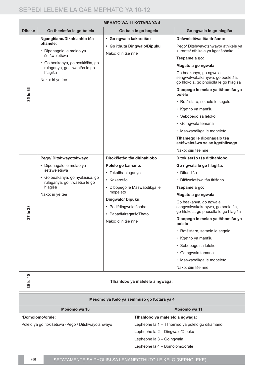| <b>MPHATO WA 11 KOTARA YA 4</b> |                                                                                                                                                                                       |                                                                                                                                                                                                                                  |                                                                                                                                                                                                                                                                                                                                                                                                                                                                                                      |
|---------------------------------|---------------------------------------------------------------------------------------------------------------------------------------------------------------------------------------|----------------------------------------------------------------------------------------------------------------------------------------------------------------------------------------------------------------------------------|------------------------------------------------------------------------------------------------------------------------------------------------------------------------------------------------------------------------------------------------------------------------------------------------------------------------------------------------------------------------------------------------------------------------------------------------------------------------------------------------------|
| <b>Dibeke</b>                   | Go theeletša le go bolela                                                                                                                                                             | Go bala le go bogela                                                                                                                                                                                                             | Go ngwala le go hlagiša                                                                                                                                                                                                                                                                                                                                                                                                                                                                              |
| 35 le 36                        | Ngangišano/Dikahlaahlo tša<br>phanele:<br>· Diponagalo le melao ya<br>šetšweletšwa<br>· Go beakanya, go nyakišiša, go<br>rulaganya, go itlwaetša le go<br>hlagiša<br>Nako: iri ye tee | · Go ngwala kakaretšo:<br>• Go ithuta Dingwalo/Dipuku<br>Nako: diiri tše nne                                                                                                                                                     | Ditšweletšwa tša tirišano:<br>Pego/ Ditshwayotshwayo/ athikele ya<br>kuranta/ athikele ya kgatišobaka<br>Tsepamela go:<br>Magato a go ngwala<br>Go beakanya, go ngwala<br>sengwalwakakanywa, go boeletša,<br>go hlokola, go phošolla le go hlagiša<br>Dibopego le melao ya tšhomišo ya<br>polelo<br>• Retšistara, setaele le segalo<br>• Kgetho ya mantšu<br>· Sebopego sa lefoko<br>• Go ngwala temana<br>· Maswaodikga le mopeleto<br>Tlhamego le diponagalo tša<br>setšweletšwa se se kgethilwego |
| 38<br>౨<br>.<br>က               | Pego/Ditshwayotshwayo:<br>· Diponagalo le melao ya<br>šetšweletšwa<br>· Go beakanya, go nyakišiša, go<br>rulaganya, go itlwaetša le go<br>hlagiša<br>Nako: iri ye tee                 | Ditokišetšo tša ditlhahlobo<br>Polelo go kamano:<br>• Tekatlhaologanyo<br>• Kakaretšo<br>· Dibopego le Maswaodikga le<br>mopeleto<br>Dingwalo/Dipuku:<br>· Padi/dingwalotšhaba<br>• Papadi/tiragatšoTheto<br>Nako: diiri tše nne | Nako: diiri tše nne<br>Ditokišetšo tša ditlhahlobo<br>Go ngwala le go hlagiša:<br>• Ditaodišo<br>• Ditšweletšwa tša tirišano.<br>Tsepamela go:<br>Magato a go ngwala<br>Go beakanya, go ngwala<br>sengwalwakakanywa, go boeletša,<br>go hlokola, go phošolla le go hlagiša<br>Dibopego le melao ya tšhomišo ya<br>polelo<br>· Retšistara, setaele le segalo<br>· Kgetho ya mantšu<br>· Sebopego sa lefoko<br>· Go ngwala temana<br>· Maswaodikga le mopeleto<br>Nako: diiri tše nne                  |
| 39 le 40                        |                                                                                                                                                                                       | Tihahlobo ya mafelelo a ngwaga:                                                                                                                                                                                                  |                                                                                                                                                                                                                                                                                                                                                                                                                                                                                                      |

| Mešomo ya Kelo ya semmušo go Kotara ya 4          |                                                |  |
|---------------------------------------------------|------------------------------------------------|--|
| Mošomo wa 10                                      | Mošomo wa 11                                   |  |
| *Bomolomo/orale:                                  | Tihahlobo ya mafelelo a ngwaga:                |  |
| Polelo ya go itokišetšwa -Pego / Ditshwayotshwayo | Lephephe la 1 - Tšhomišo ya polelo go dikamano |  |
|                                                   | Lephephe la 2 - Dingwalo/Dipuku                |  |
|                                                   | Lephephe la 3 - Go ngwala                      |  |
|                                                   | Lephephe la 4 - Bomolomo/orale                 |  |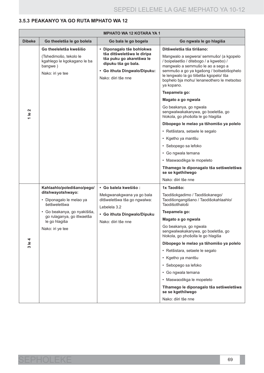#### **3.5.3 PEAKANYO YA GO RUTA MPHATO WA 12**

| <b>MPHATO WA 12 KOTARA YA 1</b> |                                                                                                                                                                                                |                                                                                                                                                                   |                                                                                                                                                                                                                                                                                                                                                                                                                                                                                                                                                                                                                                                                                                                            |
|---------------------------------|------------------------------------------------------------------------------------------------------------------------------------------------------------------------------------------------|-------------------------------------------------------------------------------------------------------------------------------------------------------------------|----------------------------------------------------------------------------------------------------------------------------------------------------------------------------------------------------------------------------------------------------------------------------------------------------------------------------------------------------------------------------------------------------------------------------------------------------------------------------------------------------------------------------------------------------------------------------------------------------------------------------------------------------------------------------------------------------------------------------|
| <b>Dibeke</b>                   | Go theeletša le go bolela                                                                                                                                                                      | Go bala le go bogela                                                                                                                                              | Go ngwala le go hlagiša                                                                                                                                                                                                                                                                                                                                                                                                                                                                                                                                                                                                                                                                                                    |
| $1$ le $2$                      | Go theeleletša kwešišo<br>(Tshedimošo, tekolo le<br>kgahlego le kgokagano le ba<br>bangwe)<br>Nako: iri ye tee                                                                                 | · Diponagalo tše bohlokwa<br>tša ditšweletšwa le diripa<br>tša puku go akaretšwa le<br>dipuku tša go bala.<br>• Go ithuta Dingwalo/Dipuku:<br>Nako: diiri tše nne | Ditšweletša tša tirišano:<br>Mangwalo a segwera/ semmušo/ (a kgopelo<br>/ boipelaetšo / ditebogo / a kgwebo) /<br>mangwalo a semmušo le ao a sego a<br>semmušo a go ya kgašong / boitsebišophelo<br>le lengwalo la go tiišetša kgopelo/ tša<br>bophelo bja mohu/ lenaneothero le metsotso<br>ya kopano.<br>Tsepamela go:<br>Magato a go ngwala<br>Go beakanya, go ngwala<br>sengwalwakakanywa, go boeletša, go<br>hlokola, go phošolla le go hlagiša<br>Dibopego le melao ya tšhomišo ya polelo<br>· Retšistara, setaele le segalo<br>· Kgetho ya mantšu<br>· Sebopego sa lefoko<br>• Go ngwala temana<br>· Maswaodikga le mopeleto<br>Tlhamego le diponagalo tša setšweletšwa<br>se se kgethilwego<br>Nako: diiri tše nne |
| $3 \leqslant 4$                 | Kahlaahlo/poledišano/pego/<br>ditshwayotshwayo:<br>· Diponagalo le melao ya<br>šetšweletšwa<br>· Go beakanya, go nyakišiša,<br>go rulaganya, go itlwaetša<br>le go hlagiša<br>Nako: iri ye tee | · Go balela kwešišo:<br>Mekgwanakgwana ya go bala<br>ditšweletšwa tša go ngwalwa:<br>Lebelela 3.2<br>• Go ithuta Dingwalo/Dipuku<br>Nako: diiri tše nne           | 1x Taodišo:<br>Taodišokgadimo / Taodišokanego/<br>Taodišongangišano / Taodišokahlaahlo/<br>Taodišotlhaloši<br>Tsepamela go:<br>Magato a go ngwala<br>Go beakanya, go ngwala<br>sengwalwakakanywa, go boeletša, go<br>hlokola, go phošolla le go hlagiša<br>Dibopego le melao ya tšhomišo ya polelo<br>· Retšistara, setaele le segalo<br>• Kgetho ya mantšu<br>· Sebopego sa lefoko<br>· Go ngwala temana<br>· Maswaodikga le mopeleto<br>Tlhamego le diponagalo tša setšweletšwa<br>se se kgethilwego<br>Nako: diiri tše nne                                                                                                                                                                                              |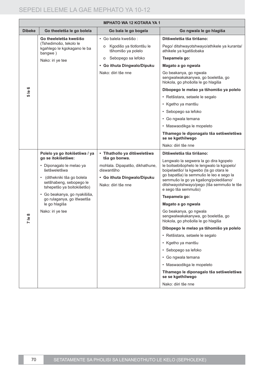| <b>MPHATO WA 12 KOTARA YA 1</b> |                                                                                                                                  |                                                                                                     |                                                                                                                                                                                                                                                                                       |
|---------------------------------|----------------------------------------------------------------------------------------------------------------------------------|-----------------------------------------------------------------------------------------------------|---------------------------------------------------------------------------------------------------------------------------------------------------------------------------------------------------------------------------------------------------------------------------------------|
| <b>Dibeke</b>                   | Go theeletša le go bolela                                                                                                        | Go bala le go bogela                                                                                | Go ngwala le go hlagiša                                                                                                                                                                                                                                                               |
|                                 | Go theeleletša kwešišo                                                                                                           | · Go balela kwešišo:                                                                                | Ditšweletša tša tirišano:                                                                                                                                                                                                                                                             |
|                                 | (Tshedimošo, tekolo le<br>kgahlego le kgokagano le ba<br>bangwe)                                                                 | Kgodišo ya tlotlontšu le<br>о<br>tšhomišo ya polelo                                                 | Pego/ ditshwayotshwayo/athikele ya kuranta/<br>athikele ya kgatišobaka                                                                                                                                                                                                                |
|                                 | Nako: iri ye tee                                                                                                                 | Sebopego sa lefoko<br>0                                                                             | Tsepamela go:                                                                                                                                                                                                                                                                         |
|                                 |                                                                                                                                  | • Go ithuta Dingwalo/Dipuku                                                                         | Magato a go ngwala                                                                                                                                                                                                                                                                    |
|                                 |                                                                                                                                  | Nako: diiri tše nne                                                                                 | Go beakanya, go ngwala<br>sengwalwakakanywa, go boeletša, go<br>hlokola, go phošolla le go hlagiša                                                                                                                                                                                    |
| ဖ<br>$\frac{6}{5}$              |                                                                                                                                  |                                                                                                     | Dibopego le melao ya tšhomišo ya polelo                                                                                                                                                                                                                                               |
|                                 |                                                                                                                                  |                                                                                                     | • Retšistara, setaele le segalo                                                                                                                                                                                                                                                       |
|                                 |                                                                                                                                  |                                                                                                     | • Kgetho ya mantšu                                                                                                                                                                                                                                                                    |
|                                 |                                                                                                                                  |                                                                                                     | · Sebopego sa lefoko                                                                                                                                                                                                                                                                  |
|                                 |                                                                                                                                  |                                                                                                     | · Go ngwala temana                                                                                                                                                                                                                                                                    |
|                                 |                                                                                                                                  |                                                                                                     | · Maswaodikga le mopeleto                                                                                                                                                                                                                                                             |
|                                 |                                                                                                                                  |                                                                                                     | Tlhamego le diponagalo tša setšweletšwa<br>se se kgethilwego                                                                                                                                                                                                                          |
|                                 |                                                                                                                                  |                                                                                                     | Nako: diiri tše nne                                                                                                                                                                                                                                                                   |
|                                 | Polelo ya go itokišetšwa / ya<br>go se itokišetšwe:                                                                              | · Tihathollo ya ditšweletšwa<br>tša go bonwa.                                                       | Ditšweletša tša tirišano:                                                                                                                                                                                                                                                             |
|                                 | • Diponagalo le melao ya<br>šetšweletšwa<br>· (dithekniki tša go bolela<br>setšhabeng, sebopego le<br>tshepetšo ya boitokišetšo) | mohlala. Dipapatšo, dikhathune,<br>diswantšho<br>• Go ithuta Dingwalo/Dipuku<br>Nako: diiri tše nne | Lengwalo la segwera la go dira kgopelo<br>le boitsebišophelo le lengwalo la kgopelo/<br>boipelaetšo/ la kgwebo (la go otara le<br>go bapatša) la semmušo le leo e sego la<br>semmušo la go ya kgašong/poledišano/<br>ditshwayotshwayo/pego (tša semmušo le tše<br>e sego tša semmušo) |
|                                 | · Go beakanya, go nyakišiša,<br>go rulaganya, go itlwaetša                                                                       |                                                                                                     | Tsepamela go:                                                                                                                                                                                                                                                                         |
|                                 | le go hlagiša                                                                                                                    |                                                                                                     | Magato a go ngwala                                                                                                                                                                                                                                                                    |
| $\infty$                        | Nako: iri ye tee                                                                                                                 |                                                                                                     | Go beakanya, go ngwala<br>sengwalwakakanywa, go boeletša, go<br>hlokola, go phošolla le go hlagiša                                                                                                                                                                                    |
|                                 |                                                                                                                                  |                                                                                                     | Dibopego le melao ya tšhomišo ya polelo                                                                                                                                                                                                                                               |
|                                 |                                                                                                                                  |                                                                                                     | · Retšistara, setaele le segalo                                                                                                                                                                                                                                                       |
|                                 |                                                                                                                                  |                                                                                                     | • Kgetho ya mantšu                                                                                                                                                                                                                                                                    |
|                                 |                                                                                                                                  |                                                                                                     | · Sebopego sa lefoko                                                                                                                                                                                                                                                                  |
|                                 |                                                                                                                                  |                                                                                                     | · Go ngwala temana                                                                                                                                                                                                                                                                    |
|                                 |                                                                                                                                  |                                                                                                     | · Maswaodikga le mopeleto                                                                                                                                                                                                                                                             |
|                                 |                                                                                                                                  |                                                                                                     | Tlhamego le diponagalo tša setšweletšwa<br>se se kgethilwego                                                                                                                                                                                                                          |
|                                 |                                                                                                                                  |                                                                                                     | Nako: diiri tše nne                                                                                                                                                                                                                                                                   |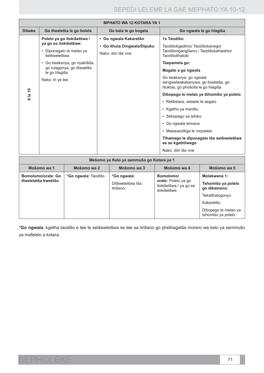| <b>MPHATO WA 12 KOTARA YA 1</b> |                                                                                                                                                                                                    |                                                                              |                                                                                                                                                                                                                                                                                                                                                                                                                                                                                 |
|---------------------------------|----------------------------------------------------------------------------------------------------------------------------------------------------------------------------------------------------|------------------------------------------------------------------------------|---------------------------------------------------------------------------------------------------------------------------------------------------------------------------------------------------------------------------------------------------------------------------------------------------------------------------------------------------------------------------------------------------------------------------------------------------------------------------------|
| <b>Dibeke</b>                   | Go theeletša le go bolela                                                                                                                                                                          | Go bala le go bogela                                                         | Go ngwala le go hlagiša                                                                                                                                                                                                                                                                                                                                                                                                                                                         |
| $9$ le $10$                     | Polelo ya go itokišetšwa /<br>ya go se itokišetšwe:<br>• Diponagalo le melao ya<br>šetšweletšwa<br>· Go beakanya, go nyakišiša,<br>go rulaganya, go itlwaetša<br>le go hlagiša<br>Nako: iri ye tee | • Go ngwala Kakaretšo:<br>• Go ithuta Dingwalo/Dipuku<br>Nako: diiri tše nne | 1x Taodišo:<br>Taodišokgadimo/Taodišokanego/<br>Taodišongangišano / Taodišokahlaahlo/<br>Taodišotlhaloši<br>Tsepamela go:<br>Magato a go ngwala<br>Go beakanya, go ngwala<br>sengwalwakakanywa, go boeletša, go<br>hlokola, go phošolla le go hlagiša<br>Dibopego le melao ya tšhomišo ya polelo<br>• Retšistara, setaele le segalo<br>• Kgetho ya mantšu<br>• Sebopego sa lefoko<br>• Go ngwala temana<br>· Maswaodikga le mopeleto<br>Tlhamego le diponagalo tša setšweletšwa |
|                                 |                                                                                                                                                                                                    |                                                                              | se se kgethilwego<br>Nako: diiri tše nne                                                                                                                                                                                                                                                                                                                                                                                                                                        |
|                                 |                                                                                                                                                                                                    |                                                                              |                                                                                                                                                                                                                                                                                                                                                                                                                                                                                 |

| Mešomo ya Kelo ya semmušo go Kotara ya 1 |                     |                               |                                                                      |                                            |
|------------------------------------------|---------------------|-------------------------------|----------------------------------------------------------------------|--------------------------------------------|
| Mošomo wa 1                              | Mošomo wa 2         | Mošomo wa 3                   | Mošomo wa 4                                                          | Mošomo wa 5                                |
| Bomolomo/orale: Go                       | *Go ngwala: Taodišo | *Go ngwala:                   | Bomolomo/                                                            | Molekwana 1:                               |
| theeleletša kwešišo                      |                     | Ditšweletšwa tša<br>tirišano: | <b>orale:</b> Polelo ya go<br>itokišetšwa / ya go se<br>itokišetšwe. | Tshomišo ya polelo<br>go dikamano:         |
|                                          |                     |                               |                                                                      | Tekatlhalogonyo                            |
|                                          |                     |                               |                                                                      | Kakaretšo,                                 |
|                                          |                     |                               |                                                                      | Dibopego le melao ya<br>tshomišo ya polelo |

\***Go ngwala**: kgetha taodišo e tee le setšweletšwa se tee sa tirišano go phethagatša morero wa kelo ya semmušo ya mafelelo a kotara.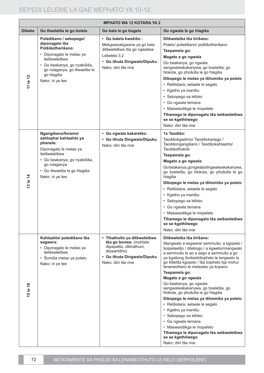| <b>MPHATO WA 12 KOTARA YA 2</b> |                                                                                                                                                                                                              |                                                                                                                                                         |                                                                                                                                                                                                                                                                                                                                                                                                                                                                                                                                                                                                                                                                                                                    |
|---------------------------------|--------------------------------------------------------------------------------------------------------------------------------------------------------------------------------------------------------------|---------------------------------------------------------------------------------------------------------------------------------------------------------|--------------------------------------------------------------------------------------------------------------------------------------------------------------------------------------------------------------------------------------------------------------------------------------------------------------------------------------------------------------------------------------------------------------------------------------------------------------------------------------------------------------------------------------------------------------------------------------------------------------------------------------------------------------------------------------------------------------------|
| <b>Dibeke</b>                   | Go theeletša le go bolela                                                                                                                                                                                    | Go bala le go bogela                                                                                                                                    | Go ngwala le go hlagiša                                                                                                                                                                                                                                                                                                                                                                                                                                                                                                                                                                                                                                                                                            |
| 11 le 12                        | Poledišano / sebopego/<br>diponagalo tša<br>Potšišotherišano:<br>• Diponagalo le melao ya<br>šetšweletšwa<br>· Go beakanya, go nyakišiša,<br>go rulaganya, go itlwaetša le<br>go hlagiša<br>Nako: iri ye tee | · Go balela kwešišo:<br>Mekgwanakgwana ya go bala<br>ditšweletšwa tša go ngwalwa:<br>Lebelela 3.2<br>• Go ithuta Dingwalo/Dipuku<br>Nako: diiri tše nne | Ditšweletša tša tirišano:<br>Polelo/ poledišano/ potšišotherišano<br>Tsepamela go:<br>Magato a go ngwala<br>Go beakanya, go ngwala<br>sengwalwakakanywa, go boeletša, go<br>hlokola, go phošolla le go hlagiša<br>Dibopego le melao ya tšhomišo ya polelo<br>· Retšistara, setaele le segalo<br>• Kgetho ya mantšu<br>· Sebopego sa lefoko<br>• Go ngwala temana<br>· Maswaodikga le mopeleto<br>Tlhamego le diponagalo tša setšweletšwa<br>se se kgethilwego<br>Nako: diiri tše nne                                                                                                                                                                                                                               |
| 13 le 14                        | Ngangišano/foramo/<br>sehlopha/ kahlaahlo ya<br>phanele:<br>Diponagalo le melao ya<br>šetšweletšwa<br>· Go beakanya, go nyakišiša,<br>go rulaganya<br>· Go itlwaetša le go hlagiša<br>Nako: iri ye tee       | · Go ngwala kakaretšo:<br>• Go ithuta Dingwalo/Dipuku<br>Nako: diiri tše nne                                                                            | 1x Taodišo:<br>Taodišokgadimo/Taodišokanego /<br>Taodišongangišano / Taodišokahlaahlo/<br>Taodišotlhaloši<br>Tsepamela go:<br>Magato a go ngwala:<br>Gobeakanya, gongwaladingwalwakakanywa,<br>go boeletša, go hlokola, go phošolla le go<br>hlagiša<br>Dibopego le melao ya tšhomišo ya polelo<br>· Retšistara, setaele le segalo<br>• Kgetho ya mantšu<br>· Sebopego sa lefoko<br>• Go ngwala temana<br>· Maswaodikga le mopeleto<br>Tlhamego le diponagalo tša setšweletšwa<br>se se kgethilwego<br>Nako: diiri tše nne                                                                                                                                                                                         |
| 15 le 16                        | Kahlaahlo/ poledišano tša<br>segwera:<br>· Diponagalo le melao ya<br>šetšweletšwa<br>· Šomiša melao ya polelo<br>Nako: iri ye tee                                                                            | · Tihathollo ya ditšweletšwa<br>tša go bonwa. (mohlala:<br>dipapatšo, dikhathuni,<br>diswantšho)<br>• Go ithuta Dingwalo/Dipuku<br>Nako: diiri tše nne  | Ditšweletša tša tirišano:<br>Mangwalo a segwera/ semmušo, a kgopelo /<br>boipelaetšo / ditebogo / a kgwebo/mangwalo<br>a semmušo le ao a sego a semmušo a go<br>ya kgašong /boitsebišophelo le lengwalo la<br>go tiišetša kgopelo / tša bophelo bja mohu/<br>lenaneothero le metsotso ya kopano<br>Tsepamela go:<br>Magato a go ngwala<br>Go beakanya, go ngwala<br>sengwalwakakanywa, go boeletša, go<br>hlokola, go phošolla le go hlagiša<br>Dibopego le melao ya tšhomišo ya polelo<br>· Retšistara, setaele le segalo<br>• Kgetho ya mantšu<br>· Sebopego sa lefoko<br>• Go ngwala temana<br>· Maswaodikga le mopeleto<br>Tlhamego le diponagalo tša setšweletšwa<br>se se kgethilwego<br>Nako: diiri tše nne |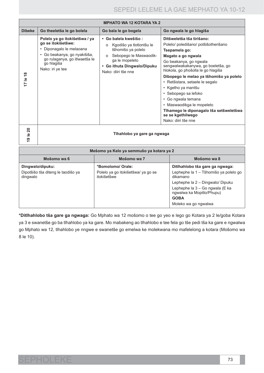| <b>MPHATO WA 12 KOTARA YA 2</b>                                                   |                                                                                                                                                                                                          |                                                                                                                                                                                    |                                                                                                                                                                                                                                                                                                                                                                                                                                                                                      |
|-----------------------------------------------------------------------------------|----------------------------------------------------------------------------------------------------------------------------------------------------------------------------------------------------------|------------------------------------------------------------------------------------------------------------------------------------------------------------------------------------|--------------------------------------------------------------------------------------------------------------------------------------------------------------------------------------------------------------------------------------------------------------------------------------------------------------------------------------------------------------------------------------------------------------------------------------------------------------------------------------|
| <b>Dibeke</b>                                                                     | Go theeletša le go bolela                                                                                                                                                                                | Go bala le go bogela                                                                                                                                                               | Go ngwala le go hlagiša                                                                                                                                                                                                                                                                                                                                                                                                                                                              |
| 17 le 18                                                                          | Polelo ya go itokišetšwa / ya<br>go se itokišetšwe:<br>Diponagalo le melaoana<br>$\bullet$<br>Go beakanya, go nyakišiša,<br>$\bullet$<br>go rulaganya, go itlwaetša le<br>go hlagiša<br>Nako: iri ye tee | • Go balela kwešišo:<br>Kgodišo ya tlotlontšu le<br>O<br>tšhomišo ya polelo<br>Sebopego le Maswaodik-<br>0<br>ga le mopeleto<br>• Go ithuta Dingwalo/Dipuku<br>Nako: diiri tše nne | Ditšweletša tša tirišano:<br>Polelo/ poledišano/ potšišotherišano<br>Tsepamela go:<br>Magato a go ngwala<br>Go beakanya, go ngwala<br>sengwalwakakanywa, go boeletša, go<br>hlokola, go phošolla le go hlagiša<br>Dibopego le melao ya tšhomišo ya polelo<br>• Retšistara, setaele le segalo<br>• Kgetho ya mantšu<br>• Sebopego sa lefoko<br>• Go ngwala temana<br>• Maswaodikga le mopeleto<br>Tlhamego le diponagalo tša setšweletšwa<br>se se kgethilwego<br>Nako: diiri tše nne |
| $\overline{20}$<br>$\mathbf{\underline{\omega}}$<br>၈<br>$\overline{\phantom{0}}$ |                                                                                                                                                                                                          | Tihahlobo ya gare ga ngwaga                                                                                                                                                        |                                                                                                                                                                                                                                                                                                                                                                                                                                                                                      |

| Mešomo ya Kelo ya semmušo ya kotara ya 2       |                                                   |                                                              |  |
|------------------------------------------------|---------------------------------------------------|--------------------------------------------------------------|--|
| Mošomo wa 6                                    | Mošomo wa 7                                       | Mošomo wa 8                                                  |  |
| Dingwalo/dipuku:                               | *Bomolomo/ Orale:                                 | Ditlhahlobo tša gare ga ngwaga:                              |  |
| Dipotšišo tša diteng le taodišo ya<br>dingwalo | Polelo ya go itokišetšwa/ ya go se<br>itokišetšwe | Lephephe la 1 – Tšhomišo ya polelo go<br>dikamano            |  |
|                                                |                                                   | Lephephe la 2 - Dingwalo/ Dipuku                             |  |
|                                                |                                                   | Lephephe la 3 - Go ngwala (E ka<br>ngwalwa ka Mopitlo/Phupu) |  |
|                                                |                                                   | <b>GOBA</b>                                                  |  |
|                                                |                                                   | Moleko wa go ngwalwa                                         |  |

**\*Ditlhahlobo tša gare ga ngwaga:** Go Mphato wa 12 mošomo o tee go yeo e lego go Kotara ya 2 le/goba Kotara ya 3 e swanetše go ba tlhahlobo ya ka gare. Mo mabakeng ao tlhahlobo e tee fela go tše pedi tša ka gare e ngwalwa go Mphato wa 12, tlhahlobo ye nngwe e swanetše go emelwa ke molekwana mo mafelelong a kotara (Mošomo wa 8 le 10).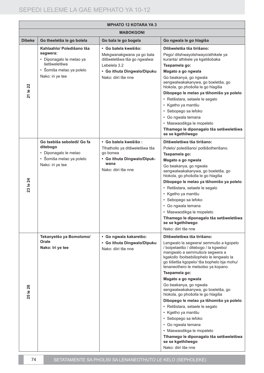| <b>MPHATO 12 KOTARA YA 3</b> |                                                                                                                                   |                                                                                                                                                         |                                                                                                                                                                                                                                                                                                                                                                                                                                                                                                                                                                                                                                                                                                     |
|------------------------------|-----------------------------------------------------------------------------------------------------------------------------------|---------------------------------------------------------------------------------------------------------------------------------------------------------|-----------------------------------------------------------------------------------------------------------------------------------------------------------------------------------------------------------------------------------------------------------------------------------------------------------------------------------------------------------------------------------------------------------------------------------------------------------------------------------------------------------------------------------------------------------------------------------------------------------------------------------------------------------------------------------------------------|
| <b>MABOKGONI</b>             |                                                                                                                                   |                                                                                                                                                         |                                                                                                                                                                                                                                                                                                                                                                                                                                                                                                                                                                                                                                                                                                     |
| <b>Dibeke</b>                | Go theeletša le go bolela                                                                                                         | Go bala le go bogela                                                                                                                                    | Go ngwala le go hlagiša                                                                                                                                                                                                                                                                                                                                                                                                                                                                                                                                                                                                                                                                             |
| 21 le 22                     | Kahlaahlo/ Poledišano tša<br>segwera:<br>· Diponagalo le melao ya<br>šetšweletšwa<br>· Šomiša melao ya polelo<br>Nako: iri ye tee | • Go balela kwešišo:<br>Mekgwanakgwana ya go bala<br>ditšweletšwa tša go ngwalwa:<br>Lebelela 3.2<br>• Go ithuta Dingwalo/Dipuku<br>Nako: diiri tše nne | Ditšweletša tša tirišano:<br>Pego/ ditshwayotshwayo/athikele ya<br>kuranta/ athikele ya kgatišobaka<br>Tsepamela go:<br>Magato a go ngwala<br>Go beakanya, go ngwala<br>sengwalwakakanywa, go boeletša, go<br>hlokola, go phošolla le go hlagiša<br>Dibopego le melao ya tšhomišo ya polelo<br>· Retšistara, setaele le segalo<br>• Kgetho ya mantšu<br>· Sebopego sa lefoko<br>· Go ngwala temana<br>· Maswaodikga le mopeleto<br>Tlhamego le diponagalo tša setšweletšwa<br>se se kgethilwego                                                                                                                                                                                                     |
| 23 le 24                     | Go tsebiša seboledi/ Go fa<br>ditebogo<br>· Diponagalo le melao<br>· Šomiša melao ya polelo<br>Nako: iri ye tee                   | · Go balela kwešišo:<br>Tlhathollo ya ditšweletšwa tša<br>go bonwa<br>• Go ithuta Dingwalo/Dipuk-<br>wana<br>Nako: diiri tše nne                        | Ditšweletšwa tša tirišano:<br>Polelo/ poledišano/ potšišotherišano.<br>Tsepamela go:<br>Magato a go ngwala<br>Go beakanya, go ngwala<br>sengwalwakakanywa, go boeletša, go<br>hlokola, go phošolla le go hlagiša<br>Dibopego le melao ya tšhomišo ya polelo<br>· Retšistara, setaele le segalo<br>• Kgetho ya mantšu<br>· Sebopego sa lefoko<br>· Go ngwala temana<br>· Maswaodikga le mopeleto<br>Tlhamego le diponagalo tša setšweletšwa<br>se se kgethilwego<br>Nako: diiri tše nne                                                                                                                                                                                                              |
| 25 le 26                     | Tekanyetšo ya Bomolomo/<br><b>Orale</b><br>Nako: Iri ye tee                                                                       | · Go ngwala kakaretšo:<br>• Go ithuta Dingwalo/Dipuku<br>Nako: diiri tše nne                                                                            | Ditšweletšwa tša tirišano:<br>Lengwalo la segwera/ semmušo a kgopelo<br>/ boipelaetšo / ditebogo / la kgwebo/<br>mangwalo a semmušo/a segwera a<br>kgakollo /boitsebišophelo le lengwalo la<br>go tiišetša kgopelo/ tša bophelo bja mohu/<br>lenaneothero le metsotso ya kopano.<br>Tsepamela go:<br>Magato a go ngwala<br>Go beakanya, go ngwala<br>sengwalwakakanywa, go boeletša, go<br>hlokola, go phošolla le go hlagiša<br>Dibopego le melao ya tšhomišo ya polelo<br>· Retšistara, setaele le segalo<br>• Kgetho ya mantšu<br>· Sebopego sa lefoko<br>· Go ngwala temana<br>· Maswaodikga le mopeleto<br>Tlhamego le diponagalo tša setšweletšwa<br>se se kgethilwego<br>Nako: diiri tše nne |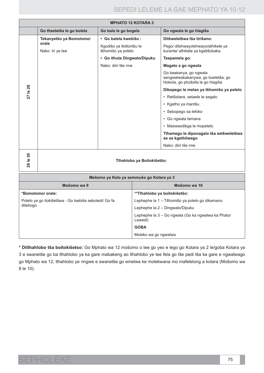| <b>MPHATO 12 KOTARA 3</b> |                           |                                                |                                                                                                    |
|---------------------------|---------------------------|------------------------------------------------|----------------------------------------------------------------------------------------------------|
|                           | Go theeletša le go bolela | Go bala le go bogela                           | Go ngwala le go hlagiša                                                                            |
|                           | Tekanyetšo ya Bomolomo/   | · Go balela kwešišo:                           | Ditšweletšwa tša tirišano:                                                                         |
|                           | orale<br>Nako: Iri ye tee | Kgodišo ya tlotlontšu le<br>tšhomišo ya polelo | Pego/ ditshwayotshwayo/athikele ya<br>kuranta/ athikele ya kgatišobaka.                            |
|                           |                           | • Go ithuta Dingwalo/Dipuku                    | Tsepamela go:                                                                                      |
|                           |                           | Nako: diiri tše nne                            | Magato a go ngwala                                                                                 |
|                           |                           |                                                | Go beakanya, go ngwala<br>sengwalwakakanywa, go boeletša, go<br>hlokola, go phošolla le go hlagiša |
| 27 le 28                  |                           |                                                | Dibopego le melao ya tšhomišo ya polelo                                                            |
|                           |                           |                                                | • Retšistara, setaele le segalo                                                                    |
|                           |                           |                                                | • Kgetho ya mantšu                                                                                 |
|                           |                           |                                                | · Sebopego sa lefoko                                                                               |
|                           |                           |                                                | • Go ngwala temana                                                                                 |
|                           |                           |                                                | · Maswaodikga le mopeleto                                                                          |
|                           |                           |                                                | Tlhamego le diponagalo tša setšweletšwa<br>se se kgethilwego                                       |
|                           |                           |                                                | Nako: diiri tše nne                                                                                |
| 29 le 30                  |                           | Tlhahlobo ya Boitokišetšo:                     |                                                                                                    |

| Mešomo ya Kelo ya semmušo go Kotara ya 3              |                                                               |  |
|-------------------------------------------------------|---------------------------------------------------------------|--|
| Mošomo wa 9                                           | Mošomo wa 10                                                  |  |
| *Bomolomo/ orale:                                     | **Tlhahlobo ya boitokišetšo:                                  |  |
| Polelo ya go itokišetšwa - Go tsebiša seboledi/ Go fa | Lephephe la 1 – Tšhomišo ya polelo go dikamano                |  |
| ditebogo                                              | Lephephe la 2 - Dingwalo/Dipuku                               |  |
|                                                       | Lephephe la 3 – Go ngwala (Go ka ngwalwa ka Phato/<br>Lewedi) |  |
|                                                       | <b>GOBA</b>                                                   |  |
|                                                       | Moleko wa go ngwalwa                                          |  |

**\* Ditlhahlobo tša boitokišetso:** Go Mphato wa 12 mošomo o tee go yeo e lego go Kotara ya 2 le/goba Kotara ya 3 e swanetše go ba tlhahlobo ya ka gare mabakeng ao tlhahlobo ye tee fela go tše pedi tša ka gare e ngwalwago go Mphato wa 12, tlhahlobo ye nngwe e swanetše go emelwa ke molekwana mo mafelelong a kotara (Mošomo wa 8 le 10).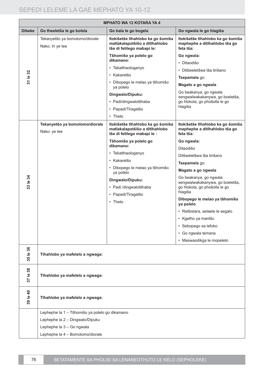|               | <b>MPHATO WA 12 KOTARA YA 4</b>                                                                                                                    |                                                                                                                                                                                                                                                                                                              |                                                                                                                                                                                                                                                                                                                                                                                                                                                                           |  |  |
|---------------|----------------------------------------------------------------------------------------------------------------------------------------------------|--------------------------------------------------------------------------------------------------------------------------------------------------------------------------------------------------------------------------------------------------------------------------------------------------------------|---------------------------------------------------------------------------------------------------------------------------------------------------------------------------------------------------------------------------------------------------------------------------------------------------------------------------------------------------------------------------------------------------------------------------------------------------------------------------|--|--|
| <b>Dibeke</b> | Go theeletša le go bolela                                                                                                                          | Go bala le go bogela                                                                                                                                                                                                                                                                                         | Go ngwala le go hlagiša                                                                                                                                                                                                                                                                                                                                                                                                                                                   |  |  |
|               | Tekanyetšo ya bomolomo/diorale<br>Nako: Iri ye tee                                                                                                 | Itokišetše tlhahlobo ka go šomiša<br>matlakalapotšišo a ditlhahlobo<br>tše di fetilego mabapi le:                                                                                                                                                                                                            | Itokišetše tlhahlobo ka go šomiša<br>maphephe a ditlhahlobo tša go<br>feta tša:                                                                                                                                                                                                                                                                                                                                                                                           |  |  |
| 31 le 32      |                                                                                                                                                    | Tšhomišo ya polelo go<br>dikamano:<br>• Tekatlhaologanyo<br>• Kakaretšo<br>· Dibopego le melao ya tšhomišo<br>ya polelo<br>Dingwalo/Dipuku:<br>· Padi/dingwalotšhaba<br>• Papadi/Tiragatšo<br>• Theto                                                                                                        | Go ngwala:<br>• Ditaodišo<br>• Ditšweletšwa tša tirišano<br>Tsepamela go:<br>Magato a go ngwala<br>Go beakanya, go ngwala<br>sengwalwakakanywa, go boeletša,<br>go hlokola, go phošolla le go<br>hlagiša                                                                                                                                                                                                                                                                  |  |  |
| 33 le 34      | Tekanyetšo ya bomolomo/diorale<br>Nako: ye tee                                                                                                     | Itokišetše tlhahlobo ka go šomiša<br>matlakalapotšišo a ditlhahlobo<br>tše di fetilego mabapi le :<br>Tšhomišo ya polelo go<br>dikamano:<br>• Tekatlhaologanyo<br>• Kakaretšo<br>· Dibopego le melao ya tšhomišo<br>ya polelo<br>Dingwalo/Dipuku:<br>· Padi /dingwalotšhaba<br>· Papadi/Tiragatšo<br>• Theto | Itokišetše tlhahlobo ka go šomiša<br>maphephe a ditlhahlobo tša go<br>feta tša:<br>Go ngwala:<br>Ditaodišo<br>Ditšweletšwa tša tirišano<br>Tsepamela go:<br>Magato a go ngwala<br>Go beakanya, go ngwala<br>sengwalwakakanywa, go boeletša,<br>go hlokola, go phošolla le go<br>hlagiša<br>Dibopego le melao ya tšhomišo<br>ya polelo<br>· Retšistara, setaele le segalo<br>· Kgetho ya mantšu<br>· Sebopego sa lefoko<br>· Go ngwala temana<br>· Maswaodikga le mopeleto |  |  |
| 35 le 36      | Tlhahlobo ya mafelelo a ngwaga:                                                                                                                    |                                                                                                                                                                                                                                                                                                              |                                                                                                                                                                                                                                                                                                                                                                                                                                                                           |  |  |
| $38$<br>37 le | Tlhahlobo ya mafelelo a ngwaga:                                                                                                                    |                                                                                                                                                                                                                                                                                                              |                                                                                                                                                                                                                                                                                                                                                                                                                                                                           |  |  |
| 39 le 40      | Tlhahlobo ya mafelelo a ngwaga:                                                                                                                    |                                                                                                                                                                                                                                                                                                              |                                                                                                                                                                                                                                                                                                                                                                                                                                                                           |  |  |
|               | Lephephe la 1 - Tšhomišo ya polelo go dikamano<br>Lephephe la 2 - Dingwalo/Dipuku<br>Lephephe la 3 - Go ngwala<br>Lephephe la 4 - Bomolomo/diorale |                                                                                                                                                                                                                                                                                                              |                                                                                                                                                                                                                                                                                                                                                                                                                                                                           |  |  |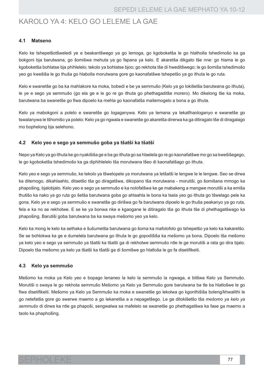## KAROLO YA 4: KELO GO LELEME LA GAE

#### **4.1 Matseno**

Kelo ke tshepetšotšweledi ye e beakantšwego ya go lemoga, go kgoboketša le go hlatholla tshedimošo ka ga bokgoni bja barutwana, go šomišwa mehuta ya go fapana ya kelo. E akaretša dikgato tše nne: go hlama le go kgoboketša bohlatse bja phihlelelo; tekolo ya bohlatse bjoo; go rekhota tše di hweditšwego; le go šomiša tshedimošo yeo go kwešiša le go thuša go hlabolla morutwana gore go kaonafatšwe tshepetšo ya go ithuta le go ruta.

Kelo e swanetše go ba ka mahlakore ka moka, bobedi e be ya semmušo (Kelo ya go lokišetša barutwana go ithuta), le ye e sego ya semmušo (go ela ge e le go re go ithuta go phethagaditše morero). Mo dikelong tše ka moka, barutwana ba swanetše go fiwa dipoelo ka mehla go kaonafatša maitemogelo a bona a go ithuta.

Kelo ya mabokgoni a polelo e swanetše go logaganywa. Kelo ya temana ya tekatlhaologanyo e swanetše go tswalanywa le tšhomišo ya polelo: Kelo ya go ngwala e swanetše go akaretša direrwa ka ga ditiragalo tše di diragalago mo bophelong bja selehono.

#### **4.2 Kelo yeo e sego ya semmušo goba ya tšatši ka tšatši**

Nepo ya Kelo ya go ithuta ke go nyakišiša ge e ba go ithuta go sa hlaelela go re go kaonafatšwe mo go sa kwešišegego, le go kgoboketša tshedimošo ka ga diphihlelelo tša morutwana tšeo di kaonafatšago go ithuta.

Kelo yeo e sego ya semmušo, ke tekolo ya tšwelopele ya morutwana ya letšatši le lengwe le le lengwe. Seo se dirwa ka ditemogo, dikahlaahlo, ditaetšo tša go diragatšwa, dikopano tša morutwana - morutiši, go šomišana mmogo ka phapošing, bjalobjalo. Kelo yeo e sego ya semmušo e ka nolofatšwa ke ge mabakeng a mangwe morutiši a ka emiša thutišo ka nako ya go ruta go šetša barutwana goba go ahlaahla le bona ka tsela yeo go ithuta go tšwelago pele ka gona. Kelo ye e sego ya semmušo e swanetše go dirišwa go fa barutwana dipoelo le go thuša peakanyo ya go ruta, fela e ka no se rekhotwe. E se ke ya bonwa nke e kgaogane le ditiragalo tša go ithuta tše di phethagatšwago ka phapošing. Barutiši goba barutwana ba ka swaya mešomo yeo ya kelo.

Kelo ka mong le kelo ka sethaka e šušumetša barutwana go šoma ka mafolofolo go tshepetšo ya kelo ka kakaretšo. Se se bohlokwa ka ge e dumelela barutwana go ithuta le go gopodišiša ka mešomo ya bona. Dipoelo tša mešomo ya kelo yeo e sego ya semmušo ya tšatši ka tšatši ga di rekhotwe semmušo ntle le ge morutiši a rata go dira bjalo. Dipoelo tša mešomo ya kelo ya tšatši ka tšatši ga di šomišwe go hlatloša le go fa disetifikeiti.

#### **4.3 Kelo ya semmušo**

Mešomo ka moka ya Kelo yeo e bopago lenaneo la kelo la semmušo la ngwaga, e bitšwa Kelo ya Semmušo. Morutiši o swaya le go rekhota semmušo Mešomo ya Kelo ya Semmušo gore barutwana ba tle ba hlatlošwe le go fiwa disetifikeiti. Mešomo ya Kelo ya Semmušo ka moka e swanetše go lekolwa go kgonthišiša boleng/khwalithi le go netefatša gore go swerwe maemo a go lekanetša a a nepagetšego. Le ge ditokišetšo tša *mešomo ya kelo ya semmušo* di dirwa ka ntle ga phapoši, sengwalwa sa mafelelo se swanetše go phethagatšwa ka fase ga maemo a taolo ka phaphošing.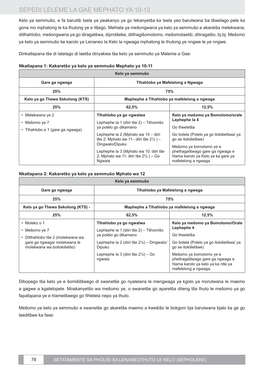Kelo ya semmušo, e fa barutiši tsela ya peakanyo ya go lekanyetša ka tsela yeo barutwana ba tšwelago pele ka gona mo mphatong le ka thutong ye e itšego. Mehlala ya mešongwana ya kelo ya semmušo e akaretša melekwana, ditlhahlobo, mešongwana ya go diragatšwa, diprotšeke, ditlhagišomolomo, mešomotaetši, ditiragatšo, bj.bj. Mešomo ya kelo ya semmušo ke karolo ya Lenaneo la Kelo la ngwaga mphatong le thutong ye nngwe le ye nngwe.

Dinkatlapana tše di latelago di laetša dinyakwa tša kelo ya semmušo ya Maleme a Gae:

#### **Nkatlapana 1: Kakaretšo ya kelo ya semmušo Mephato ya 10-11**

| Kelo ya semmušo                                   |                                                                                                                                                             |                                                                                              |  |  |
|---------------------------------------------------|-------------------------------------------------------------------------------------------------------------------------------------------------------------|----------------------------------------------------------------------------------------------|--|--|
| Gare ga ngwaga                                    | Tihahlobo ya Mafelelong a Ngwaga                                                                                                                            |                                                                                              |  |  |
| 25%                                               |                                                                                                                                                             | 75%                                                                                          |  |  |
| Kelo ya go Thewa Sekolong (KTS)                   |                                                                                                                                                             | Maphephe a Tihahlobo ya mafelelong a ngwaga                                                  |  |  |
| 25%                                               | 62,5%                                                                                                                                                       | 12,5%                                                                                        |  |  |
| • Melekwana ye 2                                  | Tihahlobo ya go ngwalwa                                                                                                                                     | Kelo ya mešomo ya Bomolomo/orale                                                             |  |  |
| • Mešomo ve 7<br>• Tihahlobo e 1 (gare ga ngwaga) | Lephephe la 1 (diiri tše 2) – Tšhomišo<br>ya polelo go dikamano<br>Lephephe la 2 (Mphato wa 10 - diiri<br>tše 2; Mphato aw 11- diiri tše $2\frac{1}{2}$ ) - | Lephephe la 4<br>Go theeletša                                                                |  |  |
|                                                   |                                                                                                                                                             | Go bolela (Polelo ya go itokišetšwa/ ya<br>go se itokišetšwe)                                |  |  |
|                                                   | Dingwalo/Dipuku                                                                                                                                             | Mešomo ya bomolomo ye e                                                                      |  |  |
|                                                   | Lephephe la 3 (Mphato wa 10: diiri tše<br>2; Mphato wa 11; diiri tše $2\frac{1}{2}$ ) – Go<br>Ngwala                                                        | phethagatšwago gare ga ngwaga e<br>hlama karolo ya Kelo ya ka gare ya<br>mafelelong a ngwaga |  |  |

#### **Nkatlapana 2: Kakaretšo ya kelo ya semmušo Mphato wa 12**

| Kelo ya semmušo                                                                                                                           |                                                                                                                                                                                                     |                                                                                                                                                                                                                                                             |  |  |
|-------------------------------------------------------------------------------------------------------------------------------------------|-----------------------------------------------------------------------------------------------------------------------------------------------------------------------------------------------------|-------------------------------------------------------------------------------------------------------------------------------------------------------------------------------------------------------------------------------------------------------------|--|--|
| Gare ga ngwaga                                                                                                                            | Tihahlobo ya Mafelelong a ngwaga                                                                                                                                                                    |                                                                                                                                                                                                                                                             |  |  |
| 25%                                                                                                                                       | 75%                                                                                                                                                                                                 |                                                                                                                                                                                                                                                             |  |  |
| Kelo ya go Thewa Sekolong (KTS) -                                                                                                         |                                                                                                                                                                                                     | Maphephe a Tihahlobo ya mafelelong a ngwaga                                                                                                                                                                                                                 |  |  |
| 25%                                                                                                                                       | 62,5%                                                                                                                                                                                               | 12,5%                                                                                                                                                                                                                                                       |  |  |
| $\cdot$ Moleko o 1<br>• Mešomo ye 7<br>Ditlhahlobo tše 2 (molekwana wa<br>٠<br>gare ga ngwaga/ molekwana le<br>molekwana wa boitokišetšo) | Tihahlobo ya go ngwalwa<br>Lephephe la 1 (diiri tše 2) - Tšhomišo<br>ya polelo go dikamano<br>Lephephe la 2 (diiri tše 21/2) - Dingwalo/<br>Dipuku<br>Lephephe la 3 (diiri tše 21/2) - Go<br>ngwala | Kelo ya mešomo ya Bomolomo/Orale<br>Lephephe 4<br>Go theeletša<br>Go bolela (Polelo ya go itokišetšwa/ ya<br>go se itokišetšwe)<br>Mešomo ya bomolomo ye e<br>phethagatšwago gare ga ngwaga e<br>hlama karolo ya kelo ya ka ntle ya<br>mafelelong a ngwaga. |  |  |

Dibopego tša kelo ye e šomišitšwego di swanetše go nyalelana le mengwaga ya kgolo ya morutwana le maemo a gagwe a kgatelopele. Moakanyetšo wa mešomo ye, o swanetše go aparetša diteng tša thuto le mešomo ya go fapafapana ye e hlametšwego go fihlelela nepo ya thuto.

Mešomo ya kelo ya semmušo e swanetše go akaretša maemo a kwešišo le bokgoni bja barutwana bjalo ka ge go laeditšwe ka fase: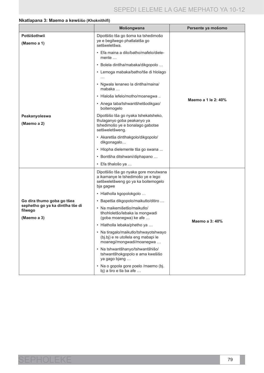#### **Nkatlapana 3: Maemo a kewšišo (Khoknithifi)**

|                                                            | Mošongwana                                                                                                                      | Persente ya mošomo  |
|------------------------------------------------------------|---------------------------------------------------------------------------------------------------------------------------------|---------------------|
| Potšišothwii<br>(Maemo a 1)                                | Dipotšišo tša go šoma ka tshedimošo<br>ye e begilwego phatlalatša go<br>setšweletšwa.                                           |                     |
|                                                            | • Efa maina a dilo/batho/mafelo/diele-<br>mente                                                                                 |                     |
|                                                            | · Bolela dintlha/mabaka/dikgopolo                                                                                               |                     |
|                                                            | · Lemoga mabaka/batho/tše di hlolago                                                                                            |                     |
|                                                            | · Ngwala lenaneo la dintlha/maina/<br>mabaka                                                                                    |                     |
|                                                            | · Hlaloša lefelo/motho/moanegwa                                                                                                 | Maemo a 1 le 2: 40% |
|                                                            | · Anega taba/tshwantšhetšodikgao/<br>boitemogelo                                                                                |                     |
| Peakanyoleswa<br>(Maemo a 2)                               | Dipotšišo tša go nyaka tshekatsheko,<br>thulaganyo goba peakanyo ya<br>tshedimošo ye e bonalago gabotse<br>setšweletšweng.      |                     |
|                                                            | · Akaretša dintlhakgolo/dikgopolo/<br>dikgonagalo                                                                               |                     |
|                                                            | · Hlopha dielemente tša go swana                                                                                                |                     |
|                                                            | · Bontšha ditshwani/diphapano                                                                                                   |                     |
|                                                            | • Efa tlhalošo ya                                                                                                               |                     |
|                                                            | Dipotšišo tša go nyaka gore morutwana<br>a ikamanye le tshedimošo ye e lego<br>setšweletšweng go ya ka boitemogelo<br>bja gagwe |                     |
|                                                            | · Hlatholla kgopolokgolo                                                                                                        |                     |
| Go dira thumo goba go tšea                                 | · Bapetša dikgopolo/maikutlo/ditiro                                                                                             |                     |
| sephetho go ya ka dintlha tše di<br>filwego<br>(Maemo a 3) | · Na maikemišetšo/maikutlo/<br>tlhohloletšo/lebaka la mongwadi<br>(goba moanegwa) ke afe                                        |                     |
|                                                            | · Hlatholla lebaka/phetho ya                                                                                                    | Maemo a 3: 40%      |
|                                                            | · Na tiragalo/maikutlo/tshwayotshwayo<br>(bj.bj) e re utollela eng mabapi le<br>moanegi/mongwadi/moanegwa                       |                     |
|                                                            | · Na tshwantšhanyo/tshwantšhišo/<br>tshwantšhokgopolo e ama kwešišo<br>ya gago bjang                                            |                     |
|                                                            | · Na o gopola gore poelo /maemo (bj.<br>bj) a tiro e tla ba afe                                                                 |                     |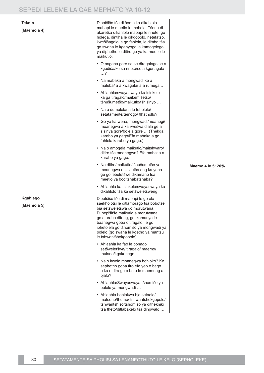| <b>Tekolo</b><br>(Maemo a 4) | Dipotšišo tše di šoma ka dikahlolo<br>mabapi le meetlo le mohola. Tšona di<br>akaretša dikahlolo mabapi le nnete, go<br>holega, dintlha le dikgopolo, netefatšo,                                                                                                                                                                      |                   |
|------------------------------|---------------------------------------------------------------------------------------------------------------------------------------------------------------------------------------------------------------------------------------------------------------------------------------------------------------------------------------|-------------------|
|                              | kwešišagalo le go fahlela, le ditaba tša<br>go swana le kganyogo le kamogelego<br>ya diphetho le ditiro go ya ka meetlo le<br>maikutlo.                                                                                                                                                                                               |                   |
|                              | • O nagana gore se se diragalago se a<br>kgodiša/ke sa nnete/se a kgonagala<br>$\ldots$ ?                                                                                                                                                                                                                                             |                   |
|                              | • Na mabaka a mongwadi ke a<br>maleba/ a a kwagala/ a a rumega                                                                                                                                                                                                                                                                        |                   |
|                              | • Ahlaahla/swayaswaya ka tsinkelo<br>ka ga tiragalo/maikemišetšo/<br>tšhušumetšo/maikutlo/tšhišinyo                                                                                                                                                                                                                                   |                   |
|                              | • Na o dumelelana le tebelelo/<br>setatamente/temogo/ tlhathollo?                                                                                                                                                                                                                                                                     |                   |
|                              | · Go ya ka wena, mongwadi/moanegi/<br>moanegwa a ka rwešwa diala ge a<br>šišinya gore/bolela gore  (Thekga<br>karabo ya gago/Efa mabaka a go<br>fahlela karabo ya gago.)                                                                                                                                                              |                   |
|                              | • Na o amogela maikutlo/maitshwaro/<br>ditiro tša moanegwa? Efa mabaka a<br>karabo ya gago.                                                                                                                                                                                                                                           |                   |
|                              | · Na ditiro/maikutlo/tšhušumetšo ya<br>moanegwa e laetša eng ka yena<br>ge go lebeletšwe dikamano tša<br>meetlo ya boditšhabatšhaba?                                                                                                                                                                                                  | Maemo 4 le 5: 20% |
|                              | · Ahlaahla ka tsinkelo/swayaswaya ka<br>dikahlolo tša ka setšweletšweng                                                                                                                                                                                                                                                               |                   |
| Kgahlego<br>(Maemo a 5)      | Dipotšišo tše di mabapi le go ela<br>saekholotši le ditlamorago tša bobotse<br>bja setšweletšwa go morutwana.<br>Di nepišitše maikutlo a morutwana<br>ge a araba diteng, go ikamanya le<br>baanegwa goba ditiragalo, le go<br>iphetolela go tšhomišo ya mongwadi ya<br>polelo (go swana le kgetho ya mantšu<br>le tshwantšhokgopolo). |                   |
|                              | • Ahlaahla ka fao le bonago<br>setšweletšwa/ tiragalo/ maemo/<br>thulano/kgakanego.                                                                                                                                                                                                                                                   |                   |
|                              | • Na o kwela moanegwa bohloko? Ke<br>sephetho goba tiro efe yeo o bego<br>o ka e dira ge o be o le maemong a<br>bjalo?                                                                                                                                                                                                                |                   |
|                              | · Ahlaahla/Swayaswaya tšhomišo ya<br>polelo ya mongwadi                                                                                                                                                                                                                                                                               |                   |
|                              | · Ahlaahla bohlokwa bja setaele/<br>matseno/thumo/ tshwantšhokgopolo/<br>tshwantšhišo/tšhomišo ya dithekniki<br>tša theto/ditlabakelo tša dingwalo                                                                                                                                                                                    |                   |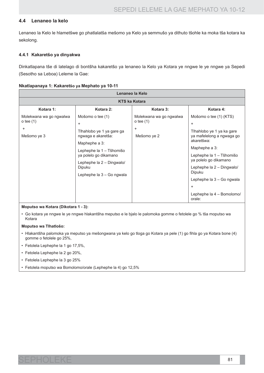#### **4.4 Lenaneo la kelo**

Lenaneo la Kelo le hlametšwe go phatlalatša mešomo ya Kelo ya semmušo ya dithuto tšohle ka moka tša kotara ka sekolong.

#### **4.4.1 Kakaretšo ya dinyakwa**

Dinkatlapana tše di latelago di bontšha kakaretšo ya lenaneo la Kelo ya Kotara ye nngwe le ye nngwe ya Sepedi (Sesotho sa Leboa) Leleme la Gae:

#### **Nkatlapanaya 1: Kakaretšo ya Mephato ya 10-11**

| <b>KTS ka Kotara</b>                                                                                                                                                                                          |                                                                    |                                                                                                                                                                                                                                                                                                 |
|---------------------------------------------------------------------------------------------------------------------------------------------------------------------------------------------------------------|--------------------------------------------------------------------|-------------------------------------------------------------------------------------------------------------------------------------------------------------------------------------------------------------------------------------------------------------------------------------------------|
|                                                                                                                                                                                                               |                                                                    |                                                                                                                                                                                                                                                                                                 |
| Kotara 2:                                                                                                                                                                                                     | Kotara 3:                                                          | Kotara 4:                                                                                                                                                                                                                                                                                       |
| Mošomo o tee (1)<br>Tihahlobo ye 1 ya gare ga<br>ngwaga e akaretša:<br>Maphephe a 3:<br>Lephephe la 1 - Tšhomišo<br>ya polelo go dikamano<br>Lephephe la 2 - Dingwalo/<br>Dipuku<br>Lephephe la 3 - Go ngwala | Molekwana wa go ngwalwa<br>o tee $(1)$<br>$\ddot{}$<br>Mešomo ye 2 | Mošomo o tee (1) (KTS)<br>$\ddot{}$<br>Tlhahlobo ye 1 ya ka gare<br>ya mafelelong a ngwaga go<br>akaretšwa:<br>Maphephe a 3:<br>Lephephe la 1 - Tšhomišo<br>ya polelo go dikamano<br>Lephephe la 2 - Dingwalo/<br>Dipuku<br>Lephephe la 3 - Go ngwala<br>$\ddot{}$<br>Lephephe la 4 - Bomolomo/ |
|                                                                                                                                                                                                               |                                                                    |                                                                                                                                                                                                                                                                                                 |

#### **Moputso wa Kotara (Dikotara 1 - 3):**

• Go kotara ye nngwe le ye nngwe hlakantšha meputso e le bjalo le palomoka gomme o fetolele go % tša moputso wa Kotara

#### **Moputso wa Tlhatlošo:**

- Hlakantšha palomoka ya meputso ya mešongwana ya kelo go tloga go Kotara ya pele (1) go fihla go ya Kotara bone (4) gomme o fetolele go 25%,
- Fetolela Lephephe la 1 go 17,5%,
- Fetolela Lephephe la 2 go 20%,
- Fetolela Lephephe la 3 go 25%
- Fetolela moputso wa Bomolomo/orale (Lephephe la 4) go 12,5%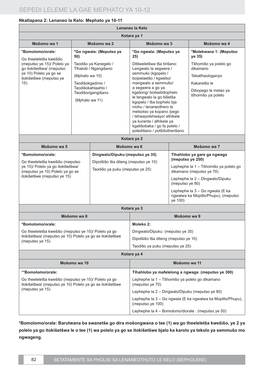#### **Nkatlapana 2: Lenaneo la Kelo: Mephato ya 10-11**

| Lenaneo la Kelo                                                                                                                                                  |                                         |                                                                                                                                                                                                                                                                                                                    |                                                                                                                                                                                                                                                                                                                                                                                                                                                          |                                                                                                                                                                                                                                                                 |                                                                                                                                                         |  |
|------------------------------------------------------------------------------------------------------------------------------------------------------------------|-----------------------------------------|--------------------------------------------------------------------------------------------------------------------------------------------------------------------------------------------------------------------------------------------------------------------------------------------------------------------|----------------------------------------------------------------------------------------------------------------------------------------------------------------------------------------------------------------------------------------------------------------------------------------------------------------------------------------------------------------------------------------------------------------------------------------------------------|-----------------------------------------------------------------------------------------------------------------------------------------------------------------------------------------------------------------------------------------------------------------|---------------------------------------------------------------------------------------------------------------------------------------------------------|--|
| Kotara ya 1                                                                                                                                                      |                                         |                                                                                                                                                                                                                                                                                                                    |                                                                                                                                                                                                                                                                                                                                                                                                                                                          |                                                                                                                                                                                                                                                                 |                                                                                                                                                         |  |
| Mošomo wa 1                                                                                                                                                      |                                         | Mošomo wa 2                                                                                                                                                                                                                                                                                                        | Mošomo wa 3                                                                                                                                                                                                                                                                                                                                                                                                                                              |                                                                                                                                                                                                                                                                 | Mošomo wa 4                                                                                                                                             |  |
| *Bomolomo/orale:<br>Go theeleletša kwešišo<br>(meputso ye 15)/ Polelo ya<br>go itokišetšwa/ (meputso<br>ye 10) Polelo ya go se<br>itokišetšwe (meputso ye<br>15) | 50)<br>(Mphato wa 10)<br>(Mphato wa 11) | *Go ngwala: (Meputso ye<br>Taodišo ya Kanegelo /<br>Tlhaloši / Ngangišano<br>Taodišokgadimo /<br>Taodišokahlaahlo /<br>Taodišongangišano                                                                                                                                                                           | *Go ngwala: (Meputso ye<br>25)<br>Ditšweletšwa tša tirišano:<br>Lengwalo la segwera /<br>semmušo (kgopelo /<br>boipelaetšo / kgwebo/<br>mangwalo a semmušo/<br>a segwera a go ya<br>kgašong/ boitsebišophelo<br>le lengwalo la go tiišetša<br>kgopelo / tša bophelo bja<br>mohu / lenaneothero le<br>metsotso ya kopano /pego<br>/ tshwayotshwayo/ athikele<br>ya kuranta / athikele ya<br>kgatišobaka / go fa polelo /<br>poledišano / potšišotherišano |                                                                                                                                                                                                                                                                 | *Molekwana 1: (Meputso<br>ye 35)<br>Tšhomišo ya polelo go<br>dikamano<br>Tekatlhaologanyo<br>Kakaretšo le<br>Dibopego le melao ya<br>tšhomišo ya polelo |  |
|                                                                                                                                                                  |                                         |                                                                                                                                                                                                                                                                                                                    | Kotara ya 2                                                                                                                                                                                                                                                                                                                                                                                                                                              |                                                                                                                                                                                                                                                                 |                                                                                                                                                         |  |
| Mošomo wa 5                                                                                                                                                      |                                         |                                                                                                                                                                                                                                                                                                                    | Mošomo wa 6                                                                                                                                                                                                                                                                                                                                                                                                                                              |                                                                                                                                                                                                                                                                 | Mošomo wa 7                                                                                                                                             |  |
| *Bomolomo/orale:<br>Go theeleletša kwešišo (meputso<br>ye 15)/ Polelo ya go itokišetšwa/<br>(meputso ye 10) Polelo ya go se<br>itokišetšwe (meputso ye 15)       |                                         | Dingwalo/Dipuku: (meputso ye 35)<br>Dipotšišo tša diteng (meputso ye 10)<br>Taodišo ya puku (meputso ye 25)                                                                                                                                                                                                        |                                                                                                                                                                                                                                                                                                                                                                                                                                                          | Tihahlobo ya gare ga ngwaga<br>(meputso ye 250)<br>Lephephe la 1 - Tšhomišo ya polelo go<br>dikamano (meputso ye 70)<br>Lephephe la 2 - Dingwalo/Dipuku<br>(meputso ye 80)<br>Lephephe la 3 - Go ngwala (E ka<br>ngwalwa ka Mopitlo/Phupu), (meputso<br>ye 100) |                                                                                                                                                         |  |
|                                                                                                                                                                  |                                         |                                                                                                                                                                                                                                                                                                                    | Kotara ya 3                                                                                                                                                                                                                                                                                                                                                                                                                                              |                                                                                                                                                                                                                                                                 |                                                                                                                                                         |  |
|                                                                                                                                                                  | Mošomo wa 8                             |                                                                                                                                                                                                                                                                                                                    |                                                                                                                                                                                                                                                                                                                                                                                                                                                          | Mošomo wa 9                                                                                                                                                                                                                                                     |                                                                                                                                                         |  |
| *Bomolomo/orale:<br>Go theeleletša kwešišo (meputso ye 15)/ Polelo ya go<br>itokišetšwa/ (meputso ye 10) Polelo ya go se itokišetšwe<br>(meputso ye 15)          |                                         |                                                                                                                                                                                                                                                                                                                    | Moleko 2:<br>Dingwalo/Dipuku: (meputso ye 35)<br>Dipotšišo tša diteng (meputso ye 10)<br>Taodišo ya puku (meputso ye 25)                                                                                                                                                                                                                                                                                                                                 |                                                                                                                                                                                                                                                                 |                                                                                                                                                         |  |
|                                                                                                                                                                  |                                         |                                                                                                                                                                                                                                                                                                                    | Kotara ya 4                                                                                                                                                                                                                                                                                                                                                                                                                                              |                                                                                                                                                                                                                                                                 |                                                                                                                                                         |  |
|                                                                                                                                                                  | Mošomo wa 10                            |                                                                                                                                                                                                                                                                                                                    |                                                                                                                                                                                                                                                                                                                                                                                                                                                          | Mošomo wa 11                                                                                                                                                                                                                                                    |                                                                                                                                                         |  |
| **Bomolomo/orale:<br>Go theeleletša kwešišo (meputso ye 15)/ Polelo ya go<br>itokišetšwa/ (meputso ye 10) Polelo ya go se itokišetšwe<br>(meputso ye 15)         |                                         | Tlhahlobo ya mafelelong a ngwaga: (meputso ye 300)<br>Lephephe la 1 - Tšhomišo ya polelo go dikamano<br>(meputso ye 70)<br>Lephephe la 2 - Dingwalo/Dipuku (meputso ye 80)<br>Lephephe la 3 - Go ngwala (E ka ngwalwa ka Mopitlo/Phupu),<br>(meputso ye 100)<br>Lephephe la 4 - Bomolomo/diorale : (meputso ye 50) |                                                                                                                                                                                                                                                                                                                                                                                                                                                          |                                                                                                                                                                                                                                                                 |                                                                                                                                                         |  |

**\*Bomolomo/orale: Barutwana ba swanetše go dira mošongwana o tee (1) wa go theeleletša kwešišo, ye 2 ya polelo ya go itokišetšwa le o tee (1) wa polelo ya go se itokišetšwe bjalo ka karolo ya tekolo ya semmušo mo ngwageng.**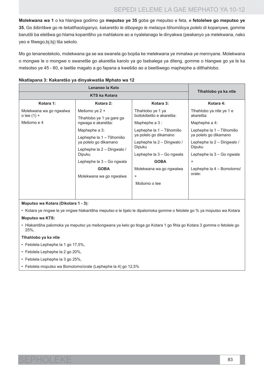**Molekwana wa 1** o ka hlangwa godimo ga **meputso ye 35** goba ge meputso e feta, e **fetolelwe go meputso ye 35.** Go šišintšwe go re *tekatlhaologanyo, kakaretšo le dibopego le melaoya tšhomišoya polelo* di kopanywe, gomme barutiši ba eletšwa go hlama kopantšho ya mahlakore ao a nyalelanago le dinyakwa (peakanyo ya melekwana, nako yeo e filwego,bj.bj) tša sekolo.

Mo go lenaneotekolo, molekwana ga se wa swanela go bopša ke melekwana ye mmalwa ye mennyane. Molekwana o mongwe le o mongwe o swanetše go akaretša karolo ya go tsebalega ya diteng, gomme o hlangwe go ya le ka metsotso ye 45 - 60, e laetše magato a go fapana a kwešišo ao a beetšwego maphephe a ditlhahlobo.

|                                          | Tihahlobo ya ka ntle                       |                                               |                                       |  |
|------------------------------------------|--------------------------------------------|-----------------------------------------------|---------------------------------------|--|
| Kotara 1:                                | Kotara 2:                                  | Kotara 3:                                     | Kotara 4:                             |  |
| Molekwana wa go ngwalwa<br>o tee $(1) +$ | Mešomo ye 2 +<br>Tlhahlobo ye 1 ya gare ga | Tihahlobo ye 1 ya<br>boitokišetšo e akaretša: | Tihahlobo ya ntle ye 1 e<br>akaretša: |  |
| Mešomo e 4                               | ngwaga e akaretša:                         | Maphephe $a 3$ :                              | Maphephe a 4:                         |  |
|                                          | Maphephe a 3:                              | Lephephe la 1 – Tšhomišo                      | Lephephe la 1 – Tšhomišo              |  |
|                                          | Lephephe la 1 - Tšhomišo                   | ya polelo go dikamano                         | ya polelo go dikamano                 |  |
|                                          | ya polelo go dikamano                      | Lephephe la 2 - Dingwalo /<br>Dipuku          | Lephephe la 2 – Dingwalo /<br>Dipuku  |  |
|                                          | Lephephe la 2 - Dingwalo /<br>Dipuku       | Lephephe la 3 - Go ngwala                     | Lephephe la 3 – Go ngwala             |  |
|                                          |                                            |                                               |                                       |  |
|                                          | Lephephe la 3 – Go ngwala                  | <b>GOBA</b>                                   | $\ddot{}$                             |  |
|                                          | <b>GOBA</b>                                | Molekwana wa go ngwalwa                       | Lephephe la 4 - Bomolomo/             |  |
|                                          | Molekwana wa go ngwalwa                    | $\ddot{}$                                     | orale:                                |  |
|                                          |                                            | Mošomo o tee                                  |                                       |  |
|                                          |                                            |                                               |                                       |  |
|                                          |                                            |                                               |                                       |  |

#### **Nkatlapana 3: Kakaretšo ya dinyakwatša Mphato wa 12**

#### **Moputso wa Kotara (Dikotara 1 - 3):**

• Kotara ye nngwe le ye nngwe hlakantšha meputso e le bjalo le dipalomoka gomme o fetolele go % ya moputso wa Kotara

#### **Moputso wa KTS:**

• Hlakantšha palomoka ya meputso ya mešongwana ya kelo go tloga go Kotara 1 go fihla go Kotara 3 gomme o fetolele go 25%,

#### **Tlhahlobo ya ka ntle**

- Fetolela Lephephe la 1 go 17,5%,
- Fetolela Lephephe la 2 go 20%,
- Fetolela Lephephe la 3 go 25%,

• Fetolela moputso wa Bomolomo/orale (Lephephe la 4) go 12,5%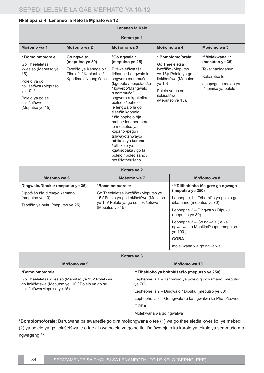#### **Nkatlapana 4: Lenaneo la Kelo la Mphato wa 12**

| Lenaneo la Kelo                                                                                                                                                            |                                                                                                          |                                                                                                                                                                                                                                                                                                                                                                                                                                                                |                                                                                                                                                                         |                                                                                                                     |  |  |
|----------------------------------------------------------------------------------------------------------------------------------------------------------------------------|----------------------------------------------------------------------------------------------------------|----------------------------------------------------------------------------------------------------------------------------------------------------------------------------------------------------------------------------------------------------------------------------------------------------------------------------------------------------------------------------------------------------------------------------------------------------------------|-------------------------------------------------------------------------------------------------------------------------------------------------------------------------|---------------------------------------------------------------------------------------------------------------------|--|--|
| Kotara ya 1                                                                                                                                                                |                                                                                                          |                                                                                                                                                                                                                                                                                                                                                                                                                                                                |                                                                                                                                                                         |                                                                                                                     |  |  |
| Mošomo wa 1                                                                                                                                                                | Mošomo wa 2                                                                                              | Mošomo wa 3                                                                                                                                                                                                                                                                                                                                                                                                                                                    | Mošomo wa 4                                                                                                                                                             | Mošomo wa 5                                                                                                         |  |  |
| * Bomolomo/orale:<br>Go Theeleletša<br>kwešišo (Meputso ye<br>15)<br>Polelo ya go<br>itokišetšwa (Meputso<br>ve 10) /<br>Polelo ya go se<br>itokišetšwe<br>(Meputso ye 15) | Go ngwala:<br>(meputso ye 50)<br>Taodišo ya Kanegelo /<br>Tlhaloši / Kahlaahlo /<br>Kgadimo / Ngangišano | *Go ngwala:<br>(meputso ye 25)<br>Ditšweletšwa tša<br>tirišano: Lengwalo la<br>segwera /semmušo<br>(kgopelo / boipelaetšo<br>/ kgwebo/Mangwalo<br>a semmušo/<br>segwera a kgakollo/<br>boitsebišophelo<br>le lengwalo la go<br>tiišetša kgopelo<br>/ tša bophelo bja<br>mohu / lenaneothero<br>le metsotso va<br>kopano /pego /<br>tshwayotshwayo/<br>athikele ya kuranta<br>/ athikele va<br>kgatišobaka / go fa<br>polelo / poledišano /<br>potšišotherišano | * Bomolomo/orale:<br>Go Theeleletša<br>kwešišo (Meputso<br>ye 15)/ Polelo ya go<br>itokišetšwa (Meputso<br>ve 10)<br>Polelo ya go se<br>itokišetšwe<br>(Meputso ye 15). | **Molekwana 1:<br>(meputso ye 35)<br>Tekatlhaologanyo<br>Kakaretšo le<br>dibopego le melao ya<br>tšhomišo va polelo |  |  |

**Kotara ya 2**

| Mošomo wa 6                                      | Mošomo wa 7                                                                  | Mošomo wa 8                                                                  |  |  |  |
|--------------------------------------------------|------------------------------------------------------------------------------|------------------------------------------------------------------------------|--|--|--|
| Dingwalo/Dipuku: (meputso ye 35)                 | *Bomolomo/orale:                                                             | ***Ditlhahlobo tša gare ga ngwaga<br>(meputso ye 250)                        |  |  |  |
| Dipotšišo tša diteng/dikamano<br>(meputso ye 10) | Go Theeleletša kwešišo (Meputso ye<br>15)/ Polelo ya go itokišetšwa (Meputso | Lephephe 1 – Tšhomišo ya polelo go                                           |  |  |  |
| Taodišo ya puku (meputso ye 25)                  | ye 10)/ Polelo ya go se itokišetšwe<br>(Meputso ye 15)                       | dikamano (meputso ye 70)                                                     |  |  |  |
|                                                  |                                                                              | Lephephe 2 – Dingwalo / Dipuku<br>(meputso ye 80)                            |  |  |  |
|                                                  |                                                                              | Lephephe 3 – Go ngwala (e ka<br>ngwalwa ka Mopitlo/Phupu, meputso<br>ve 100) |  |  |  |
|                                                  |                                                                              | <b>GOBA</b>                                                                  |  |  |  |
|                                                  |                                                                              | molekwana wa go ngwalwa                                                      |  |  |  |

| Kotara ya 3                                                                                                                         |                                                                   |  |  |
|-------------------------------------------------------------------------------------------------------------------------------------|-------------------------------------------------------------------|--|--|
| Mošomo wa 9                                                                                                                         | Mošomo wa 10                                                      |  |  |
| *Bomolomo/orale:                                                                                                                    | **Tlhahlobo ya boitokišetšo (meputso ye 250)                      |  |  |
| Go Theeleletša kwešišo (Meputso ye 15) Polelo ya<br>go itokišetšwa (Meputso ye 10) / Polelo ya go se<br>itokišetšwe (Meputso ye 15) | Lephephe la 1 – Tšhomišo ya polelo go dikamano (meputso<br>ve 70) |  |  |
|                                                                                                                                     | Lephephe la 2 – Dingwalo / Dipuku (meputso ye 80)                 |  |  |
|                                                                                                                                     | Lephephe la 3 – Go ngwala (e ka ngwalwa ka Phato/Lewedi           |  |  |
|                                                                                                                                     | <b>GOBA</b>                                                       |  |  |
|                                                                                                                                     | Molekwana wa go ngwalwa                                           |  |  |
|                                                                                                                                     |                                                                   |  |  |

**\*Bomolomo/orale:** Barutwana ba swanetše go dira mošongwana o tee (1) wa go theeleletša kwešišo, ye mebedi (2) ya polelo ya go itokišetšwa le o tee (1) wa polelo ya go se itokišetšwe bjalo ka karolo ya tekolo ya semmušo mo ngwageng.\*\*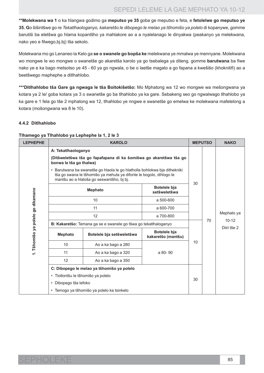**\*\*Molekwana wa 1** o ka hlangwa godimo ga **meputso ye 35** goba ge meputso e feta, e **fetolelwe go meputso ye 35. G**o šišintšwe go re *Tekatlhaologanyo, kakaretšo le dibopego le melao ya tšhomišo ya polelo* di kopanywe, gomme barutiši ba eletšwa go hlama kopantšho ya mahlakore ao a a nyalelanago le dinyakwa (peakanyo ya melekwana, nako yeo e filwego,bj.bj) tša sekolo.

Molekwana mo go Lenaneo la Kelo ga **se o swanele go bopša ke** melekwana ye mmalwa ye mennyane. Molekwana wo mongwe le wo mongwe o swanetše go akaretša karolo ya go tsebalega ya diteng, gomme **barutwana** ba fiwe nako ye e ka bago metsotso ye 45 - 60 ya go ngwala, o be o laetše magato a go fapana a kwešišo (khoknitifi) ao a beetšwego maphephe a ditlhahlobo.

**\*\*\*Ditlhahlobo tša Gare ga ngwaga le tša Boitokišetšo:** Mo Mphatong wa 12 wo mongwe wa mešongwana ya kotara ya 2 le/ goba kotara ya 3 o swanetše go ba tlhahlobo ya ka gare. Sebakeng seo go ngwalwago tlhahlobo ya ka gare e 1 fela go tše 2 mphatong wa 12, tlhahlobo ye nngwe e swanetše go emelwa ke molekwana mafelelong a kotara (mošongwana wa 8 le 10).

#### **4.4.2 Ditlhahlobo**

#### **Tlhamego ya Tlhahlobo ya Lephephe la 1, 2 le 3**

| <b>LEPHEPHE</b>                   |                                                                                                                                                                                               | <b>KAROLO</b>                              |                                    |    | <b>MEPUTSO</b> | <b>NAKO</b>              |
|-----------------------------------|-----------------------------------------------------------------------------------------------------------------------------------------------------------------------------------------------|--------------------------------------------|------------------------------------|----|----------------|--------------------------|
|                                   | A: Tekatlhaologanyo<br>(Ditšweletšwa tša go fapafapana di ka šomišwa go akaretšwa tša go<br>bonwa le tša go thalwa)                                                                           |                                            |                                    |    |                |                          |
|                                   | · Barutwana ba swanetše go hlaola le go hlatholla bohlokwa bja dithekniki<br>tša go swana le tšhomišo ya mehuta ya difonte le bogolo, dihlogo le<br>mantšu ao a hlaloša go seswantšho, bj bj. |                                            |                                    |    |                |                          |
|                                   | Botelele bja<br><b>Mephato</b><br>setšweletšwa                                                                                                                                                |                                            | 30                                 |    |                |                          |
|                                   |                                                                                                                                                                                               | 10 <sup>°</sup>                            | a 500-600                          |    |                |                          |
|                                   | 11                                                                                                                                                                                            |                                            | a 600-700                          |    |                |                          |
|                                   |                                                                                                                                                                                               | 12                                         | a 700-800                          |    |                | Mephato ya               |
|                                   | B: Kakaretšo: Temana ga se e swanele go tšwa go tekatlhaloganyo                                                                                                                               |                                            |                                    |    | 70             | $10 - 12$<br>Diiri tše 2 |
| 1. Tšhomišo ya polelo go dikamano | <b>Mephato</b>                                                                                                                                                                                | Botelele bja setšweletšwa                  | Botelele bja<br>kakaretšo (mantšu) |    |                |                          |
|                                   | 10                                                                                                                                                                                            | Ao a ka bago a 280                         |                                    | 10 |                |                          |
|                                   | 11                                                                                                                                                                                            | Ao a ka bago a 320                         | a 80-90                            |    |                |                          |
|                                   | 12                                                                                                                                                                                            | Ao a ka bago a 350                         |                                    |    |                |                          |
|                                   | C: Dibopego le melao ya tšhomišo ya polelo                                                                                                                                                    |                                            |                                    |    |                |                          |
|                                   | · Tlotlontšu le tšhomišo ya polelo                                                                                                                                                            |                                            | 30                                 |    |                |                          |
|                                   | · Dibopego tša lefoko                                                                                                                                                                         |                                            |                                    |    |                |                          |
|                                   |                                                                                                                                                                                               | • Temogo ya tšhomišo ya polelo ka tsinkelo |                                    |    |                |                          |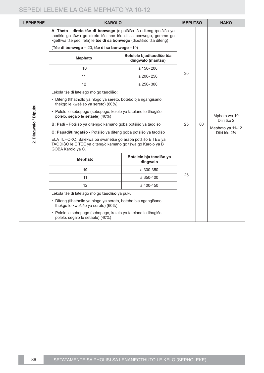| <b>LEPHEPHE</b>      | <b>KAROLO</b>                                                                                                                                                                                             |                                                | <b>MEPUTSO</b> |    | <b>NAKO</b>                                                       |
|----------------------|-----------------------------------------------------------------------------------------------------------------------------------------------------------------------------------------------------------|------------------------------------------------|----------------|----|-------------------------------------------------------------------|
|                      | A: Theto - direto tše di bonwego (dipotšišo tša diteng /potšišo ya<br>taodišo go tšwa go direto tše nne tše di sa bonwego, gomme go<br>kgethwa tše pedi fela) le tše di sa bonwego (dipotšišo tša diteng) |                                                |                |    |                                                                   |
|                      | (Tše di bonwego = 20, tše di sa bonwego = 10)                                                                                                                                                             |                                                |                |    |                                                                   |
|                      | <b>Mephato</b>                                                                                                                                                                                            | Botelele bjaditaodišo tša<br>dingwalo (mantšu) | 30             |    |                                                                   |
|                      | 10                                                                                                                                                                                                        | a 150-200                                      |                |    |                                                                   |
|                      | 11                                                                                                                                                                                                        | a 200-250                                      |                |    |                                                                   |
|                      | 12                                                                                                                                                                                                        | a 250-300                                      |                |    |                                                                   |
| 2. Dingwalo / Dipuku | Lekola tše di latelago mo go taodišo:                                                                                                                                                                     |                                                |                |    | Mphato wa 10<br>Diiri tše 2<br>Mephato ya 11-12<br>Diiri tše 21/2 |
|                      | · Diteng (tlhathollo ya hlogo ya sereto, botebo bja ngangišano,<br>thekgo le kwešišo ya sereto) (60%)                                                                                                     |                                                |                | 80 |                                                                   |
|                      | · Polelo le sebopego (sebopego, kelelo ya tatelano le tlhagišo,<br>polelo, segalo le setaele) (40%)                                                                                                       |                                                |                |    |                                                                   |
|                      | B: Padi - Potšišo ya diteng/dikamano goba potšišo ya taodišo                                                                                                                                              |                                                | 25             |    |                                                                   |
|                      | C: Papadi/tiragatšo - Potšišo ya diteng goba potšišo ya taodišo                                                                                                                                           |                                                |                |    |                                                                   |
|                      | ELA TLHOKO: Balekwa ba swanetše go araba potšišo E TEE ya<br>TAODIŠO le E TEE ya diteng/dikamano go tšwa go Karolo ya B<br>GOBA Karolo ya C.                                                              |                                                |                |    |                                                                   |
|                      | <b>Mephato</b>                                                                                                                                                                                            | Botelele bja taodišo ya<br>dingwalo            |                |    |                                                                   |
|                      | 10                                                                                                                                                                                                        | a 300-350                                      |                |    |                                                                   |
|                      | 11                                                                                                                                                                                                        | a 350-400                                      | 25             |    |                                                                   |
|                      | 12                                                                                                                                                                                                        | a 400-450                                      |                |    |                                                                   |
|                      | Lekola tše di latelago mo go taodišo ya puku:                                                                                                                                                             |                                                |                |    |                                                                   |
|                      | · Diteng (tlhathollo ya hlogo ya sereto, botebo bja ngangišano,<br>thekgo le kwešišo ya sereto) (60%)                                                                                                     |                                                |                |    |                                                                   |
|                      | · Polelo le sebopego (sebopego, kelelo ya tatelano le tlhagišo,<br>polelo, segalo le setaele) (40%)                                                                                                       |                                                |                |    |                                                                   |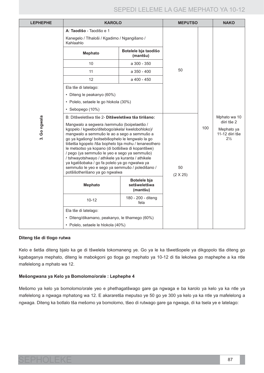| <b>LEPHEPHE</b>                 | <b>KAROLO</b>                                                                                                                                                                                                                                                                                                                                                                                                                                                                                                                                             |                                          | <b>MEPUTSO</b> |     | <b>NAKO</b>                                     |
|---------------------------------|-----------------------------------------------------------------------------------------------------------------------------------------------------------------------------------------------------------------------------------------------------------------------------------------------------------------------------------------------------------------------------------------------------------------------------------------------------------------------------------------------------------------------------------------------------------|------------------------------------------|----------------|-----|-------------------------------------------------|
|                                 | A: Taodišo - Taodišo e 1<br>Kanegelo / Tlhaloši / Kgadimo / Ngangišano /<br>Kahlaahlo                                                                                                                                                                                                                                                                                                                                                                                                                                                                     |                                          |                |     |                                                 |
|                                 | <b>Mephato</b>                                                                                                                                                                                                                                                                                                                                                                                                                                                                                                                                            | Botelele bja taodišo<br>(mantšu)         |                |     |                                                 |
|                                 | 10                                                                                                                                                                                                                                                                                                                                                                                                                                                                                                                                                        | a 300 - 350                              | 50             |     |                                                 |
|                                 | 11                                                                                                                                                                                                                                                                                                                                                                                                                                                                                                                                                        | a 350 - 400                              |                |     |                                                 |
|                                 | 12                                                                                                                                                                                                                                                                                                                                                                                                                                                                                                                                                        | a 400 - 450                              |                |     |                                                 |
|                                 | Ela tše di latelago:                                                                                                                                                                                                                                                                                                                                                                                                                                                                                                                                      |                                          |                |     |                                                 |
|                                 | • Diteng le peakanyo (60%)                                                                                                                                                                                                                                                                                                                                                                                                                                                                                                                                |                                          |                |     |                                                 |
|                                 | · Polelo, setaele le go hlokola (30%)                                                                                                                                                                                                                                                                                                                                                                                                                                                                                                                     |                                          |                |     |                                                 |
|                                 | · Sebopego (10%)                                                                                                                                                                                                                                                                                                                                                                                                                                                                                                                                          |                                          |                |     |                                                 |
|                                 | B: Ditšweletšwa tše 2- Ditšweletšwa tša tirišano:                                                                                                                                                                                                                                                                                                                                                                                                                                                                                                         |                                          | 50<br>(2 X 25) |     | Mphato wa 10<br>diiri tše 2                     |
| Go ngwala<br>$\dot{\mathbf{c}}$ | Mangwalo a segwera /semmušo (boipelaetšo /<br>kgopelo / kgwebo/ditebogo/akela/ kwelobohloko)/<br>mangwalo a semmušo le ao a sego a semmušo a<br>go ya kgašong/ boitsebišophelo le lengwalo la go<br>tiišetša kgopelo /tša bophelo bja mohu / lenaneothero<br>le metsotso ya kopano (di botšišwa di kopantšwe)<br>/ pego (ya semmušo le yeo e sego ya semmušo)<br>/ tshwayotshwayo / athikele ya kuranta / athikele<br>ya kgatišobaka / go fa polelo ya go ngwalwa ya<br>semmušo le yeo e sego ya semmušo / poledišano /<br>potšišotherišano ya go ngwalwa |                                          |                | 100 | Mephato ya<br>11-12 diiri tše<br>$2\frac{1}{2}$ |
|                                 | <b>Mephato</b>                                                                                                                                                                                                                                                                                                                                                                                                                                                                                                                                            | Botelele bja<br>setšweletšwa<br>(mantšu) |                |     |                                                 |
|                                 | $10 - 12$                                                                                                                                                                                                                                                                                                                                                                                                                                                                                                                                                 | 180 - 200 - diteng<br>fela               |                |     |                                                 |
|                                 | Ela tše di latelago:                                                                                                                                                                                                                                                                                                                                                                                                                                                                                                                                      |                                          |                |     |                                                 |
|                                 | · Diteng/dikamano, peakanyo, le tlhamego (60%)                                                                                                                                                                                                                                                                                                                                                                                                                                                                                                            |                                          |                |     |                                                 |
|                                 | · Polelo, setaele le hlokola (40%)                                                                                                                                                                                                                                                                                                                                                                                                                                                                                                                        |                                          |                |     |                                                 |

#### **Diteng tše di tlogo rutwa**

Kelo e šetša diteng bjalo ka ge di tšwelela tokomaneng ye. Go ya le ka tšwetšopele ya dikgopolo tša diteng go kgabaganya mephato, diteng le mabokgoni go tloga go mephato ya 10-12 di tla lekolwa go maphephe a ka ntle mafelelong a mphato wa 12.

#### **Mešongwana ya Kelo ya Bomolomo/orale : Lephephe 4**

Mešomo ya kelo ya bomolomo/orale yeo e phethagatšwago gare ga ngwaga e ba karolo ya kelo ya ka ntle ya mafelelong a ngwaga mphatong wa 12. E akararetša meputso ye 50 go ye 300 ya kelo ya ka ntle ya mafelelong a ngwaga. Diteng ka botlalo tša mešomo ya bomolomo, tšeo di rutwago gare ga ngwaga, di ka tsela ye e latelago: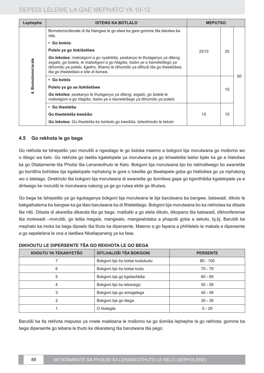| Lephephe          | <b>DITENG KA BOTLALO</b>                                                                                                                                                                                                                                                  | <b>MEPUTSO</b> |    |    |
|-------------------|---------------------------------------------------------------------------------------------------------------------------------------------------------------------------------------------------------------------------------------------------------------------------|----------------|----|----|
|                   | Bomolomo/diorale di tla hlangwa le go elwa ka gare gomme tša lekolwa ka<br>ntle.                                                                                                                                                                                          |                |    |    |
|                   | • Go bolela:                                                                                                                                                                                                                                                              |                |    |    |
|                   | Polelo ya go itokišetšwa                                                                                                                                                                                                                                                  | 2X10           | 20 |    |
| 4. Bomolomo/orale | Go lekolwa: mabokgoni a go nyakišiša, peakanyo le thulaganyo ya diteng,<br>segalo, go bolela, le mabokgoni a go hlagiša, tsebo ye e tseneletšego ya<br>tšhomišo ya polelo, kgetho, tlhamo le tšhomišo ya dithuši tša go theeletšwa,<br>tša go theeletšwa e bile di bonwa. |                |    |    |
|                   | • Go bolela                                                                                                                                                                                                                                                               |                |    | 50 |
|                   | Polelo ya go se itokišetšwe                                                                                                                                                                                                                                               |                | 15 |    |
|                   | Go lekolwa: peakanyo le thulaganyo ya diteng, segalo, go bolela le<br>mabokgoni a go hlagiša, tsebo ye e tseneletšego ya tšhomišo ya polelo.                                                                                                                              |                |    |    |
|                   | • Go theeletša                                                                                                                                                                                                                                                            |                |    |    |
|                   | Go theeleletša kwešišo                                                                                                                                                                                                                                                    | 15             | 15 |    |
|                   | Go lekolwa: Go theeletša ka tsinkelo go kwešiša, tshedimošo le tekolo                                                                                                                                                                                                     |                |    |    |

#### **4.5 Go rekhota le go bega**

Go rekhota ke tshepetšo yeo morutiši a ngwalago le go boloka maemo a bokgoni bja morutwana go mošomo wo o itšego wa kelo. Go rekhota go laetša kgatelopele ya morutwana ya go ikhweletša tsebo bjalo ka ge e hlalošwa ka go Ditatamente tša Pholisi tša Lenaneothuto le Kelo. Bokgoni bja morutwana bjo bo rekhotilwego bo swanetše go bontšha bohlatse bja kgatelopele mphatong le gore o loketše go tšwelapele goba go hlatlošwa go ya mphatong wo o latelago. Direkhoto tša bokgoni bja morutwana di swanetše go šomišwa gape go kgonthišiša kgatelopele ye e dirilwego ke morutiši le morutwana nakong ya ge go rutwa ebile go ithutwa.

Go bega ke tshepetšo ya go kgokaganya bokgoni bja morutwana le bja barutwana ba bangwe, batswadi, dikolo le bakgathatema ba bangwe ka ga tšeo barutwana ba di fihleletšego. Bokgoni bja morutwana bo ka rekhotwa ka ditsela tše ntši. Ditsela di akaretša dikarata tša go bega, matšatši a go etela dikolo, dikopano tša batswadi, dikhonferense tša motswadi –morutiši, go letša megala, mangwalo, mangwalotaba a phapoši goba a sekolo, bj.bj. Barutiši ba mephato ka moka ba bega dipoelo tša thuto ka dipersente. Maemo a go fapana a phihlelelo le makala a dipersente a go sepelelana le ona a laetšwa Nkatlapaneng ya ka fase.

| KHOUTU YA TEKANYETŠO | <b>DITLHALOŠI TŠA BOKGONI</b> | <b>PERSENTE</b> |
|----------------------|-------------------------------|-----------------|
|                      | Bokgoni bjo bo botse kudukudu | $80 - 100$      |
| 6                    | Bokgoni bjo bo botse kudu     | 70 - 79         |
| 5                    | Bokgoni bja go kgotsofatša    | $60 - 69$       |
| 4                    | Bokgoni bjo bo lekanego       | $50 - 59$       |
| 3                    | Bokgoni bja go amogelega      | $40 - 49$       |
| $\overline{2}$       | Bokgoni bja go išega          | $30 - 39$       |
|                      | O hlolegile                   | $0 - 29$        |

#### **DIKHOUTU LE DIPERSENTE TŠA GO REKHOTA LE GO BEGA**

Barutiši ba tla rekhota meputso ya nnete malebana le mošomo ka go šomiša lephephe la go rekhota; gomme ba bega dipersente go lebana le thuto ka dikarateng tša barutwana tša pego.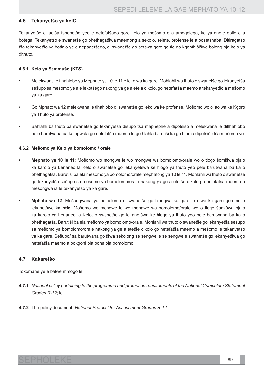#### **4.6 Tekanyetšo ya kelO**

Tekanyetšo e laetša tshepetšo yeo e netefatšago gore kelo ya mešomo e a amogelega, ke ya nnete ebile e a botega. Tekanyetšo e swanetše go phethagatšwa maemong a sekolo, selete, profense le a bosetšhaba. Ditiragatšo tša tekanyetšo ya botlalo ye e nepagetšego, di swanetše go šetšwa gore go tle go kgonthišišwe boleng bja kelo ya dithuto.

#### **4.6.1 Kelo ya Semmušo (KTS)**

- Melekwana le tlhahlobo ya Mephato ya 10 le 11 e lekolwa ka gare. Mohlahli wa thuto o swanetše go lekanyetša sešupo sa mešomo ye a e lekotšego nakong ya ge a etela dikolo, go netefatša maemo a tekanyetšo a mešomo ya ka gare.
- Go Mphato wa 12 melekwana le tlhahlobo di swanetše go lekolwa ke profense. Mošomo wo o laolwa ke Kgoro ya Thuto ya profense.
- Bahlahli ba thuto ba swanetše go lekanyetša dišupo tša maphephe a dipotšišo a melekwana le ditlhahlobo pele barutwana ba ka ngwala go netefatša maemo le go hlahla barutiši ka go hlama dipotšišo tša mešomo ye.

#### **4.6.2 Mešomo ya Kelo ya bomolomo / orale**

- **• Mephato ya 10 le 11**: Mošomo wo mongwe le wo mongwe wa bomolomo/orale wo o tlogo šomišwa bjalo ka karolo ya Lenaneo la Kelo o swanetše go lekanyetšwa ke hlogo ya thuto yeo pele barutwana ba ka o phethagatša. Barutiši ba ela mešomo ya bomolomo/orale mephatong ya 10 le 11. Mohlahli wa thuto o swanetše go lekanyetša sešupo sa mešomo ya bomolomo/orale nakong ya ge a etetše dikolo go netefatša maemo a mešongwana le tekanyetšo ya ka gare.
- **• Mphato wa 12**: Mešongwana ya bomolomo e swanetše go hlangwa ka gare, e elwe ka gare gomme e lekanetšwe **ka ntle**. Mošomo wo mongwe le wo mongwe wa bomolomo/orale wo o tlogo šomišwa bjalo ka karolo ya Lenaneo la Kelo, o swanetše go lekanetšwa ke hlogo ya thuto yeo pele barutwana ba ka o phethagatša. Barutiši ba ela mešomo ya bomolomo/orale. Mohlahli wa thuto o swanetše go lekanyetša sešupo sa mešomo ya bomolomo/orale nakong ya ge a etetše dikolo go netefatša maemo a mešomo le tekanyetšo ya ka gare. Sešupo/ sa barutwana go tšwa sekolong se sengwe le se sengwe e swanetše go lekanyetšwa go netefatša maemo a bokgoni bja bona bja bomolomo.

#### **4.7 Kakaretšo**

Tokomane ye e balwe mmogo le:

- **4.7.1** *National policy pertaining to the programme and promotion requirements of the National Curriculum Statement Grades R-12*; le
- **4.7.2** The policy document, *National Protocol for Assessment Grades R-12.*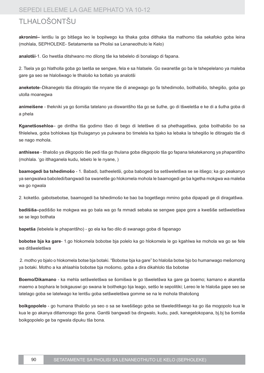# TLHALOŠONTŠU

**akronimi–** lentšu la go bitšega leo le bopilwego ka tlhaka goba ditlhaka tša mathomo tša sekafoko goba leina (mohlala, Sepholeke- Setatamente sa Pholisi sa Lenaneothuto le Kelo)

**analotši**-1. Go hwetša ditshwano mo dilong tše ka tebelelo di bonalago di fapana.

2. Tsela ya go hlatholla goba go laetša se sengwe, fela e sa hlatsele. Go swanetše go ba le tshepelelano ya maleba gare ga seo se hlalošwago le tlhalošo ka botlalo ya analotši

**aneketote**–Dikanegelo tša ditiragalo tše nnyane tše di anegwago go fa tshedimošo, boithabišo, tshegišo, goba go utolla moanegwa

**animeišene** - thekniki ya go šomiša tatelano ya diswantšho tša go se šuthe, go di tšweletša e ke di a šutha goba di a phela

**Kganetšosehloa**– ge dintlha tša godimo tšeo di bego di letetšwe di sa phethagatšwa, goba boithabišo bo sa fihlelelwa, goba bohlokwa bja thulaganyo ya pukwana bo timelela ka bjako ka lebaka la tshegišo le ditiragalo tše di se nago mohola.

**anthisese** - tlhalošo ya dikgopolo tše pedi tša go thulana goba dikgopolo tša go fapana tekatekanong ya phapantšho (mohlala. 'go itlhaganela kudu, lebelo le le nyane, )

**baamogedi ba tshedimošo** - 1. Babadi, batheeletši, goba babogedi ba setšweletšwa se se itšego; ka go peakanyo ya sengwalwa baboledi/bangwadi ba swanetše go hlokomela mohola le baamogedi ge ba kgetha mokgwa wa maleba wa go ngwala

2. koketšo. gabotsebotse, baamogedi ba tshedimošo ke bao ba bogetšego mmino goba dipapadi ge di diragatšwa.

**badišiša–**padišišo ke mokgwa wa go bala wa go fa mmadi sebaka se sengwe gape gore a kwešiše setšweletšwa se se lego bothata

**bapetša** (lebelela le phapantšho) - go ela ka fao dilo di swanago goba di fapanago

**bobotse bja ka gare**- 1.go hlokomela bobotse bja polelo ka go hlokomela le go kgahlwa ke mohola wa go se fele wa ditšweletšwa

 2. motho yo bjalo o hlokomela botse bja botaki. "Bobotse bja ka gare" bo hlaloša botse bjo bo humanwago mešomong ya botaki. Motho a ka ahlaahla bobotse bja mošomo, goba a dira dikahlolo tša bobotse

**Boemo/Dikamano** - ka mehla setšweletšwa se šomišwa le go tšweletšwa ka gare ga boemo; kamano e akaretša maemo a bophara le bokgauswi go swana le boithekgo bja leago, setšo le sepolitiki; Lereo le le hlaloša gape seo se latelago goba se latelwago ke lentšu goba setšweletšwa gomme se na le mohola tlhalošong

**boikgopolelo** - go humana tlhalošo ya seo o sa se kwešišego goba se tšweleditšwego ka go iša mogopolo kua le kua le go akanya ditlamorago tša gona. Gantši bangwadi ba dingwalo, kudu, padi, kanegelokopana, bj.bj ba šomiša boikgopolelo ge ba ngwala dipuku tša bona.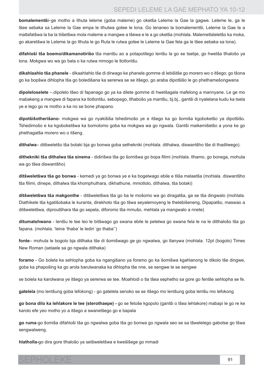**bomalementši**–ge motho a ithuta leleme (goba maleme) go oketša Leleme la Gae la gagwe. Leleme le, ga le tšee sebaka sa Leleme la Gae empa le ithutwa gotee le lona. Go lenaneo la bomalementši, Leleme la Gae le a matlafatšwa la ba la tiišetšwa mola maleme a mangwe a tšewa e le a go oketša (mohlala. Malemetlaleletšo ka moka, go akaretšwa le Leleme la go Ithuta le go Ruta le rutwa gotee le Leleme la Gae fela ga le tšee sebaka sa lona).

**difahloši tša boemo/dikamanotirišo** tša mantšu ao a potapotilego lentšu la go se tsebje, go hwetša tlhalošo ya lona. Mokgwa wo wa go bala o ka rutwa mmogo le tlotlontšu.

**dikahlaahlo tša phanele** - dikaahlahlo tše di dirwago ke phanele gomme di lebišitše go morero wo o itšego; go tšona go ka bopšwa dihlopha tša go boledišana ka sererwa se se itšego, go araba dipotšišo le go phethamešongwana

**dipoleloselete** –.dipolelo tšeo di fapanago go ya ka dilete gomme di hwetšagala mafelong a mannyane. Le ge mo mabakeng a mangwe di fapana ka tlotlontšu, sebopego, tlhabošo ya mantšu, bj.bj., gantši di nyalelana kudu ka tsela ye e lego go re motho a ka no se bone phapano.

**dipotšišotherišano**- mokgwa wa go nyakišiša tshedimošo ye e itšego ka go šomiša kgoboketšo ya dipotšišo. Tshedimošo e ka kgoboketšwa ka bomolomo goba ka mokgwa wa go ngwala. Gantši maikemišetšo a yona ke go phethagatša morero wo o itšeng.

**dithalwa**– ditšweletšo tša botaki bja go bonwa goba sethekniki (mohlala. dithalwa, diswantšho tše di thadilwego).

**dithekniki tša dithalwa tša sinema** - didirišwa tša go šomišwa go bopa filimi (mohlala. tlhamo, go bonega, mohuta wa go tšea diswantšho)

**ditšweletšwa tša go bonwa** - kemedi ya go bonwa ye e ka bogelwago ebile e tliša melaetša (mohlala. diswantšho tša filimi, dinepe, dithalwa tša khomphuthara, dikhathune, mmotlolo, dithalwa, tša botaki)

**ditšweletšwa tša makgonthe** - ditšweletšwa tša go ba le mošomo wa go diragatša, ga se tša dingwalo (mohlala. Diathikele tša kgatišobaka le kuranta, direkhoto tša go tšwa seyalemoyeng le thelebišeneng, Dipapatšo, maswao a ditšweletšwa, diproutšhara tša go sepela, diforomo tša mmušo, mehlala ya mangwalo a nnete)

**ditumatshwano** - lentšu le tee leo le bitšwago go swana ebile le peletwa go swana fela le na le ditlhalošo tša go fapana. (mohlala. 'leina 'thaba' le lediri 'go thaba'')

**fonte**– mohuta le bogolo bja ditlhaka tše di šomišwago ge go ngwalwa, go tlanywa (mohlala. 12pt (bogolo) Times New Roman (setaele sa go ngwala ditlhaka)

**foramo** - Go bolela ka sehlopha goba ka ngangišano ya foramo go ka šomišwa kgahlanong le dikolo tše dingwe, goba ka phapošing ka go arola barutwanaka ka dihlopha tše nne, se sengwe le se sengwe

se bolela ka karolwana ye itšego ya sererwa se tee. Moahlodi o tla tšea sephetho sa gore go fentše sehlopha se fe.

**gatelela** (mo lentšung goba lefokong) - go gatelela senoko se se itšego mo lentšung goba lentšu mo lefokong

**go bona dilo ka lehlakore le tee (sterothaepe) -** go se fetoše kgopolo (gantši o tšea lehlakore) mabapi le go re ke karolo efe yeo motho yo a itšego a swanetšego go e bapala

**go ruma**-go šomiša difahloši tša go ngwalwa goba tša go bonwa go ngwala seo se sa tšwelelego gabotse go tšwa sengwalweng.

**hlatholla-**go dira gore tlhalošo ya setšweletšwa e kwešišege go mmadi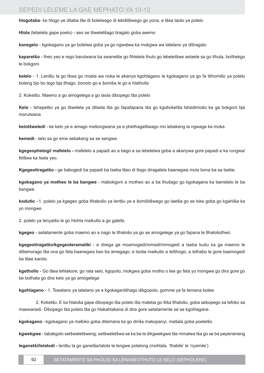**hlogotaba**- ke hlogo ye ditaba tše di bolelwago di lebišitšwego go yona, e tšea taolo ya polelo

**Hlola** (lebelela gape poelo) - seo se tšweletšago tiragalo goba seemo

**kanegelo** - kgokagano ya go bolelwa goba ya go ngwalwa ka mokgwa wa tatelano ya ditiragalo

**kaparetšo** - theo yeo e rego barutwana ba swanetše go fihlelela thuto go lebeletšwe setaele sa go ithuta, boithekgo le bokgoni

**kelelo** - 1. Lentšu la go tšwa go moela wa noka le akanya kgohlagano le kgokagano ya go fa tšhomišo ya polelo boleng bjo bo lego bja tlhago, bonolo go e šomiša le go e hlatholla

2. Koketšo. Maemo a go amogelega a go laola dibopego tša polelo

**Kelo** - tshepetšo ya go tšwelela ya ditsela tša go fapafapana tša go kgoboketša tshedimošo ka ga bokgoni bja morutwana

**kelotšweledi** - ke kelo ye e amago mešongwana ye e phethagatšwago mo lebakeng la ngwaga ka moka

**kemedi**– selo sa go ema sebakeng sa se sengwe.

**kgegeophetogi/ mafelelo -** mafelelo a papadi ao a bego a sa lebelelwa goba a akanywa gore papadi e ka rungwa/ fetšwa ka tsela yeo.

**Kgegeotiragatšo -** ge babogedi ba papadi ba tseba tšeo di tlogo diragalela baanegwa mola bona ba sa tsebe.

**kgokagano ya motheo le ba bangwe** - mabokgoni a motheo ao a ba thušago go kgokagana ka tsenelelo le ba bangwe

**kodutlo** –1. polelo ya kgegeo goba tlhabošo ya lentšu ye e šomišitšwego go laetša go se loke goba go kgahliša ka yo mongwe

2. polelo ya lenyatšo le go hlohla maikutlo a go galefa.

**kgegeo** - setatamente goba maemo ao a nago le tlhalošo ya go se amogelege ya go fapana le tlhalošothwii.

**kgegeotiragatšo/kgegeoteramatiki** - e direga ge moamogedi/mmadi/mmogedi a tseba kudu ka ga maemo le ditlamorago tša ona go feta baanegwa bao ba amegago; e tsoša maikutlo a letšhogo, a lethabo le gore baamogedi ba tšee karolo.

**kgethollo** - Go tšea lehlakore; go rata selo, kgopolo, mokgwa goba motho o tee go feta yo mongwe go dira gore go be bothata go dira kelo ya go amogelega

**kgohlagano** - 1. Tswalano ya tatelano ye e kgokagantšhago dikgopolo, gomme ya fa temana botee

 2. Koketšo. E ka hlaloša gape dibopego tša polelo tša maleba go tliša tlhalošo, goba sebopego sa lefoko sa maswanedi. Dibopego tša polelo tša go hlakahlakana di dira gore setatamente se se kgohlagane.

**kgokagano** –kgokagano ya mafoko goba ditemana ka go diriša makopanyi, mašala goba poeletšo

**kgwekgwe** - tabakgolo setšweletšweng; setšweletšwa se ka ba le dikgwekgwe tše mmalwa tša go se be pepeneneng

**leganetši/lelatodi -** lentšu la go ganetša/latola le lengwe polelong (mohlala. 'thabile' le 'nyamile')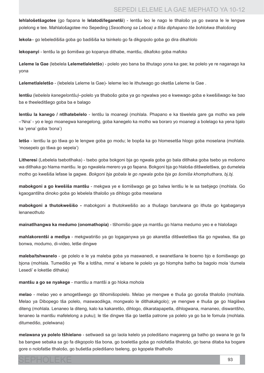**lehlalošetšagotee** (go fapana le **lelatodi/leganetši**) - lentšu leo le nago le tlhalošo ya go swana le le lengwe polelong e tee. Mahlalošagotee mo Sepeding (*Sesothong sa Leboa) a tliša diphapano tše bohlokwa tlhalošong*

**lekola**– go lebeledišiša goba go badišiša ka tsinkelo go fa dikgopolo goba go dira dikahlolo

**lekopanyi** - lentšu la go šomišwa go kopanya dithabe, mantšu, dikafoko goba mafoko

**Leleme la Gae** (lebelela **Lelemetlaleletšo**) - polelo yeo bana ba ithutago yona ka gae; ke polelo ye re naganago ka yona

**Lelemetlaleletšo** - (lebelela Leleme la Gae)- leleme leo le ithutwago go oketša Leleme la Gae .

**lentšu** (l*ebelela kanegelontšu)*–polelo ya tlhabošo goba ya go ngwalwa yeo e kwewago goba e kwešišwago ke bao ba e theeleditšego goba ba e balago

**lentšu la kanego / ntlhatebelelo** - lentšu la moanegi (mohlala. Phapano e ka tšwelela gare ga motho wa pele –'Nna' - yo e lego moanegwa kanegelong, goba kanegelo ka motho wa boraro yo moanegi a bolelago ka yena bjalo ka 'yena' goba 'bona')

**letšo** - lentšu la go tšwa go le lengwe goba go modu; le bopša ka go hlomesetša hlogo goba moselana (mohlala. 'mosepelo go tšwa go sepela')

**Litheresi** (Lebelela tsebotlhaka) - tsebo goba bokgoni bja go ngwala goba go bala ditlhaka goba tsebo ya mošomo wa ditlhaka go hlama mantšu. le go ngwalela merero ya go fapana. Bokgoni bja go hlaloša ditšweletšwa, go dumelela motho go kwešiša lefase la gagwe. *Bokgoni bja gobala le go ngwala goba bja go šomiša khomphuthara, bj.bj.*

**mabokgoni a go kwešiša mantšu** - mekgwa ye e šomišwago ge go balwa lentšu le le sa tsebjego (mohlala. Go kgaogantšha dinoko goba go lebelela tlhalošo ya dihlogo goba meselana

**mabokgoni a thutokwešišo -** mabokgoni a thutokwešišo ao a thušago barutwana go ithuta go kgabaganya lenaneothuto

**mainatlhangwa ka medumo (onomathopia)** - tšhomišo gape ya mantšu go hlama medumo yeo e e hlalošago

**mahlakorentši a mediya** - mekgwatirišo ya go logaganywa ya go akaretša ditšweletšwa tša go ngwalwa, tša go bonwa, modumo, di-video, letše dingwe

**maleba/tshwanelo** - ge polelo e le ya maleba goba ya maswanedi, e swanetšana le boemo bjo e šomišwago go bjona (mohlala. Tumedišo ye 'Re a lotšha, mma' e lebane le polelo ya go hlompha batho ba bagolo mola 'dumela Lesedi' e loketše dithaka)

**mantšu a go se nyakege** - mantšu a mantši a go hloka mohola

**melao** - melao yeo e amogetšwego go tšhomišopolelo. Melao ye mengwe e thuša go goroša tlhalošo (mohlala. Melao ya Dibopego tša polelo, maswaodikga, mongwalo le ditlhakakgolo); ye mengwe e thuša ge go hlagišwa diteng (mohlala. Lenaneo la diteng, kalo ka kakaretšo, dihlogo, dikaratapapetla, dihlogwana, mananeo, diswantšho, lenaneo la mantšu mafelelong a puku); le tše dingwe tša go laetša patrone ya polelo ya go ba le fomula (mohlala. ditumedišo, polelwana)

**melawana ya polelo tšhielano** - setlwaedi sa go laola kelelo ya poledišano magareng ga batho go swana le go fa ba bangwe sebaka sa go fa dikgopolo tša bona, go boeletša goba go nolofatša tlhalošo, go tsena ditaba ka bogare gore o nolofatše tlhalošo, go bušetša poledišano tseleng, go kgopela tlhathollo

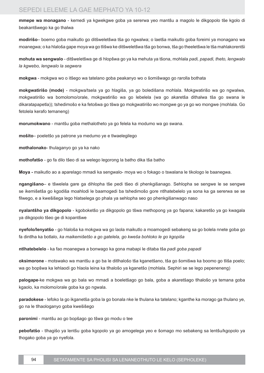**mmepe wa monagano** - kemedi ya kgwekgwe goba ya sererwa yeo mantšu a magolo le dikgopolo tše kgolo di beakantšwego ka go thalwa

**modirišo**– boemo goba maikutlo go ditšweletšwa tša go ngwalwa; o laetša maikutlo goba foreimi ya monagano wa moanegwa; o ka hlaloša gape moya wa go tlišwa ke ditšweletšwa tša go bonwa, tša go theeletšwa le tša mahlakorentši

**mohuta wa sengwalo** - ditšweletšwa ge di hlopšwa go ya ka mehuta ya tšona, mohlala *padi, papadi, theto, lengwalo la kgwebo, lengwalo la segwera*

**mokgwa** - mokgwa wo o itšego wa tatelano goba peakanyo wo o šomišwago go rarolla bothata

**mokgwatirišo (mode)** - mokgwa/tsela ya go hlagiša, ya go boledišana mohlala. Mokgwatirišo wa go ngwalwa, mokgwatirišo wa bomolomo/orale, mokgwatirišo wa go lebelela (wa go akaretša dithalwa tša go swana le dikaratapapetla)); tshedimošo e ka fetošwa go tšwa go mokgwatirišo wo mongwe go ya go wo mongwe (mohlala. Go fetolela kerafo temaneng)

**morumokwano** - mantšu goba methalotheto ya go felela ka modumo wa go swana.

**mošito**– poeletšo ya patrone ya medumo ye e tlwaelegilego

**mothalonako**- thulaganyo go ya ka nako

**mothofatšo** - go fa dilo tšeo di sa welego legorong la batho dika tša batho

**Moya -** maikutlo ao a aparelago mmadi ka sengwalo- moya wo o fokago o tswalana le tikologo le baanegwa.

**ngangišano**– e tšwelela gare ga dihlopha tše pedi tšeo di phenkgišanago. Sehlopha se sengwe le se sengwe se ikemišetša go kgodiša moahlodi le baamogedi ba tshedimošo gore ntlhatebelelo ya sona ka ga sererwa se se filwego, e a kwešišega lego hlatselega go phala ya sehlopha seo go phenkgišanwago naso

**nyalantšho ya dikgopolo** - kgoboketšo ya dikgopolo go tšwa methopong ya go fapana; kakaretšo ya go kwagala ya dikgopolo tšeo ge di kopantšwe

**nyefolo/lenyatšo** - go hlaloša ka mokgwa wa go laola maikutlo a moamogedi sebakeng sa go bolela nnete goba go fa dintlha ka botlalo, *ka maikemišetšo a go gatelela, go kweša bohloko le go kgopiša*

**ntlhatebelelo** - ka fao moanegwa a bonwago ka gona mabapi le ditaba tša *padi goba papadi*

**oksimorone** - motswako wa mantšu a go ba le ditlhalošo tša kganetšano, tša go šomišwa ka boomo go tliša poelo; wa go bopšwa ka lehlaodi go hlaola leina ka tlhalošo ya kganetšo (mohlala. Sephiri se se lego pepeneneng)

**palogape**-ke mokgwa wa go bala wo mmadi a boeletšago go bala, goba a akaretšago tlhalošo ya temana goba kgaolo, ka molomo/orale goba ka go ngwala.

**paradokese** - lefoko la go ikganetša goba la go bonala nke le thulana ka tatelano; kganthe ka morago ga thulano ye, go na le tlhaologanyo goba kwešišego

**paronimi** - mantšu ao go bopšago go tšwa go modu o tee

**pebofatšo** - tlhagišo ya lentšu goba kgopolo ya go amogelega yeo e šomago mo sebakeng sa lentšu/kgopolo ya thogako goba ya go nyefola.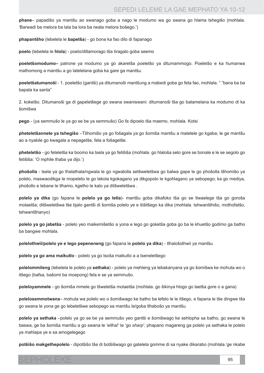**phane**– papadišo ya mantšu ao swanago goba a nago le modumo wa go swana go hlama tshegišo (mohlala. 'Barwadi ba melora ba lala ba lora ba rwala melora bošego.')

**phapantšho** (lebelela le **bapetša**) - go bona ka fao dilo di fapanago

**poelo** (lebelela le **hlola**) - poelo/ditlamorago tša tiragalo goba seemo

**poeletšomodumo–** patrone ya modumo ya go akaretša poeletšo ya ditumammogo. Poeletšo e ka humanwa mathomong a mantšu a go latelelana goba ka gare ga mantšu.

**poeletšatumanoši** - 1. poeletšo (gantši) ya ditumanoši mantšung a mabedi goba go feta fao, mohlala. " "bana ba ba bapala ka santa"

2. koketšo. Ditumanoši ga di gapeletšege go swana swaniswani: ditumanoši tša go batamelana ka modumo di ka šomišwa

**pego** - (ya semmušo le ya go se be ya semmušo) Go fa dipoelo tša maemo, mohlala. Kotsi

**pheteletšannete ya tshegišo** –Tšhomišo ya go fošagala ya go šomiša mantšu a matelele go kgaba; le ge mantšu ao a nyakile go kwagala a nepagetše, fela a fošagetše.

**pheteletšo** - go feteletša ka boomo ka tsela ya go fetišiša (mohlala. go hlaloša selo gore se bonale e le se segolo go fetišiša: 'O mphile thaba ya dijo.')

**phošolla** - tsela ya go thalathala/ngwala le go ngwalolla setšweletšwa go balwa gape le go phošolla tšhomišo ya polelo, maswaodikga le mopeleto le go lekola kgokagano ya dikgopolo le kgohlagano ya sebopego; ka go mediya, phošollo e lebane le tlhamo, kgetho le kalo ya ditšweletšwa .

**polelo ya dika** (go fapana le **polelo ya go letla**)- mantšu goba dikafoko tša go se tlwaelege tša go goroša molaetša; ditšweletšwa tše bjalo gantši di šomiša polelo ye e šišitšego ka dika (mohlala. tshwantšhišo, mothofatšo, tshwantšhanyo)

**polelo ya go jabetša** - polelo yeo maikemišetšo a yona e lego go goketša goba go ba le khuetšo godimo ga batho ba bangwe mohlala.

**polelothwii/polelo ye e lego pepeneneng** (go fapana le **polelo ya dika**) - tlhalošothwii ya mantšu

**polelo ya go ama maikutlo** - polelo ya go tsoša maikutlo a a tseneletšego

**polelommileng** (lebelela le polelo ya **sethaka**) - polelo ya mehleng ya lebakanyana ya go šomišwa ke mohuta wo o itšego (bafsa, bašomi ba moepong) fela e se ya semmušo.

**poleloyammele** - go šomiša mmele go tšweletša molaetša (mohlala. go šikinya hlogo go laetša gore o a gana)

**polelosemmotwana**– mohuta wa polelo wo o šomišwago ke batho ba lefelo le le itšego, e fapana le tše dingwe tša go swana le yona ge go lebeletšwe sebopego sa mantšu le/goba tlhabošo ya mantšu

**polelo ya sethaka** –polelo ya go se be ya semmušo yeo gantši e šomišwago ke sehlopha sa batho, go swana le baswa, ge ba šomiša mantšu a go swana le 'eitha!' le 'go *sharp*'; phapano magareng ga polelo ya sethaka le polelo ya mahlapa ye e sa amogelegego

**potšišo makgethepolelo** - dipotšišo tše di botšišwago go gatelela gomme di sa nyake dikarabo (mohlala.'ge nkabe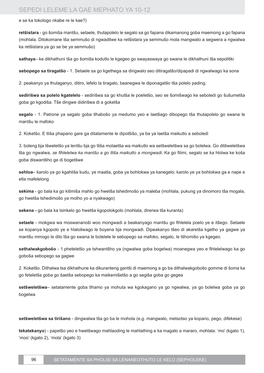#### e se ka tokologo nkabe re le kae?)

**retšistara** - go šomiša mantšu, setaele, thutapolelo le segalo sa go fapana dikamanong goba maemong a go fapana (mohlala. Ditokomane tša semmušo di ngwadilwe ka retšistara ya semmušo mola mangwalo a segwera a ngwalwa ka retšistara ya go se be ya semmušo)

**sathaya**– ke dikhathuni tša go šomiša kodutlo le kgegeo go swayaswaya go swana le dikhathuni tša sepolitiki

**sebopego sa tiragatšo** - 1. Setaele sa go kgethega sa dingwalo seo ditiragatšo/dipapadi di ngwalwago ka sona

2. peakanyo ya thulaganyo, ditiro, lefelo la tiragalo, baanegwa le diponagatšo tša polelo pading.

**sedirišwa sa polelo kgatelelo** - sedirišwa sa go khutša le poeletšo, seo se šomišwago ke seboledi go šušumetša goba go kgodiša. Tše dingwe didirišwa di a goketša

**segalo** - 1. Patrone ya segalo goba tlhabošo ya medumo yeo e laetšago dibopego tša thutapolelo go swana le mantšu le mafoko

2. Koketšo. E tliša phapano gare ga ditatamente le dipotšišo, ya ba ya laetša maikutlo a seboledi

3. boleng bja tšweletšo ya lentšu bja go tliša molaetša wa maikutlo wa setšweletšwa sa go bolelwa. Go ditšweletšwa tša go ngwalwa, *se fihlelelwa ka mantšu a go tliša maikutlo a mongwadi*. Ka go filimi, segalo se ka hlolwa ke koša goba diswantšho ge di bogetšwe

**sehloa**– karolo ya go kgahliša kudu, ye maatla, goba ya bohlokwa ya kanegelo; karolo ye ya bohlokwa ga e nape e etla mafelelong

**sekima** - go bala ka go kitimiša mahlo go hwetša tshedimošo ya maleba (mohlala, pukung ya dinomoro tša mogala, go hwetša tshedimošo ya motho yo a nyakwago)

**sekena -** go bala ka tsinkelo go hwetša kgopolokgolo (mohlala, direrwa tša kuranta)

**setaele** - mokgwa wa moswananoši woo mongwadi a beakanyago mantšu go fihlelela poelo ye e itšego. Setaele se kopanya kgopolo ye e hlalošwago le boyena bja mongwadi. Dipeakanyo tšeo di akaretša kgetho ya gagwe ya mantšu mmogo le dilo tša go swana le botelele le sebopego sa mafoko, segalo, le tšhomišo ya kgegeo.

**sethalwakgobošo** - 1.pheteletšo ya tshwantšho ya (ngwalwa goba bogelwa) moanegwa yeo e fihlelelwago ka go goboša sebopego sa gagwe

2. Koketšo. Dithalwa tsa dikhathune ka dikuranteng gantši di maemong a go ba dithalwakgobošo gomme di šoma ka go feteletša goba go šaetša sebopego ka maikemišetšo a go segiša goba go gegea

**setšweletšwa**– setatamente goba tlhamo ya mohuta wa kgokagano ya go ngwalwa, ya go bolelwa goba ya go bogelwa

**setšweletšwa sa tirišano** - dingwalwa tša go ba le mohola (e.g. mangwalo, metsotso ya kopano, pego, difekese)

**tekatekanyo**) - papetšo yeo e hwetšwago mahlaoding le mahlathing e ka magato a mararo, mohlala. 'mo' (kgato 1), 'moo' (kgato 2), 'mola' (kgato 3)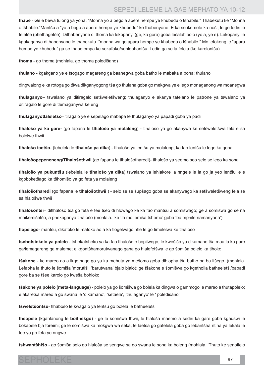**thabe** - Ge e bewa tulong ya yona. "Monna yo a bego a apere hempe ye khubedu o tšhabile." Thabekutu ke "Monna o tšhabile."Mantšu a "yo a bego a apere hempe ye khubedu" ke thabenyane. E ka se ikemele ka noši, le ge lediri le feletše (phethagetše). Dithabenyane di thoma ka lekopanyi (ge, ka gore) goba lešalahlaolo (yo a, ye e). Lekopanyi le kgokaganya dithabenyane le thabekutu. "monna wa go apara hempe ye khubedu o tšhabile." Mo lefokong le "apara hempe ye khubedu" ga se thabe empa ke sekafoko/sehlophantšu. Lediri ga se la felela (ke karolontšu)

**thoma** - go thoma (mohlala. go thoma poledišano)

**thulano** - kgakgano ye e tsogago magareng ga baanegwa goba batho le mabaka a bona; thulano

dingwalong e ka rotoga go tšwa dikganyogong tša go thulana goba go mekgwa ye e lego monaganong wa moanegwa

**thulaganyo**– tswalano ya ditiragalo setšweletšweng; thulaganyo e akanya tatelano le patrone ya tswalano ya ditiragalo le gore di tlemaganywa ke eng

**thulaganyotlaleletšo**– tiragalo ye e sepelago mabapa le thulaganyo ya papadi goba ya padi

**tlhalošo ya ka gare-** (go fapana le **tlhalošo ya molaleng**) - tlhalošo ya go akanywa ke setšweletšwa fela e sa bolelwe thwii

**tlhalošo taetšo**- (lebelela le **tlhalošo ya dika**) - tlhalošo ya lentšu ya molaleng, ka fao lentšu le lego ka gona

**tlhalošopepeneneng/Tlhalošothwii** (go fapana le tlhalošotharedi)- tlhalošo ya seemo seo selo se lego ka sona

**tlhalošo ya pukuntšu** (lebelela le **tlhalošo ya dika**) tswalano ya lehlakore la nngele le la go ja yeo lentšu le e kgoboketšago ka tšhomišo ya go feta ya molaleng

**tlhalošotharedi** (go fapana le **tlhalošothwii** ) - selo se se šupšago goba se akanywago ka setšweletšweng fela se sa hlalošwe thwii

**tlhalošontši**– ditlhalošo tša go feta e tee tšeo di hlowago ke ka fao mantšu a šomišwago; ge a šomišwa go se na maikemišetšo, a phekaganya tlhalošo (mohlala. 'ke tla mo lemiša tšhemo' goba 'ba mphile namanyana')

**tlopelago**- mantšu, dikafoko le mafoko ao a ka tlogelwago ntle le go timelelwa ke tlhalošo

**tsebotsinkelo ya polelo** - tshekatsheko ya ka fao tlhalošo e bopilwego, le kwešišo ya dikamano tša maatla ka gare ga/lemagareng ga maleme; e kgontšhamorutwanago gana go hlalefetšwa le go šomiša polelo ka tlhoko

**tšakone** - ke mareo ao a ikgethago go ya ka mehuta ya mešomo goba dihlopha tša batho ba ba itšego. (mohlala. Lefapha la thuto le šomiša 'morutiši, 'barutwana' bjalo bjalo); ge tšakone e šomišwa go kgetholla batheeletši/babadi gore ba se tšee karolo go kweša bohloko

**tšakone ya polelo (meta-language)** - polelo ya go šomišwa go bolela ka dingwalo gammogo le mareo a thutapolelo; e akaretša mareo a go swana le 'dikamano', 'setaele', 'thulaganyo' le ' poledišano'

**tšweletšontšu**- tlhabošo le kwagalo ya lentšu go bolela le batheeletši

**theopele** (kgahlanong le **boithekgo**) - ge le šomišwa thwii, le hlaloša maemo a sediri ka gare goba kgauswi le bokapele bja foreimi; ge le šomišwa ka mokgwa wa seka, le laetša go gatelela goba go lebantšha ntlha ya lekala le tee ya go feta ye nngwe

**tshwantšhišo** - go šomiša selo go hlaloša se sengwe sa go swana le sona ka boleng (mohlala. 'Thuto ke senotlelo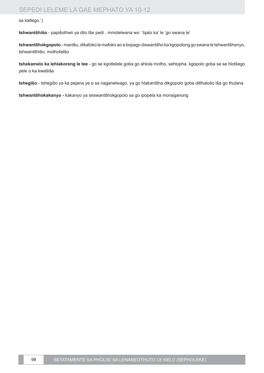sa katlego.')

**tshwantšhišo** - papišothwii ya dilo tše pedi , mmolelwana wo ' bjalo ka' le 'go swana le'

**tshwantšhokgopolo** - mantšu, dikafoko le mafoko ao a bopago diswantšho ka kgopolong go swana le tshwantšhanyo, tshwantšhišo, mothofatšo

**tshekamelo ka lehlakoreng le tee** - go se kgotlelele goba go ahlola motho, sehlopha, kgopolo goba se se hlotšego pele o ka kwešiša

**tshegišo** - tshegišo ya ka pejana ye e sa naganelwago, ya go hlakantšha dikgopolo goba ditlhalošo tša go thulana

**tshwantšhokakanyo -** kakanyo ya seswantšhokgopolo sa go ipopela ka monaganong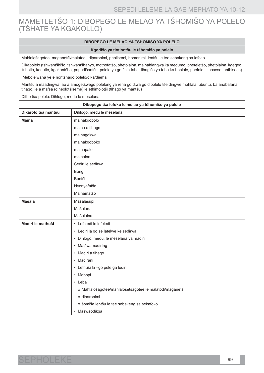# MAMETLETŠO 1: DIBOPEGO LE MELAO YA TŠHOMIŠO YA POLELO (TŠHATE YA KGAKOLLO)

#### **DIBOPEGO LE MELAO YA TŠHOMIŠO YA POLELO**

#### **Kgodišo ya tlotlontšu le tšhomišo ya polelo**

Mahlalošagotee, maganetši/malatodi, diparonimi, pholisemi, homonimi, lentšu le tee sebakeng sa lefoko

Dikapolelo (tshwantšhišo, tshwantšhanyo, mothofatšo, phetolaina, mainahlangwa ka medumo, pheteletšo, phetolaina, kgegeo, tshotlo, kodutlo, kgakantšho, papadišantšu, polelo ya go fihla taba, tlhagišo ya taba ka bohlale, phefolo, lithosese, anthisese)

Mebolelwana ye e nontšhago polelo/dika/diema

Mantšu a maadingwa, ao a amogetšwego polelong ya rena go tšwa go dipolelo tše dingwe mohlala, ubuntu, bafanabafana, tlhago, le a mafsa (dineolotšiseme) le ethimolotši (tlhago ya mantšu)

Ditho tša polelo: Dihlogo, medu le meselana

| Dibopego tša lefoko le melao ya tšhomišo ya polelo |                                                          |  |
|----------------------------------------------------|----------------------------------------------------------|--|
| Dikarolo tša mantšu                                | Dihlogo, medu le meselana                                |  |
| <b>Maina</b>                                       | mainakgopolo                                             |  |
|                                                    | maina a tlhago                                           |  |
|                                                    | mainagokwa                                               |  |
|                                                    | mainakgoboko                                             |  |
|                                                    | mainapalo                                                |  |
|                                                    | mainaina                                                 |  |
|                                                    | Sediri le sedirwa                                        |  |
|                                                    | Bong                                                     |  |
|                                                    | Bontši                                                   |  |
|                                                    | Nyenyefatšo                                              |  |
|                                                    | Mainamatšo                                               |  |
| <b>Mašala</b>                                      | Mašalašupi                                               |  |
|                                                    | Mašalarui                                                |  |
|                                                    | Mašalaina                                                |  |
| Madiri le mathuši                                  | • Lefetedi le lefeledi                                   |  |
|                                                    | · Lediri la go se latelwe ke sedirwa.                    |  |
|                                                    | · Dihlogo, medu, le meselana ya madiri                   |  |
|                                                    | · MatšwamadirIng                                         |  |
|                                                    | • Madiri a tlhago                                        |  |
|                                                    | • Madirani                                               |  |
|                                                    | · Lethuši la -go pele ga lediri                          |  |
|                                                    | • Mabopi                                                 |  |
|                                                    | • Leba                                                   |  |
|                                                    | o Mahlalošagotee/mahlalošetšagotee le malatodi/maganetši |  |
|                                                    | o diparonimi                                             |  |
|                                                    | o šomiša lentšu le tee sebakeng sa sekafoko              |  |
|                                                    | • Maswaodikga                                            |  |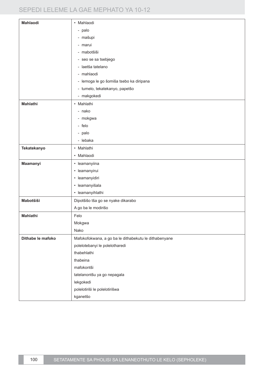| <b>Mahlaodi</b>   | • Mahlaodi                                            |
|-------------------|-------------------------------------------------------|
|                   | - palo                                                |
|                   | - mašupi                                              |
|                   | - marui                                               |
|                   | - mabotšiši                                           |
|                   | - seo se sa tsebjego                                  |
|                   | - laetša tatelano                                     |
|                   | - mahlaodi                                            |
|                   | - lemoga le go šomiša tsebo ka diripana               |
|                   | - tumelo, tekatekanyo, papetšo                        |
|                   | - makgokedi                                           |
| <b>Mahlathi</b>   | • Mahlathi                                            |
|                   | - nako                                                |
|                   | - mokgwa                                              |
|                   | - felo                                                |
|                   | - palo                                                |
|                   | - lebaka                                              |
| Tekatekanyo       | • Mahlathi                                            |
|                   | • Mahlaodi                                            |
| <b>Maamanyi</b>   | • leamanyiina                                         |
|                   | • leamanyirui                                         |
|                   | · leamanyidiri                                        |
|                   | · leamanyišala                                        |
|                   | • leamanyihlathi                                      |
| Mabotšiši         | Dipotšišo tša go se nyake dikarabo                    |
|                   | A go ba le modirišo                                   |
| Mahlathi          | Felo                                                  |
|                   | Mokgwa                                                |
|                   | Nako                                                  |
| Dithabe le mafoko | Mafokofokwana, a go ba le dithabekutu le dithabenyane |
|                   | polelotebanyi le polelotharedi                        |
|                   | thabehlathi                                           |
|                   | thabeina                                              |
|                   | mafokontši                                            |
|                   | tatelanontšu ya go nepagala                           |
|                   | lekgokedi                                             |
|                   | polelotiriši le polelotirišwa                         |
|                   | kganetšo                                              |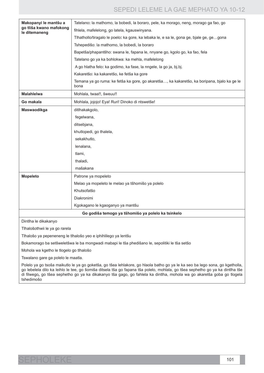| Makopanyi le mantšu a                                                                         | Tatelano: la mathomo, la bobedi, la boraro, pele, ka morago, neng, morago ga fao, go                |  |
|-----------------------------------------------------------------------------------------------|-----------------------------------------------------------------------------------------------------|--|
| go tliša kwano mafokong<br>le ditemaneng                                                      | fihlela, mafelelong, go latela, kgauswinyana.                                                       |  |
|                                                                                               | Tlhathollo/tiragalo le poelo: ka gore, ka lebaka le, e sa le, gona ge, bjale ge, gegona             |  |
|                                                                                               | Tshepedišo: la mathomo, la bobedi, la boraro                                                        |  |
|                                                                                               | Bapetša/phapantšho: swana le, fapana le, nnyane go, kgolo go, ka fao, fela                          |  |
|                                                                                               | Tatelano go ya ka bohlokwa: ka mehla, mafelelong                                                    |  |
|                                                                                               | A go hlatha felo: ka godimo, ka fase, la nngele, la go ja, bj.bj.                                   |  |
|                                                                                               | Kakaretšo: ka kakaretšo, ke fetša ka gore                                                           |  |
|                                                                                               | Temana ya go ruma: ke fetša ka gore, go akaretša, ka kakaretšo, ka boripana, bjalo ka ge le<br>bona |  |
| <b>Malahlelwa</b>                                                                             | Mohlala, twaa!!, šweuu!!                                                                            |  |
| Go makala                                                                                     | Mohlala, jojojo! Eya! Ruri! Dinoko di ntswetše!                                                     |  |
| Maswaodikga                                                                                   | ditlhakakgolo,                                                                                      |  |
|                                                                                               | fegelwana,                                                                                          |  |
|                                                                                               | ditsebjana,                                                                                         |  |
|                                                                                               | khutlopedi, go thalela,                                                                             |  |
|                                                                                               | sekakhutlo,                                                                                         |  |
|                                                                                               | lenalana.                                                                                           |  |
|                                                                                               | tlami,                                                                                              |  |
|                                                                                               | thaladi,                                                                                            |  |
|                                                                                               | mašakana                                                                                            |  |
| <b>Mopeleto</b>                                                                               | Patrone ya mopeleto                                                                                 |  |
|                                                                                               | Melao ya mopeleto le melao ya tšhomišo ya polelo                                                    |  |
|                                                                                               | Khutsofatšo                                                                                         |  |
|                                                                                               | Diakronimi                                                                                          |  |
|                                                                                               | Kgokagano le kgaoganyo ya mantšu                                                                    |  |
|                                                                                               | Go godiša temogo ya tšhomišo ya polelo ka tsinkelo                                                  |  |
| Dintlha le dikakanyo                                                                          |                                                                                                     |  |
| Tlhalošothwii le ya go rarela                                                                 |                                                                                                     |  |
| Tlhalošo ya pepeneneng le tlhalošo yeo e iphihlilego ya lentšu                                |                                                                                                     |  |
| Bokamorago ba setšweletšwa le ba mongwadi mabapi le tša phedišano le, sepolitiki le tša setšo |                                                                                                     |  |
| Mohola wa kgetho le tlogelo go tlhalošo                                                       |                                                                                                     |  |

Tswalano gare ga polelo le maatla.

Polelo ya go tsoša maikutlo le ya go goketša, go tšea lehlakore, go hlaola batho go ya le ka seo ba lego sona, go kgetholla, go lebelela dilo ka leihlo le tee, go šomiša ditsela tša go fapana tša polelo, mohlala, go tšea sephetho go ya ka dintlha tše di filwego*,* go tšea sephetho go ya ka dikakanyo tša gago, go fahlela ka dintlha, mohola wa go akaretša goba go tlogela tshedimošo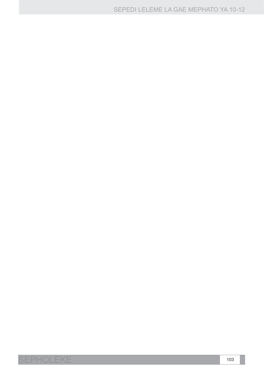### PHOLEKE 103